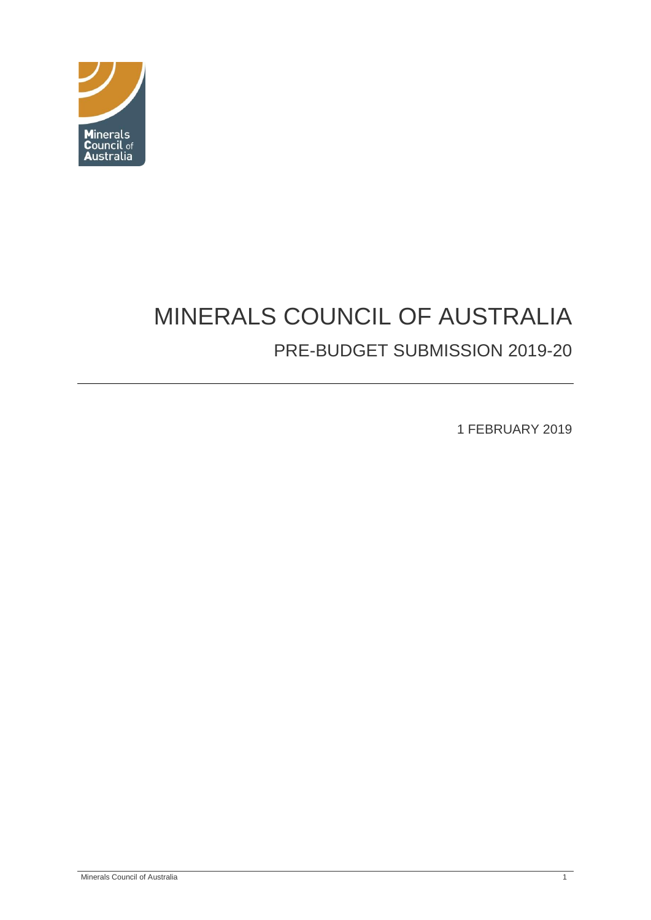

# MINERALS COUNCIL OF AUSTRALIA PRE-BUDGET SUBMISSION 2019-20

1 FEBRUARY 2019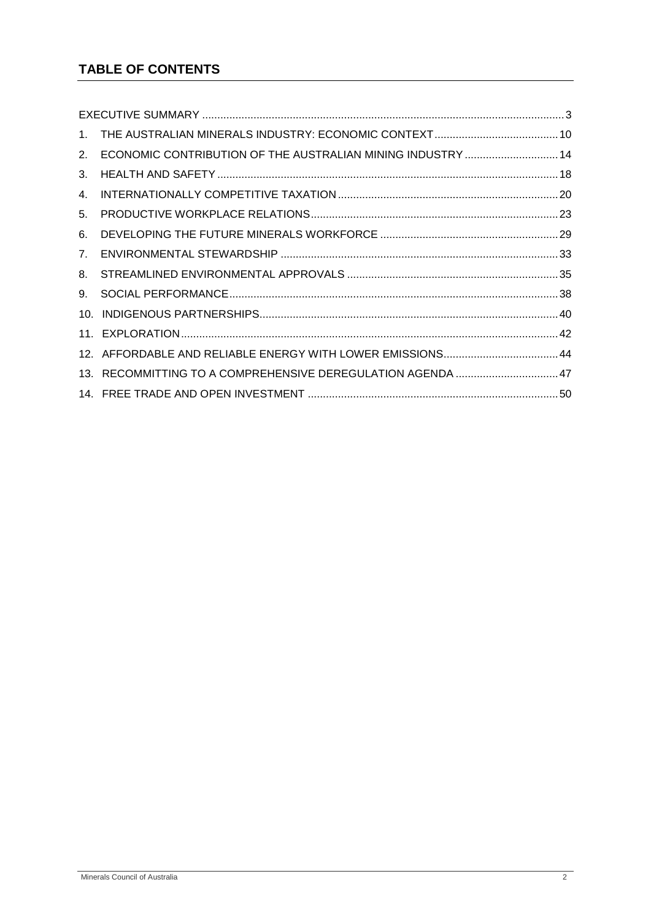# **TABLE OF CONTENTS**

| 2. | ECONOMIC CONTRIBUTION OF THE AUSTRALIAN MINING INDUSTRY  14 |  |
|----|-------------------------------------------------------------|--|
| 3. |                                                             |  |
| 4. |                                                             |  |
| 5. |                                                             |  |
| 6. |                                                             |  |
| 7. |                                                             |  |
| 8. |                                                             |  |
| 9. |                                                             |  |
|    |                                                             |  |
|    |                                                             |  |
|    |                                                             |  |
|    | 13. RECOMMITTING TO A COMPREHENSIVE DEREGULATION AGENDA 47  |  |
|    |                                                             |  |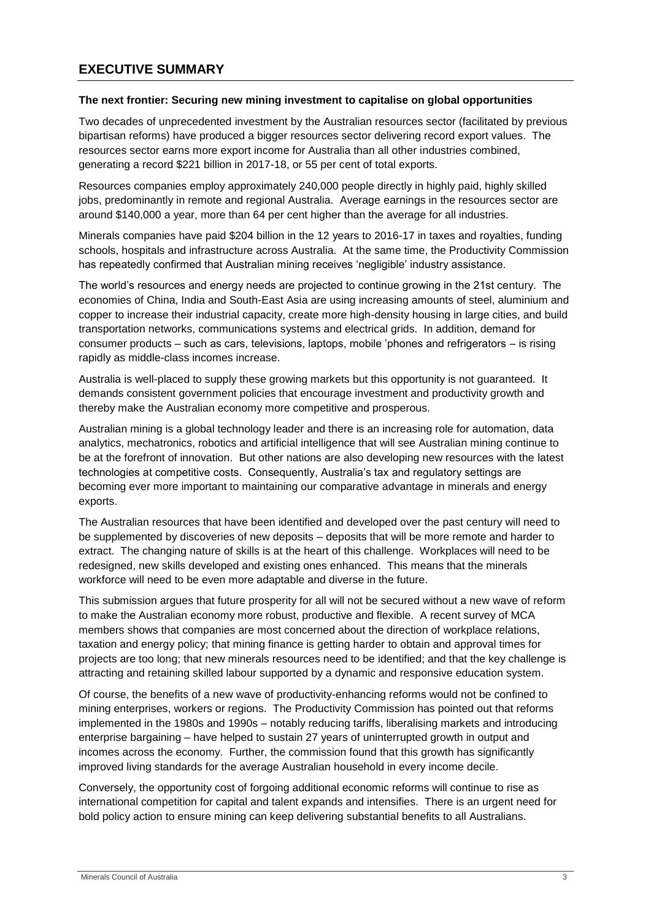#### <span id="page-2-0"></span>**The next frontier: Securing new mining investment to capitalise on global opportunities**

Two decades of unprecedented investment by the Australian resources sector (facilitated by previous bipartisan reforms) have produced a bigger resources sector delivering record export values. The resources sector earns more export income for Australia than all other industries combined, generating a record \$221 billion in 2017-18, or 55 per cent of total exports.

Resources companies employ approximately 240,000 people directly in highly paid, highly skilled jobs, predominantly in remote and regional Australia. Average earnings in the resources sector are around \$140,000 a year, more than 64 per cent higher than the average for all industries.

Minerals companies have paid \$204 billion in the 12 years to 2016-17 in taxes and royalties, funding schools, hospitals and infrastructure across Australia. At the same time, the Productivity Commission has repeatedly confirmed that Australian mining receives 'negligible' industry assistance.

The world's resources and energy needs are projected to continue growing in the 21st century. The economies of China, India and South-East Asia are using increasing amounts of steel, aluminium and copper to increase their industrial capacity, create more high-density housing in large cities, and build transportation networks, communications systems and electrical grids. In addition, demand for consumer products – such as cars, televisions, laptops, mobile 'phones and refrigerators – is rising rapidly as middle-class incomes increase.

Australia is well-placed to supply these growing markets but this opportunity is not guaranteed. It demands consistent government policies that encourage investment and productivity growth and thereby make the Australian economy more competitive and prosperous.

Australian mining is a global technology leader and there is an increasing role for automation, data analytics, mechatronics, robotics and artificial intelligence that will see Australian mining continue to be at the forefront of innovation. But other nations are also developing new resources with the latest technologies at competitive costs. Consequently, Australia's tax and regulatory settings are becoming ever more important to maintaining our comparative advantage in minerals and energy exports.

The Australian resources that have been identified and developed over the past century will need to be supplemented by discoveries of new deposits – deposits that will be more remote and harder to extract. The changing nature of skills is at the heart of this challenge. Workplaces will need to be redesigned, new skills developed and existing ones enhanced. This means that the minerals workforce will need to be even more adaptable and diverse in the future.

This submission argues that future prosperity for all will not be secured without a new wave of reform to make the Australian economy more robust, productive and flexible. A recent survey of MCA members shows that companies are most concerned about the direction of workplace relations, taxation and energy policy; that mining finance is getting harder to obtain and approval times for projects are too long; that new minerals resources need to be identified; and that the key challenge is attracting and retaining skilled labour supported by a dynamic and responsive education system.

Of course, the benefits of a new wave of productivity-enhancing reforms would not be confined to mining enterprises, workers or regions. The Productivity Commission has pointed out that reforms implemented in the 1980s and 1990s – notably reducing tariffs, liberalising markets and introducing enterprise bargaining – have helped to sustain 27 years of uninterrupted growth in output and incomes across the economy. Further, the commission found that this growth has significantly improved living standards for the average Australian household in every income decile.

Conversely, the opportunity cost of forgoing additional economic reforms will continue to rise as international competition for capital and talent expands and intensifies. There is an urgent need for bold policy action to ensure mining can keep delivering substantial benefits to all Australians.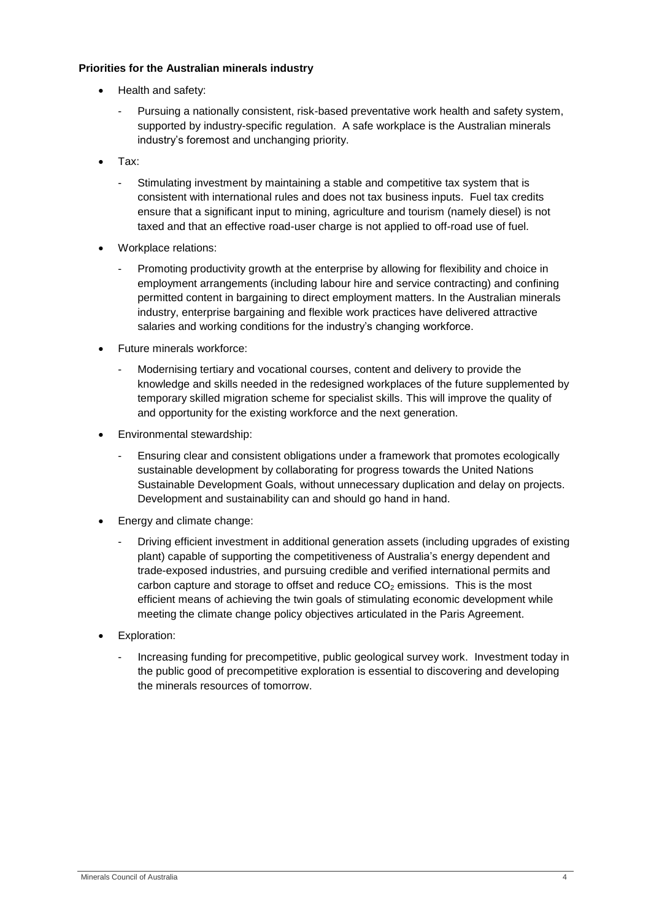### **Priorities for the Australian minerals industry**

- Health and safety:
	- Pursuing a nationally consistent, risk-based preventative work health and safety system, supported by industry-specific regulation. A safe workplace is the Australian minerals industry's foremost and unchanging priority.
- Tax:
	- Stimulating investment by maintaining a stable and competitive tax system that is consistent with international rules and does not tax business inputs. Fuel tax credits ensure that a significant input to mining, agriculture and tourism (namely diesel) is not taxed and that an effective road-user charge is not applied to off-road use of fuel.
- Workplace relations:
	- Promoting productivity growth at the enterprise by allowing for flexibility and choice in employment arrangements (including labour hire and service contracting) and confining permitted content in bargaining to direct employment matters. In the Australian minerals industry, enterprise bargaining and flexible work practices have delivered attractive salaries and working conditions for the industry's changing workforce.
- Future minerals workforce:
	- Modernising tertiary and vocational courses, content and delivery to provide the knowledge and skills needed in the redesigned workplaces of the future supplemented by temporary skilled migration scheme for specialist skills. This will improve the quality of and opportunity for the existing workforce and the next generation.
- Environmental stewardship:
	- Ensuring clear and consistent obligations under a framework that promotes ecologically sustainable development by collaborating for progress towards the United Nations Sustainable Development Goals, without unnecessary duplication and delay on projects. Development and sustainability can and should go hand in hand.
- Energy and climate change:
	- Driving efficient investment in additional generation assets (including upgrades of existing plant) capable of supporting the competitiveness of Australia's energy dependent and trade-exposed industries, and pursuing credible and verified international permits and carbon capture and storage to offset and reduce  $CO<sub>2</sub>$  emissions. This is the most efficient means of achieving the twin goals of stimulating economic development while meeting the climate change policy objectives articulated in the Paris Agreement.
- Exploration:
	- Increasing funding for precompetitive, public geological survey work. Investment today in the public good of precompetitive exploration is essential to discovering and developing the minerals resources of tomorrow.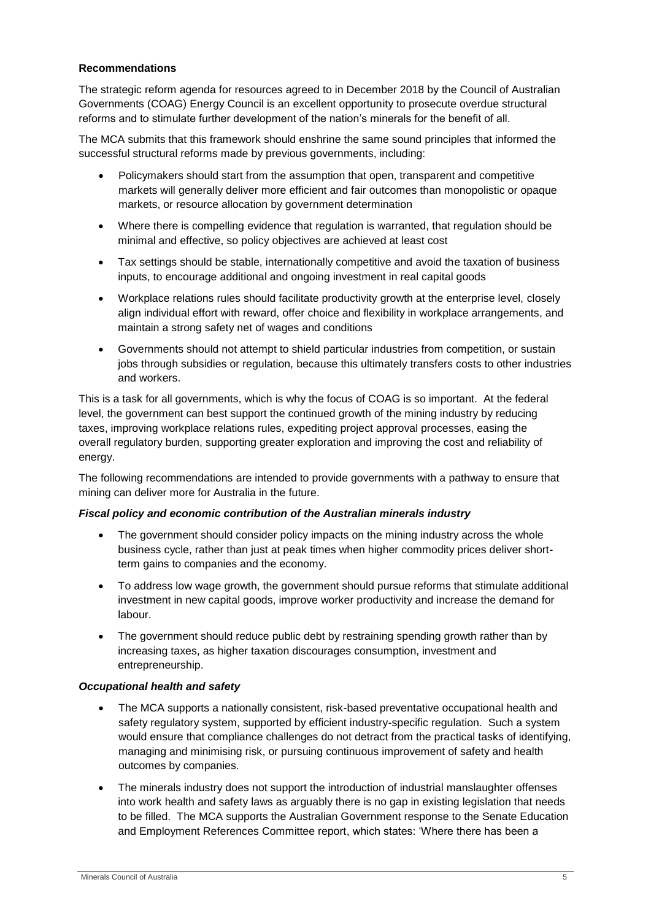## **Recommendations**

The strategic reform agenda for resources agreed to in December 2018 by the Council of Australian Governments (COAG) Energy Council is an excellent opportunity to prosecute overdue structural reforms and to stimulate further development of the nation's minerals for the benefit of all.

The MCA submits that this framework should enshrine the same sound principles that informed the successful structural reforms made by previous governments, including:

- Policymakers should start from the assumption that open, transparent and competitive markets will generally deliver more efficient and fair outcomes than monopolistic or opaque markets, or resource allocation by government determination
- Where there is compelling evidence that regulation is warranted, that regulation should be minimal and effective, so policy objectives are achieved at least cost
- Tax settings should be stable, internationally competitive and avoid the taxation of business inputs, to encourage additional and ongoing investment in real capital goods
- Workplace relations rules should facilitate productivity growth at the enterprise level, closely align individual effort with reward, offer choice and flexibility in workplace arrangements, and maintain a strong safety net of wages and conditions
- Governments should not attempt to shield particular industries from competition, or sustain jobs through subsidies or regulation, because this ultimately transfers costs to other industries and workers.

This is a task for all governments, which is why the focus of COAG is so important. At the federal level, the government can best support the continued growth of the mining industry by reducing taxes, improving workplace relations rules, expediting project approval processes, easing the overall regulatory burden, supporting greater exploration and improving the cost and reliability of energy.

The following recommendations are intended to provide governments with a pathway to ensure that mining can deliver more for Australia in the future.

#### *Fiscal policy and economic contribution of the Australian minerals industry*

- The government should consider policy impacts on the mining industry across the whole business cycle, rather than just at peak times when higher commodity prices deliver shortterm gains to companies and the economy.
- To address low wage growth, the government should pursue reforms that stimulate additional investment in new capital goods, improve worker productivity and increase the demand for labour.
- The government should reduce public debt by restraining spending growth rather than by increasing taxes, as higher taxation discourages consumption, investment and entrepreneurship.

#### *Occupational health and safety*

- The MCA supports a nationally consistent, risk-based preventative occupational health and safety regulatory system, supported by efficient industry-specific regulation. Such a system would ensure that compliance challenges do not detract from the practical tasks of identifying, managing and minimising risk, or pursuing continuous improvement of safety and health outcomes by companies.
- The minerals industry does not support the introduction of industrial manslaughter offenses into work health and safety laws as arguably there is no gap in existing legislation that needs to be filled. The MCA supports the Australian Government response to the Senate Education and Employment References Committee report, which states: 'Where there has been a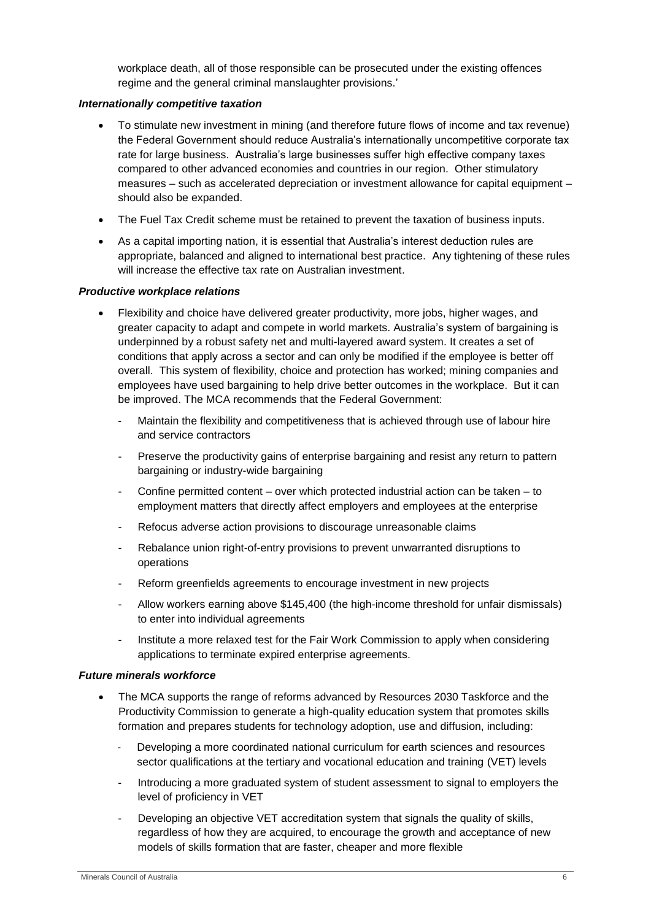workplace death, all of those responsible can be prosecuted under the existing offences regime and the general criminal manslaughter provisions.'

#### *Internationally competitive taxation*

- To stimulate new investment in mining (and therefore future flows of income and tax revenue) the Federal Government should reduce Australia's internationally uncompetitive corporate tax rate for large business. Australia's large businesses suffer high effective company taxes compared to other advanced economies and countries in our region. Other stimulatory measures – such as accelerated depreciation or investment allowance for capital equipment – should also be expanded.
- The Fuel Tax Credit scheme must be retained to prevent the taxation of business inputs.
- As a capital importing nation, it is essential that Australia's interest deduction rules are appropriate, balanced and aligned to international best practice. Any tightening of these rules will increase the effective tax rate on Australian investment.

#### *Productive workplace relations*

- Flexibility and choice have delivered greater productivity, more jobs, higher wages, and greater capacity to adapt and compete in world markets. Australia's system of bargaining is underpinned by a robust safety net and multi-layered award system. It creates a set of conditions that apply across a sector and can only be modified if the employee is better off overall. This system of flexibility, choice and protection has worked; mining companies and employees have used bargaining to help drive better outcomes in the workplace. But it can be improved. The MCA recommends that the Federal Government:
	- Maintain the flexibility and competitiveness that is achieved through use of labour hire and service contractors
	- Preserve the productivity gains of enterprise bargaining and resist any return to pattern bargaining or industry-wide bargaining
	- Confine permitted content over which protected industrial action can be taken to employment matters that directly affect employers and employees at the enterprise
	- Refocus adverse action provisions to discourage unreasonable claims
	- Rebalance union right-of-entry provisions to prevent unwarranted disruptions to operations
	- Reform greenfields agreements to encourage investment in new projects
	- Allow workers earning above \$145,400 (the high-income threshold for unfair dismissals) to enter into individual agreements
	- Institute a more relaxed test for the Fair Work Commission to apply when considering applications to terminate expired enterprise agreements.

#### *Future minerals workforce*

- The MCA supports the range of reforms advanced by Resources 2030 Taskforce and the Productivity Commission to generate a high-quality education system that promotes skills formation and prepares students for technology adoption, use and diffusion, including:
	- Developing a more coordinated national curriculum for earth sciences and resources sector qualifications at the tertiary and vocational education and training (VET) levels
	- Introducing a more graduated system of student assessment to signal to employers the level of proficiency in VET
	- Developing an objective VET accreditation system that signals the quality of skills, regardless of how they are acquired, to encourage the growth and acceptance of new models of skills formation that are faster, cheaper and more flexible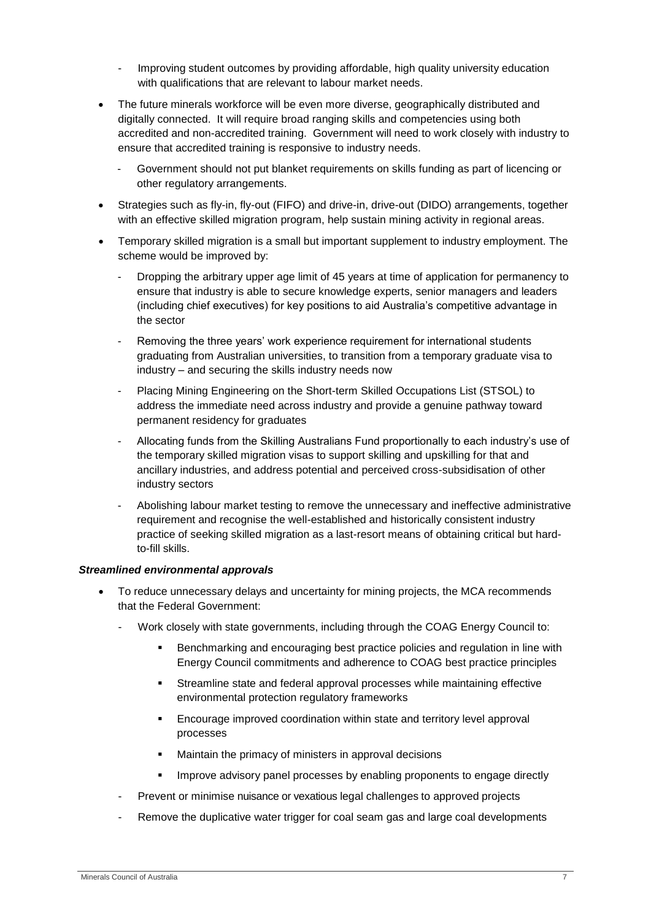- Improving student outcomes by providing affordable, high quality university education with qualifications that are relevant to labour market needs.
- The future minerals workforce will be even more diverse, geographically distributed and digitally connected. It will require broad ranging skills and competencies using both accredited and non-accredited training. Government will need to work closely with industry to ensure that accredited training is responsive to industry needs.
	- Government should not put blanket requirements on skills funding as part of licencing or other regulatory arrangements.
- Strategies such as fly-in, fly-out (FIFO) and drive-in, drive-out (DIDO) arrangements, together with an effective skilled migration program, help sustain mining activity in regional areas.
- Temporary skilled migration is a small but important supplement to industry employment. The scheme would be improved by:
	- Dropping the arbitrary upper age limit of 45 years at time of application for permanency to ensure that industry is able to secure knowledge experts, senior managers and leaders (including chief executives) for key positions to aid Australia's competitive advantage in the sector
	- Removing the three years' work experience requirement for international students graduating from Australian universities, to transition from a temporary graduate visa to industry – and securing the skills industry needs now
	- Placing Mining Engineering on the Short-term Skilled Occupations List (STSOL) to address the immediate need across industry and provide a genuine pathway toward permanent residency for graduates
	- Allocating funds from the Skilling Australians Fund proportionally to each industry's use of the temporary skilled migration visas to support skilling and upskilling for that and ancillary industries, and address potential and perceived cross-subsidisation of other industry sectors
	- Abolishing labour market testing to remove the unnecessary and ineffective administrative requirement and recognise the well-established and historically consistent industry practice of seeking skilled migration as a last-resort means of obtaining critical but hardto-fill skills.

#### *Streamlined environmental approvals*

- To reduce unnecessary delays and uncertainty for mining projects, the MCA recommends that the Federal Government:
	- Work closely with state governments, including through the COAG Energy Council to:
		- **Benchmarking and encouraging best practice policies and regulation in line with** Energy Council commitments and adherence to COAG best practice principles
		- Streamline state and federal approval processes while maintaining effective environmental protection regulatory frameworks
		- **Encourage improved coordination within state and territory level approval** processes
		- **Maintain the primacy of ministers in approval decisions**
		- Improve advisory panel processes by enabling proponents to engage directly
	- Prevent or minimise nuisance or vexatious legal challenges to approved projects
	- Remove the duplicative water trigger for coal seam gas and large coal developments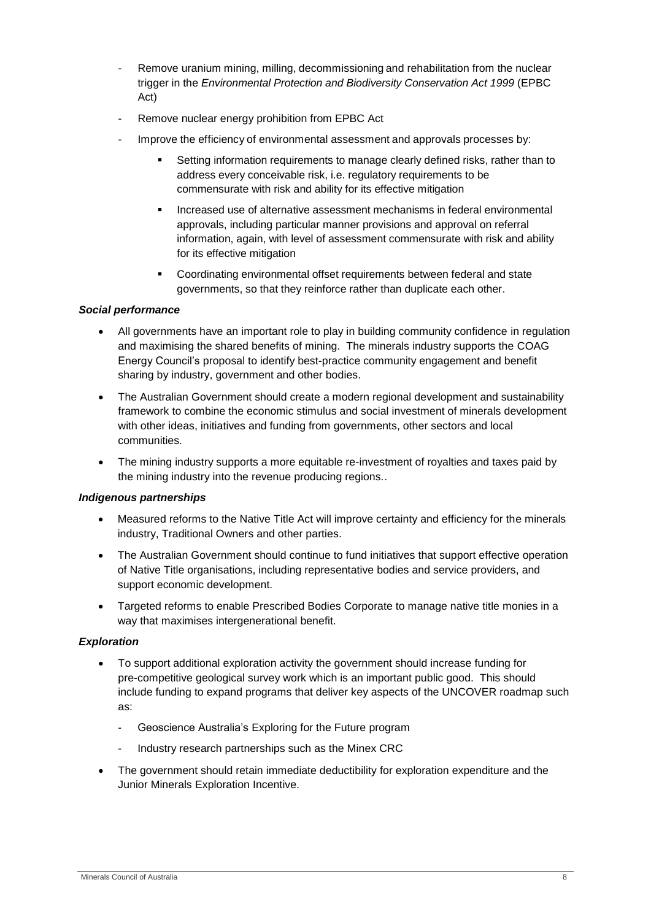- Remove uranium mining, milling, decommissioning and rehabilitation from the nuclear trigger in the *Environmental Protection and Biodiversity Conservation Act 1999* (EPBC Act)
- Remove nuclear energy prohibition from EPBC Act
- Improve the efficiency of environmental assessment and approvals processes by:
	- Setting information requirements to manage clearly defined risks, rather than to address every conceivable risk, i.e. regulatory requirements to be commensurate with risk and ability for its effective mitigation
	- **Increased use of alternative assessment mechanisms in federal environmental** approvals, including particular manner provisions and approval on referral information, again, with level of assessment commensurate with risk and ability for its effective mitigation
	- Coordinating environmental offset requirements between federal and state governments, so that they reinforce rather than duplicate each other.

# *Social performance*

- All governments have an important role to play in building community confidence in regulation and maximising the shared benefits of mining. The minerals industry supports the COAG Energy Council's proposal to identify best-practice community engagement and benefit sharing by industry, government and other bodies.
- The Australian Government should create a modern regional development and sustainability framework to combine the economic stimulus and social investment of minerals development with other ideas, initiatives and funding from governments, other sectors and local communities.
- The mining industry supports a more equitable re-investment of royalties and taxes paid by the mining industry into the revenue producing regions..

#### *Indigenous partnerships*

- Measured reforms to the Native Title Act will improve certainty and efficiency for the minerals industry, Traditional Owners and other parties.
- The Australian Government should continue to fund initiatives that support effective operation of Native Title organisations, including representative bodies and service providers, and support economic development.
- Targeted reforms to enable Prescribed Bodies Corporate to manage native title monies in a way that maximises intergenerational benefit.

#### *Exploration*

- To support additional exploration activity the government should increase funding for pre-competitive geological survey work which is an important public good. This should include funding to expand programs that deliver key aspects of the UNCOVER roadmap such as:
	- Geoscience Australia's Exploring for the Future program
	- Industry research partnerships such as the Minex CRC
- The government should retain immediate deductibility for exploration expenditure and the Junior Minerals Exploration Incentive.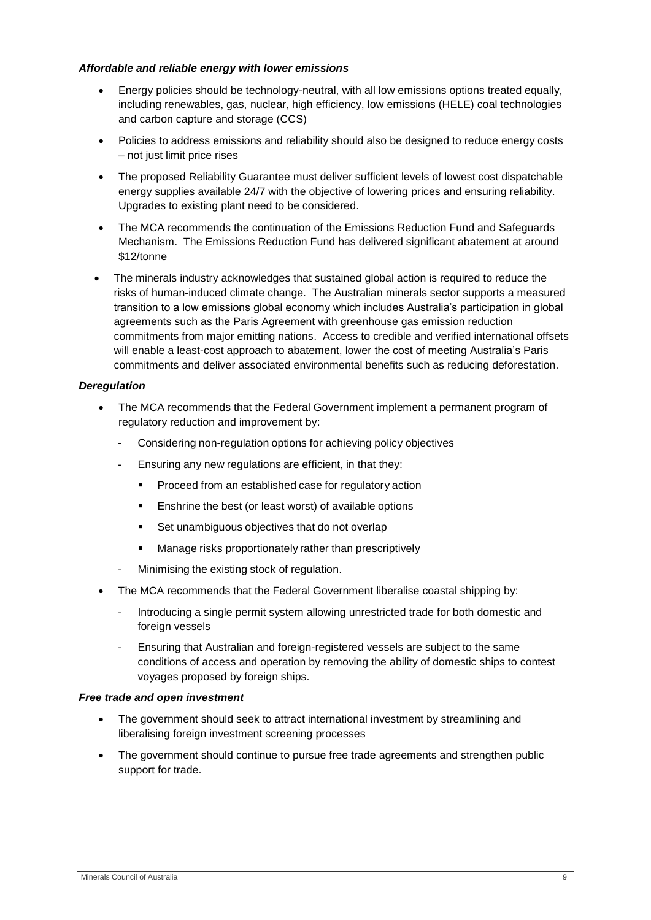#### *Affordable and reliable energy with lower emissions*

- Energy policies should be technology-neutral, with all low emissions options treated equally, including renewables, gas, nuclear, high efficiency, low emissions (HELE) coal technologies and carbon capture and storage (CCS)
- Policies to address emissions and reliability should also be designed to reduce energy costs – not just limit price rises
- The proposed Reliability Guarantee must deliver sufficient levels of lowest cost dispatchable energy supplies available 24/7 with the objective of lowering prices and ensuring reliability. Upgrades to existing plant need to be considered.
- The MCA recommends the continuation of the Emissions Reduction Fund and Safeguards Mechanism. The Emissions Reduction Fund has delivered significant abatement at around \$12/tonne
- The minerals industry acknowledges that sustained global action is required to reduce the risks of human-induced climate change. The Australian minerals sector supports a measured transition to a low emissions global economy which includes Australia's participation in global agreements such as the Paris Agreement with greenhouse gas emission reduction commitments from major emitting nations. Access to credible and verified international offsets will enable a least-cost approach to abatement, lower the cost of meeting Australia's Paris commitments and deliver associated environmental benefits such as reducing deforestation.

#### *Deregulation*

- The MCA recommends that the Federal Government implement a permanent program of regulatory reduction and improvement by:
	- Considering non-regulation options for achieving policy objectives
	- Ensuring any new regulations are efficient, in that they:
		- Proceed from an established case for regulatory action
		- Enshrine the best (or least worst) of available options
		- Set unambiguous objectives that do not overlap
		- **Manage risks proportionately rather than prescriptively**
	- Minimising the existing stock of regulation.
- The MCA recommends that the Federal Government liberalise coastal shipping by:
	- Introducing a single permit system allowing unrestricted trade for both domestic and foreign vessels
	- Ensuring that Australian and foreign-registered vessels are subject to the same conditions of access and operation by removing the ability of domestic ships to contest voyages proposed by foreign ships.

#### *Free trade and open investment*

- The government should seek to attract international investment by streamlining and liberalising foreign investment screening processes
- The government should continue to pursue free trade agreements and strengthen public support for trade.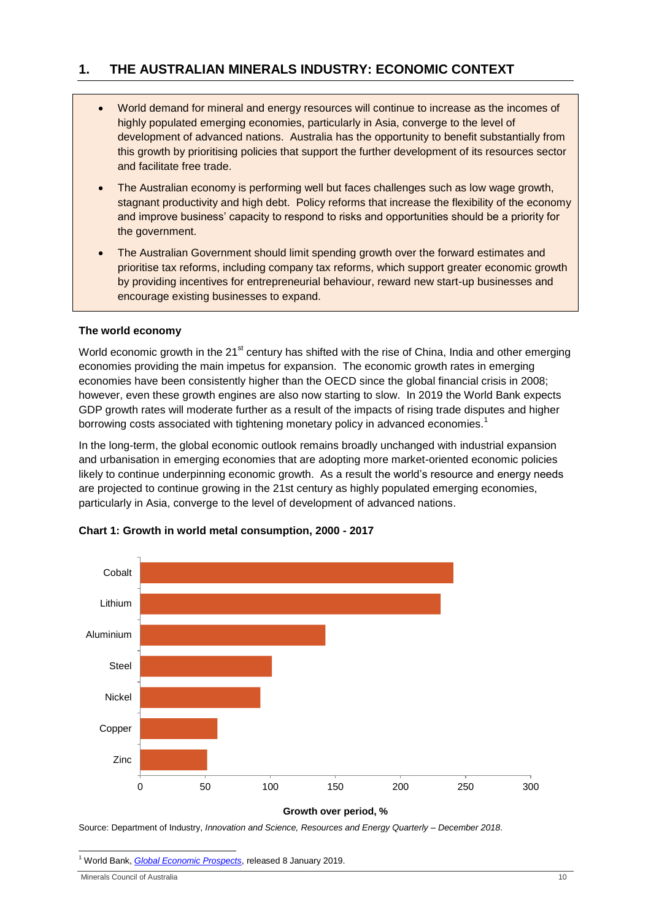# <span id="page-9-0"></span>**1. THE AUSTRALIAN MINERALS INDUSTRY: ECONOMIC CONTEXT**

- World demand for mineral and energy resources will continue to increase as the incomes of highly populated emerging economies, particularly in Asia, converge to the level of development of advanced nations. Australia has the opportunity to benefit substantially from this growth by prioritising policies that support the further development of its resources sector and facilitate free trade.
- The Australian economy is performing well but faces challenges such as low wage growth, stagnant productivity and high debt. Policy reforms that increase the flexibility of the economy and improve business' capacity to respond to risks and opportunities should be a priority for the government.
- The Australian Government should limit spending growth over the forward estimates and prioritise tax reforms, including company tax reforms, which support greater economic growth by providing incentives for entrepreneurial behaviour, reward new start-up businesses and encourage existing businesses to expand.

# **The world economy**

World economic growth in the 21<sup>st</sup> century has shifted with the rise of China, India and other emerging economies providing the main impetus for expansion. The economic growth rates in emerging economies have been consistently higher than the OECD since the global financial crisis in 2008; however, even these growth engines are also now starting to slow. In 2019 the World Bank expects GDP growth rates will moderate further as a result of the impacts of rising trade disputes and higher borrowing costs associated with tightening monetary policy in advanced economies.<sup>1</sup>

In the long-term, the global economic outlook remains broadly unchanged with industrial expansion and urbanisation in emerging economies that are adopting more market-oriented economic policies likely to continue underpinning economic growth. As a result the world's resource and energy needs are projected to continue growing in the 21st century as highly populated emerging economies, particularly in Asia, converge to the level of development of advanced nations.



# **Chart 1: Growth in world metal consumption, 2000 - 2017**

**Growth over period, %**

Source: Department of Industry, *Innovation and Science, Resources and Energy Quarterly – December 2018*.

1 <sup>1</sup> World Bank, *[Global Economic Prospects](http://www.worldbank.org/en/publication/global-economic-prospects)*, released 8 January 2019.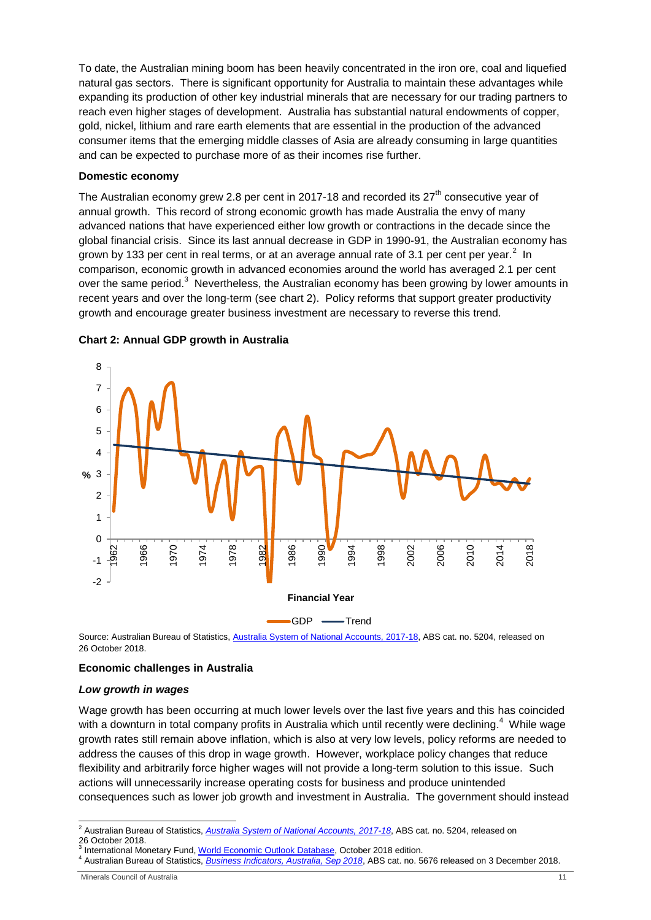To date, the Australian mining boom has been heavily concentrated in the iron ore, coal and liquefied natural gas sectors. There is significant opportunity for Australia to maintain these advantages while expanding its production of other key industrial minerals that are necessary for our trading partners to reach even higher stages of development. Australia has substantial natural endowments of copper, gold, nickel, lithium and rare earth elements that are essential in the production of the advanced consumer items that the emerging middle classes of Asia are already consuming in large quantities and can be expected to purchase more of as their incomes rise further.

#### **Domestic economy**

The Australian economy grew 2.8 per cent in 2017-18 and recorded its  $27<sup>th</sup>$  consecutive year of annual growth. This record of strong economic growth has made Australia the envy of many advanced nations that have experienced either low growth or contractions in the decade since the global financial crisis. Since its last annual decrease in GDP in 1990-91, the Australian economy has grown by 133 per cent in real terms, or at an average annual rate of 3.1 per cent per year.<sup>2</sup> In comparison, economic growth in advanced economies around the world has averaged 2.1 per cent over the same period.<sup>3</sup> Nevertheless, the Australian economy has been growing by lower amounts in recent years and over the long-term (see chart 2). Policy reforms that support greater productivity growth and encourage greater business investment are necessary to reverse this trend.



#### **Chart 2: Annual GDP growth in Australia**

Source: Australian Bureau of Statistics, [Australia System of National Accounts, 2017-18,](http://www.abs.gov.au/AUSSTATS/abs@.nsf/DetailsPage/5204.02017-18?OpenDocument) ABS cat. no. 5204, released on 26 October 2018.

#### **Economic challenges in Australia**

#### *Low growth in wages*

Wage growth has been occurring at much lower levels over the last five years and this has coincided with a downturn in total company profits in Australia which until recently were declining.<sup>4</sup> While wage growth rates still remain above inflation, which is also at very low levels, policy reforms are needed to address the causes of this drop in wage growth. However, workplace policy changes that reduce flexibility and arbitrarily force higher wages will not provide a long-term solution to this issue. Such actions will unnecessarily increase operating costs for business and produce unintended consequences such as lower job growth and investment in Australia. The government should instead

<sup>-</sup><sup>2</sup> Australian Bureau of Statistics, *[Australia System of National Accounts, 2017-18](http://www.abs.gov.au/AUSSTATS/abs@.nsf/DetailsPage/5204.02017-18?OpenDocument)*, ABS cat. no. 5204, released on 26 October 2018.<br><sup>3</sup> International Monetary Fund, <u>World Economic Outlook Database</u>, October 2018 edition.<br><sup>4</sup> Australian Bureau of Statistics, <u>*[Business Indicators, Australia, Sep 2018](http://www.abs.gov.au/ausstats/abs@.nsf/mf/5676.0)*,</u> ABS cat. no. 5676 released on 3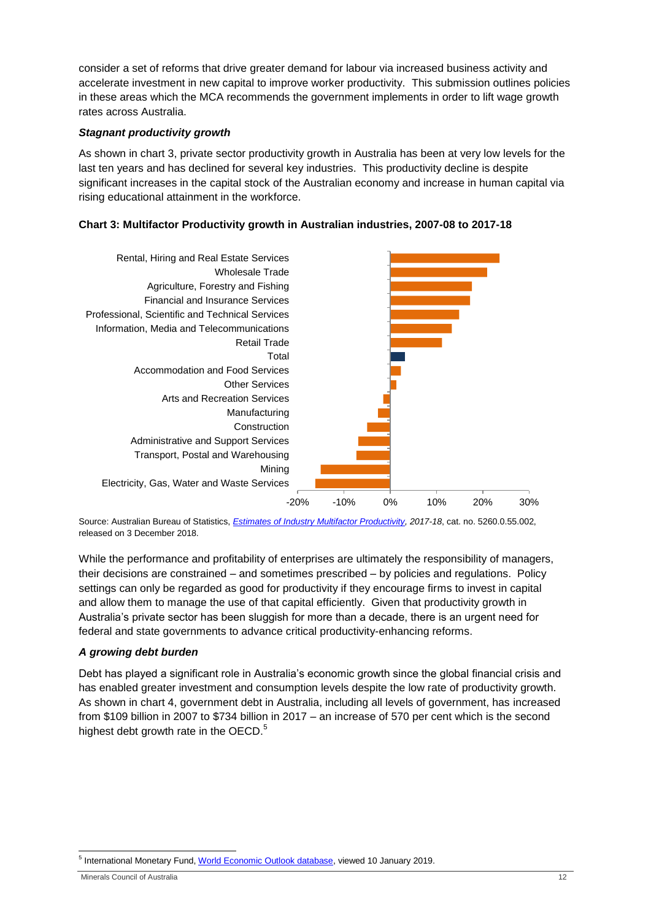consider a set of reforms that drive greater demand for labour via increased business activity and accelerate investment in new capital to improve worker productivity. This submission outlines policies in these areas which the MCA recommends the government implements in order to lift wage growth rates across Australia.

# *Stagnant productivity growth*

As shown in chart 3, private sector productivity growth in Australia has been at very low levels for the last ten years and has declined for several key industries. This productivity decline is despite significant increases in the capital stock of the Australian economy and increase in human capital via rising educational attainment in the workforce.

# **Chart 3: Multifactor Productivity growth in Australian industries, 2007-08 to 2017-18**



Source: Australian Bureau of Statistics, *[Estimates of Industry Multifactor Productivity,](http://www.abs.gov.au/AUSSTATS/abs@.nsf/DetailsPage/5260.0.55.0022017-18?OpenDocument) 2017-18*, cat. no. 5260.0.55.002, released on 3 December 2018.

While the performance and profitability of enterprises are ultimately the responsibility of managers, their decisions are constrained – and sometimes prescribed – by policies and regulations. Policy settings can only be regarded as good for productivity if they encourage firms to invest in capital and allow them to manage the use of that capital efficiently. Given that productivity growth in Australia's private sector has been sluggish for more than a decade, there is an urgent need for federal and state governments to advance critical productivity-enhancing reforms.

# *A growing debt burden*

Debt has played a significant role in Australia's economic growth since the global financial crisis and has enabled greater investment and consumption levels despite the low rate of productivity growth. As shown in chart 4, government debt in Australia, including all levels of government, has increased from \$109 billion in 2007 to \$734 billion in 2017 – an increase of 570 per cent which is the second highest debt growth rate in the OECD.<sup>5</sup>

 5 International Monetary Fund[, World Economic Outlook database,](https://www.imf.org/external/pubs/ft/weo/2018/02/weodata/index.aspx) viewed 10 January 2019.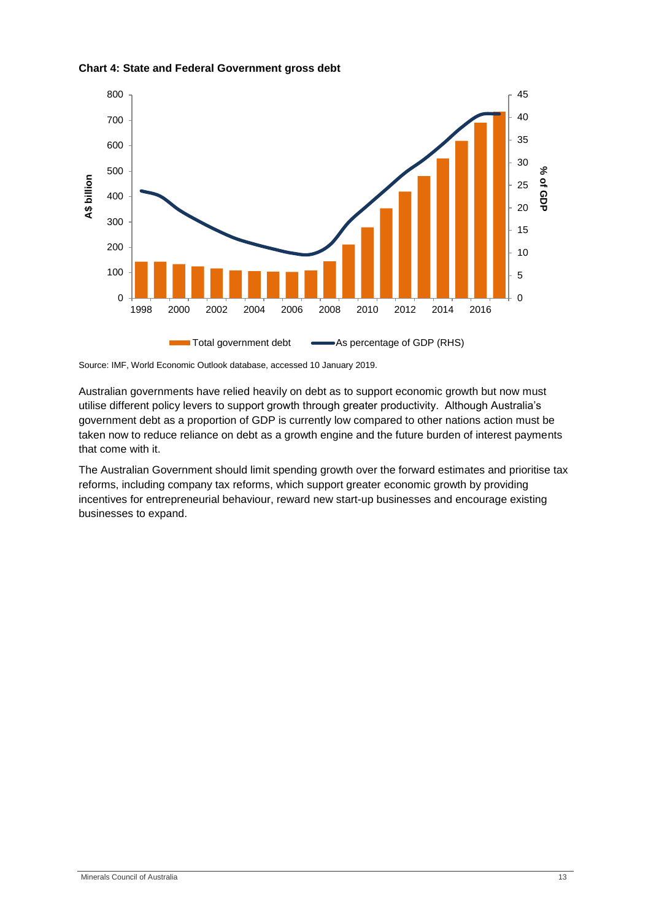



Source: IMF, World Economic Outlook database, accessed 10 January 2019.

Australian governments have relied heavily on debt as to support economic growth but now must utilise different policy levers to support growth through greater productivity. Although Australia's government debt as a proportion of GDP is currently low compared to other nations action must be taken now to reduce reliance on debt as a growth engine and the future burden of interest payments that come with it.

The Australian Government should limit spending growth over the forward estimates and prioritise tax reforms, including company tax reforms, which support greater economic growth by providing incentives for entrepreneurial behaviour, reward new start-up businesses and encourage existing businesses to expand.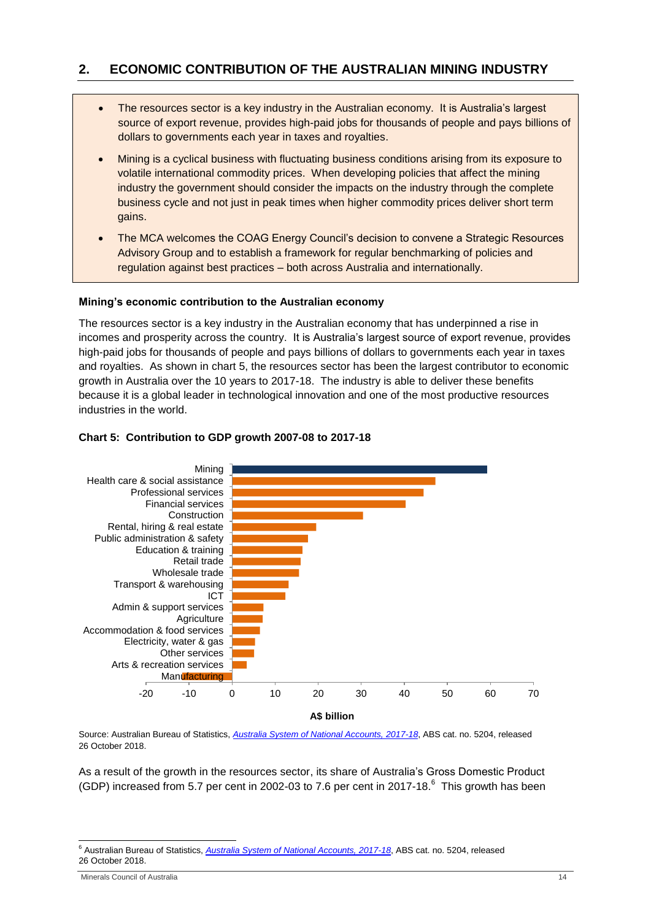# <span id="page-13-0"></span>**2. ECONOMIC CONTRIBUTION OF THE AUSTRALIAN MINING INDUSTRY**

- The resources sector is a key industry in the Australian economy. It is Australia's largest source of export revenue, provides high-paid jobs for thousands of people and pays billions of dollars to governments each year in taxes and royalties.
- Mining is a cyclical business with fluctuating business conditions arising from its exposure to volatile international commodity prices. When developing policies that affect the mining industry the government should consider the impacts on the industry through the complete business cycle and not just in peak times when higher commodity prices deliver short term gains.
- The MCA welcomes the COAG Energy Council's decision to convene a Strategic Resources Advisory Group and to establish a framework for regular benchmarking of policies and regulation against best practices – both across Australia and internationally.

#### **Mining's economic contribution to the Australian economy**

The resources sector is a key industry in the Australian economy that has underpinned a rise in incomes and prosperity across the country. It is Australia's largest source of export revenue, provides high-paid jobs for thousands of people and pays billions of dollars to governments each year in taxes and royalties. As shown in chart 5, the resources sector has been the largest contributor to economic growth in Australia over the 10 years to 2017-18. The industry is able to deliver these benefits because it is a global leader in technological innovation and one of the most productive resources industries in the world.



#### **Chart 5: Contribution to GDP growth 2007-08 to 2017-18**

Source: Australian Bureau of Statistics, *[Australia System of National Accounts, 2017-18](http://www.abs.gov.au/AUSSTATS/abs@.nsf/DetailsPage/5204.02017-18?OpenDocument)*, ABS cat. no. 5204, released 26 October 2018.

As a result of the growth in the resources sector, its share of Australia's Gross Domestic Product (GDP) increased from 5.7 per cent in 2002-03 to 7.6 per cent in 2017-18.<sup>6</sup> This growth has been

-

<sup>6</sup> Australian Bureau of Statistics, *[Australia System of National Accounts, 2017-18](http://www.abs.gov.au/AUSSTATS/abs@.nsf/DetailsPage/5204.02017-18?OpenDocument)*, ABS cat. no. 5204, released 26 October 2018.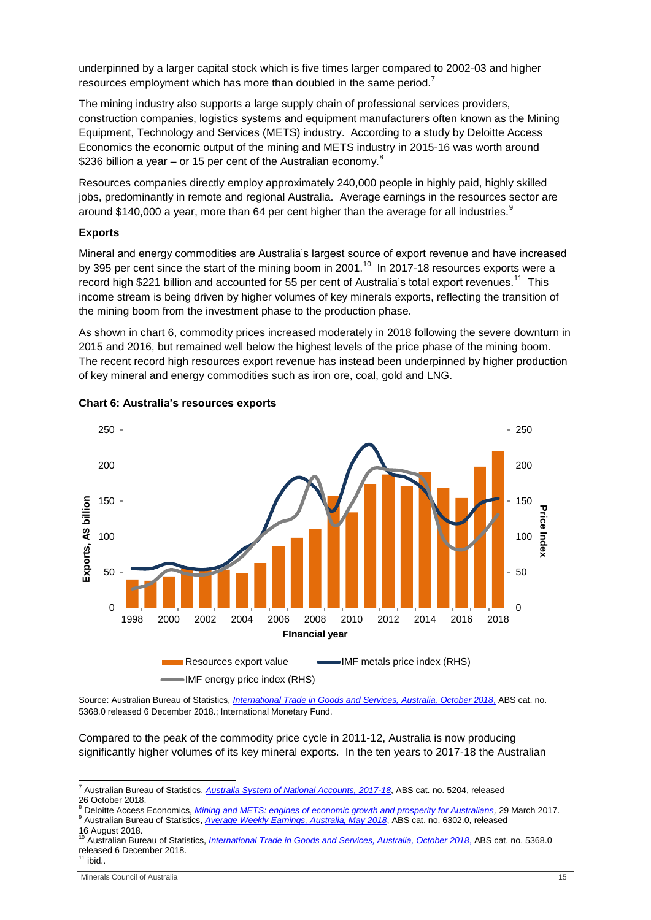underpinned by a larger capital stock which is five times larger compared to 2002-03 and higher resources employment which has more than doubled in the same period.<sup>7</sup>

The mining industry also supports a large supply chain of professional services providers, construction companies, logistics systems and equipment manufacturers often known as the Mining Equipment, Technology and Services (METS) industry. According to a study by Deloitte Access Economics the economic output of the mining and METS industry in 2015-16 was worth around \$236 billion a year – or 15 per cent of the Australian economy. $8$ 

Resources companies directly employ approximately 240,000 people in highly paid, highly skilled jobs, predominantly in remote and regional Australia. Average earnings in the resources sector are around \$140,000 a year, more than 64 per cent higher than the average for all industries. $^9$ 

#### **Exports**

Mineral and energy commodities are Australia's largest source of export revenue and have increased by 395 per cent since the start of the mining boom in 2001.<sup>10</sup> In 2017-18 resources exports were a record high \$221 billion and accounted for 55 per cent of Australia's total export revenues.<sup>11</sup> This income stream is being driven by higher volumes of key minerals exports, reflecting the transition of the mining boom from the investment phase to the production phase.

As shown in chart 6, commodity prices increased moderately in 2018 following the severe downturn in 2015 and 2016, but remained well below the highest levels of the price phase of the mining boom. The recent record high resources export revenue has instead been underpinned by higher production of key mineral and energy commodities such as iron ore, coal, gold and LNG.



#### **Chart 6: Australia's resources exports**

Source: Australian Bureau of Statistics, *[International Trade in Goods and Services, Australia, October 2018](http://www.abs.gov.au/AUSSTATS/abs@.nsf/allprimarymainfeatures/A5FB33BD2E3CC68FCA257496001547A1?opendocument)*, ABS cat. no. 5368.0 released 6 December 2018.; International Monetary Fund.

Compared to the peak of the commodity price cycle in 2011-12, Australia is now producing significantly higher volumes of its key mineral exports. In the ten years to 2017-18 the Australian

1

<sup>7</sup> Australian Bureau of Statistics, *[Australia System of National Accounts, 2017-18](http://www.abs.gov.au/AUSSTATS/abs@.nsf/DetailsPage/5204.02017-18?OpenDocument)*, ABS cat. no. 5204, released 26 October 2018.

<sup>8</sup> Deloitte Access Economics, *[Mining and METS: engines of economic growth and prosperity for Australians,](https://www.minerals.org.au/news/mining-and-mets-engines-economic-growth-and-prosperity-australians)* 29 March 2017. <sup>9</sup> Australian Bureau of Statistics, *[Average Weekly Earnings, Australia,](http://www.abs.gov.au/AUSSTATS/abs@.nsf/Lookup/6302.0Main+Features1May%202018?OpenDocument) May 2018*, ABS cat. no. 6302.0, released 16 August 2018.

<sup>10</sup> Australian Bureau of Statistics, *[International Trade in Goods and Services, Australia, October 2018](http://www.abs.gov.au/AUSSTATS/abs@.nsf/allprimarymainfeatures/A5FB33BD2E3CC68FCA257496001547A1?opendocument)*, ABS cat. no. 5368.0 released 6 December 2018.

 $11$  ibid..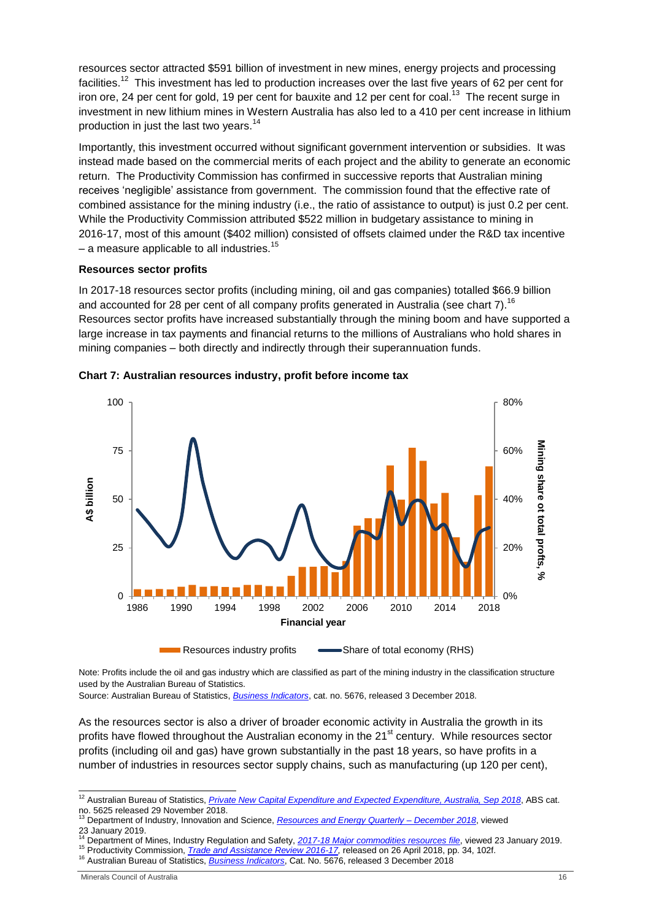resources sector attracted \$591 billion of investment in new mines, energy projects and processing facilities.<sup>12</sup> This investment has led to production increases over the last five years of 62 per cent for iron ore, 24 per cent for gold, 19 per cent for bauxite and 12 per cent for coal.<sup>13</sup> The recent surge in investment in new lithium mines in Western Australia has also led to a 410 per cent increase in lithium production in just the last two years.<sup>14</sup>

Importantly, this investment occurred without significant government intervention or subsidies. It was instead made based on the commercial merits of each project and the ability to generate an economic return. The Productivity Commission has confirmed in successive reports that Australian mining receives 'negligible' assistance from government. The commission found that the effective rate of combined assistance for the mining industry (i.e., the ratio of assistance to output) is just 0.2 per cent. While the Productivity Commission attributed \$522 million in budgetary assistance to mining in 2016-17, most of this amount (\$402 million) consisted of offsets claimed under the R&D tax incentive – a measure applicable to all industries.<sup>15</sup>

#### **Resources sector profits**

In 2017-18 resources sector profits (including mining, oil and gas companies) totalled \$66.9 billion and accounted for 28 per cent of all company profits generated in Australia (see chart 7).<sup>16</sup> Resources sector profits have increased substantially through the mining boom and have supported a large increase in tax payments and financial returns to the millions of Australians who hold shares in mining companies – both directly and indirectly through their superannuation funds.



**Chart 7: Australian resources industry, profit before income tax**

Note: Profits include the oil and gas industry which are classified as part of the mining industry in the classification structure used by the Australian Bureau of Statistics.

Source: Australian Bureau of Statistics, *[Business Indicators](http://www.abs.gov.au/ausstats/abs@.nsf/mf/5676.0)*, cat. no. 5676, released 3 December 2018.

As the resources sector is also a driver of broader economic activity in Australia the growth in its profits have flowed throughout the Australian economy in the 21<sup>st</sup> century. While resources sector profits (including oil and gas) have grown substantially in the past 18 years, so have profits in a number of industries in resources sector supply chains, such as manufacturing (up 120 per cent),

1

<sup>12</sup> Australian Bureau of Statistics, *[Private New Capital Expenditure and Expected Expenditure, Australia, Sep 2018](http://www.abs.gov.au/ausstats/abs@.nsf/mf/5625.0)*, ABS cat. no. 5625 released 29 November 2018. <sup>13</sup> Department of Industry, Innovation and Science, *[Resources and Energy Quarterly –](https://publications.industry.gov.au/publications/resourcesandenergyquarterlydecember2018/index.html) December 2018*, viewed

<sup>23</sup> January 2019.

<sup>14</sup> Department of Mines, Industry Regulation and Safety, *[2017-18 Major commodities resources file](http://dmp.wa.gov.au/About-Us-Careers/Latest-Statistics-Release-4081.aspx)*, viewed 23 January 2019.

<sup>15</sup> Productivity Commission, *[Trade and Assistance Review 2016-17,](https://www.pc.gov.au/research/ongoing/trade-assistance/2016-17/trade-assistance-review-2016-17.pdf)* released on 26 April 2018, pp. 34, 102f.

<sup>16</sup> Australian Bureau of Statistics, *[Business Indicators](http://www.abs.gov.au/ausstats/abs@.nsf/mf/5676.0)*, Cat. No. 5676, released 3 December 2018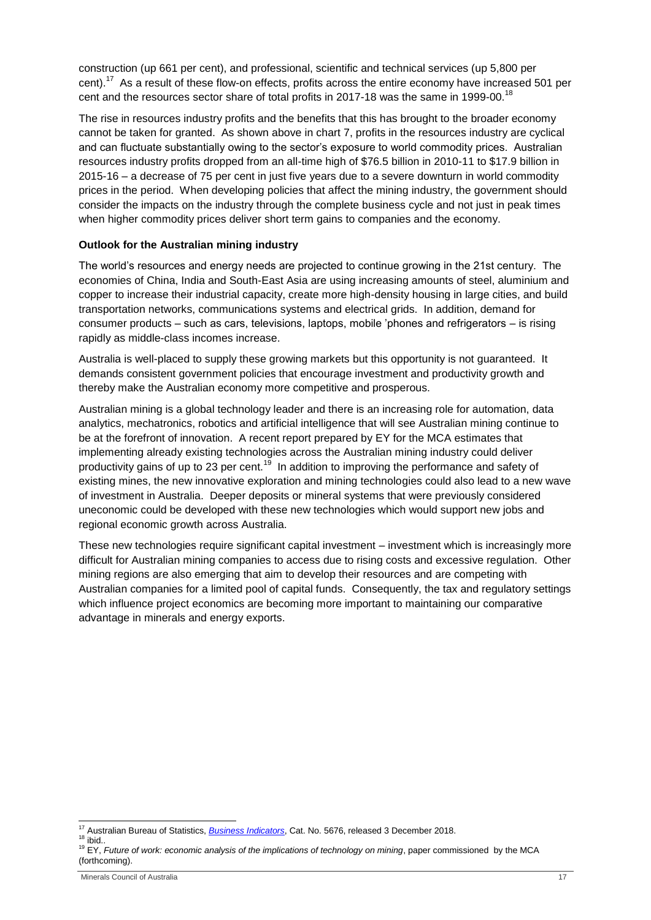construction (up 661 per cent), and professional, scientific and technical services (up 5,800 per cent).<sup>17</sup> As a result of these flow-on effects, profits across the entire economy have increased 501 per cent and the resources sector share of total profits in 2017-18 was the same in 1999-00.<sup>18</sup>

The rise in resources industry profits and the benefits that this has brought to the broader economy cannot be taken for granted. As shown above in chart 7, profits in the resources industry are cyclical and can fluctuate substantially owing to the sector's exposure to world commodity prices. Australian resources industry profits dropped from an all-time high of \$76.5 billion in 2010-11 to \$17.9 billion in 2015-16 – a decrease of 75 per cent in just five years due to a severe downturn in world commodity prices in the period. When developing policies that affect the mining industry, the government should consider the impacts on the industry through the complete business cycle and not just in peak times when higher commodity prices deliver short term gains to companies and the economy.

#### **Outlook for the Australian mining industry**

The world's resources and energy needs are projected to continue growing in the 21st century. The economies of China, India and South-East Asia are using increasing amounts of steel, aluminium and copper to increase their industrial capacity, create more high-density housing in large cities, and build transportation networks, communications systems and electrical grids. In addition, demand for consumer products – such as cars, televisions, laptops, mobile 'phones and refrigerators – is rising rapidly as middle-class incomes increase.

Australia is well-placed to supply these growing markets but this opportunity is not guaranteed. It demands consistent government policies that encourage investment and productivity growth and thereby make the Australian economy more competitive and prosperous.

Australian mining is a global technology leader and there is an increasing role for automation, data analytics, mechatronics, robotics and artificial intelligence that will see Australian mining continue to be at the forefront of innovation. A recent report prepared by EY for the MCA estimates that implementing already existing technologies across the Australian mining industry could deliver productivity gains of up to 23 per cent.<sup>19</sup> In addition to improving the performance and safety of existing mines, the new innovative exploration and mining technologies could also lead to a new wave of investment in Australia. Deeper deposits or mineral systems that were previously considered uneconomic could be developed with these new technologies which would support new jobs and regional economic growth across Australia.

These new technologies require significant capital investment – investment which is increasingly more difficult for Australian mining companies to access due to rising costs and excessive regulation. Other mining regions are also emerging that aim to develop their resources and are competing with Australian companies for a limited pool of capital funds. Consequently, the tax and regulatory settings which influence project economics are becoming more important to maintaining our comparative advantage in minerals and energy exports.

<sup>-</sup><sup>17</sup> Australian Bureau of Statistics, *[Business Indicators](http://www.abs.gov.au/ausstats/abs@.nsf/mf/5676.0)*, Cat. No. 5676, released 3 December 2018.

 $18$  ibid..

<sup>&</sup>lt;sup>19</sup> EY, *Future of work: economic analysis of the implications of technology on mining*, paper commissioned by the MCA (forthcoming).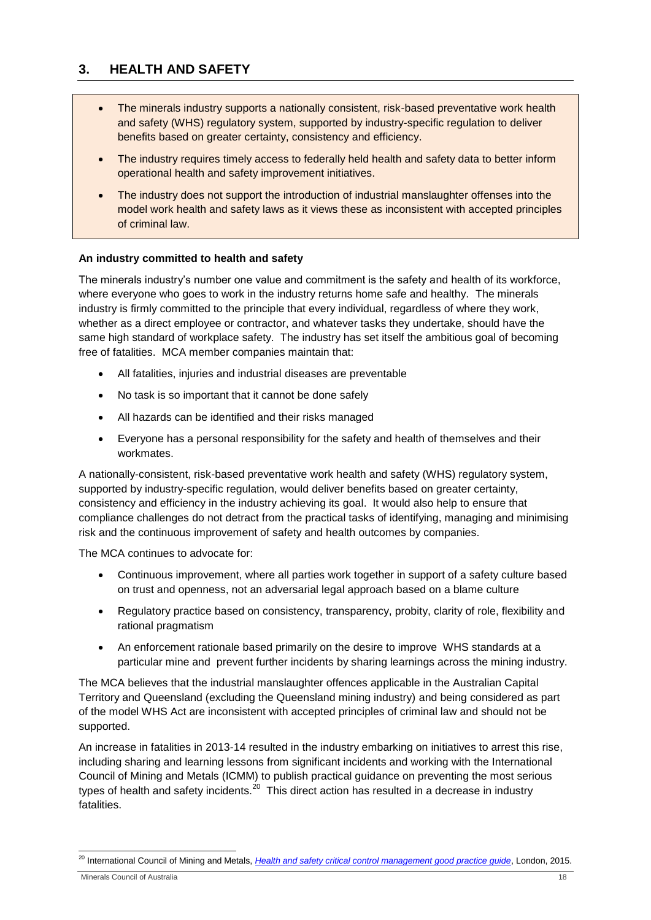# <span id="page-17-0"></span>**3. HEALTH AND SAFETY**

- The minerals industry supports a nationally consistent, risk-based preventative work health and safety (WHS) regulatory system, supported by industry-specific regulation to deliver benefits based on greater certainty, consistency and efficiency.
- The industry requires timely access to federally held health and safety data to better inform operational health and safety improvement initiatives.
- The industry does not support the introduction of industrial manslaughter offenses into the model work health and safety laws as it views these as inconsistent with accepted principles of criminal law.

# **An industry committed to health and safety**

The minerals industry's number one value and commitment is the safety and health of its workforce, where everyone who goes to work in the industry returns home safe and healthy. The minerals industry is firmly committed to the principle that every individual, regardless of where they work, whether as a direct employee or contractor, and whatever tasks they undertake, should have the same high standard of workplace safety. The industry has set itself the ambitious goal of becoming free of fatalities. MCA member companies maintain that:

- All fatalities, injuries and industrial diseases are preventable
- No task is so important that it cannot be done safely
- All hazards can be identified and their risks managed
- Everyone has a personal responsibility for the safety and health of themselves and their workmates.

A nationally-consistent, risk-based preventative work health and safety (WHS) regulatory system, supported by industry-specific regulation, would deliver benefits based on greater certainty, consistency and efficiency in the industry achieving its goal. It would also help to ensure that compliance challenges do not detract from the practical tasks of identifying, managing and minimising risk and the continuous improvement of safety and health outcomes by companies.

The MCA continues to advocate for:

- Continuous improvement, where all parties work together in support of a safety culture based on trust and openness, not an adversarial legal approach based on a blame culture
- Regulatory practice based on consistency, transparency, probity, clarity of role, flexibility and rational pragmatism
- An enforcement rationale based primarily on the desire to improve WHS standards at a particular mine and prevent further incidents by sharing learnings across the mining industry.

The MCA believes that the industrial manslaughter offences applicable in the Australian Capital Territory and Queensland (excluding the Queensland mining industry) and being considered as part of the model WHS Act are inconsistent with accepted principles of criminal law and should not be supported.

An increase in fatalities in 2013-14 resulted in the industry embarking on initiatives to arrest this rise, including sharing and learning lessons from significant incidents and working with the International Council of Mining and Metals (ICMM) to publish practical guidance on preventing the most serious types of health and safety incidents.<sup>20</sup> This direct action has resulted in a decrease in industry fatalities.

Minerals Council of Australia 18

<sup>1</sup> <sup>20</sup> International Council of Mining and Metals, *[Health and safety critical control management good practice guide](https://www.icmm.com/en-gb/publications/health-and-safety/health-and-safety-critical-control-management-good-practice-guide)*, London, 2015.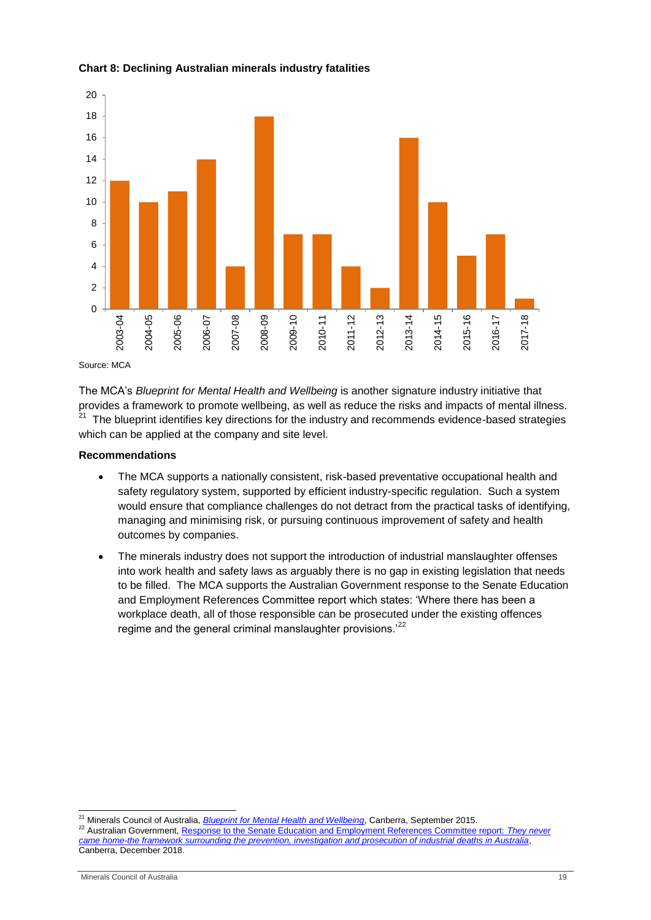

### **Chart 8: Declining Australian minerals industry fatalities**

Source: MCA

The MCA's *Blueprint for Mental Health and Wellbeing* is another signature industry initiative that provides a framework to promote wellbeing, as well as reduce the risks and impacts of mental illness. <sup>21</sup> The blueprint identifies key directions for the industry and recommends evidence-based strategies which can be applied at the company and site level.

## **Recommendations**

- The MCA supports a nationally consistent, risk-based preventative occupational health and safety regulatory system, supported by efficient industry-specific regulation. Such a system would ensure that compliance challenges do not detract from the practical tasks of identifying, managing and minimising risk, or pursuing continuous improvement of safety and health outcomes by companies.
- The minerals industry does not support the introduction of industrial manslaughter offenses into work health and safety laws as arguably there is no gap in existing legislation that needs to be filled. The MCA supports the Australian Government response to the Senate Education and Employment References Committee report which states: 'Where there has been a workplace death, all of those responsible can be prosecuted under the existing offences regime and the general criminal manslaughter provisions.<sup>22</sup>

<sup>1</sup> <sup>21</sup> Minerals Council of Australia, *[Blueprint for Mental Health and Wellbeing](http://www.minerals.org.au/sites/default/files/MCA_Mental_Health_Blueprint.pdf)*, Canberra, September 2015.

<sup>22</sup> Australian Government, [Response to the Senate Education and Employment References Committee report:](https://www.aph.gov.au/Parliamentary_Business/Committees/Senate/Education_and_Employment/IndustrialdeathsinAus/Government_Response) *They never [came home-the framework surrounding the prevention, investigation and prosecution of industrial deaths in Australia](https://www.aph.gov.au/Parliamentary_Business/Committees/Senate/Education_and_Employment/IndustrialdeathsinAus/Government_Response)*, Canberra, December 2018.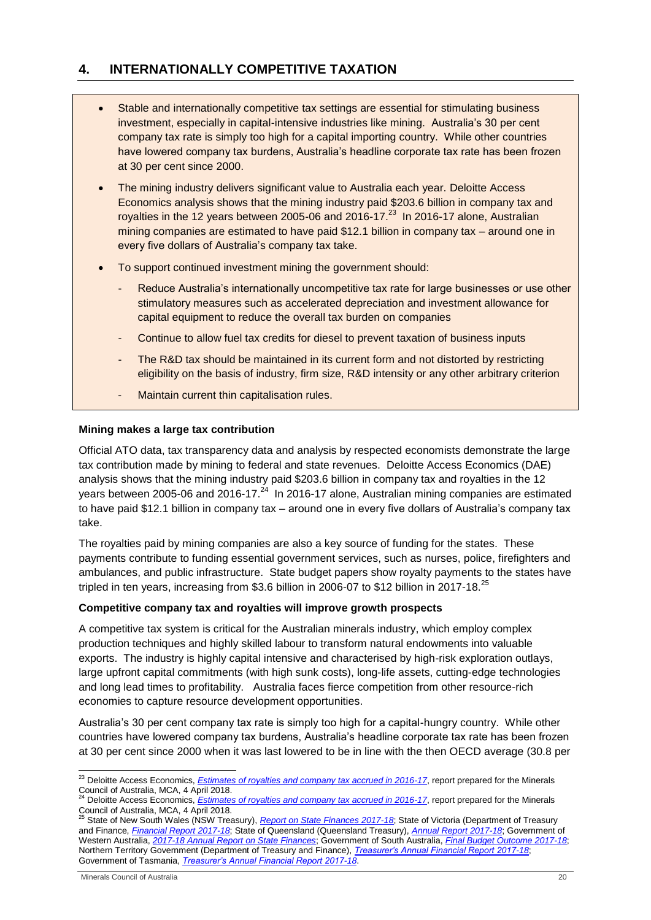# <span id="page-19-0"></span>**4. INTERNATIONALLY COMPETITIVE TAXATION**

- Stable and internationally competitive tax settings are essential for stimulating business investment, especially in capital-intensive industries like mining. Australia's 30 per cent company tax rate is simply too high for a capital importing country. While other countries have lowered company tax burdens, Australia's headline corporate tax rate has been frozen at 30 per cent since 2000.
- The mining industry delivers significant value to Australia each year. Deloitte Access Economics analysis shows that the mining industry paid \$203.6 billion in company tax and royalties in the 12 years between 2005-06 and 2016-17. $^{23}$  In 2016-17 alone, Australian mining companies are estimated to have paid \$12.1 billion in company tax – around one in every five dollars of Australia's company tax take.
- To support continued investment mining the government should:
	- Reduce Australia's internationally uncompetitive tax rate for large businesses or use other stimulatory measures such as accelerated depreciation and investment allowance for capital equipment to reduce the overall tax burden on companies
	- Continue to allow fuel tax credits for diesel to prevent taxation of business inputs
	- The R&D tax should be maintained in its current form and not distorted by restricting eligibility on the basis of industry, firm size, R&D intensity or any other arbitrary criterion
	- Maintain current thin capitalisation rules.

# **Mining makes a large tax contribution**

Official ATO data, tax transparency data and analysis by respected economists demonstrate the large tax contribution made by mining to federal and state revenues. Deloitte Access Economics (DAE) analysis shows that the mining industry paid \$203.6 billion in company tax and royalties in the 12 years between 2005-06 and 2016-17. $^{24}$  In 2016-17 alone, Australian mining companies are estimated to have paid \$12.1 billion in company tax – around one in every five dollars of Australia's company tax take.

The royalties paid by mining companies are also a key source of funding for the states. These payments contribute to funding essential government services, such as nurses, police, firefighters and ambulances, and public infrastructure. State budget papers show royalty payments to the states have tripled in ten years, increasing from \$3.6 billion in 2006-07 to \$12 billion in 2017-18.<sup>25</sup>

#### **Competitive company tax and royalties will improve growth prospects**

A competitive tax system is critical for the Australian minerals industry, which employ complex production techniques and highly skilled labour to transform natural endowments into valuable exports. The industry is highly capital intensive and characterised by high-risk exploration outlays, large upfront capital commitments (with high sunk costs), long-life assets, cutting-edge technologies and long lead times to profitability. Australia faces fierce competition from other resource-rich economies to capture resource development opportunities.

Australia's 30 per cent company tax rate is simply too high for a capital-hungry country. While other countries have lowered company tax burdens, Australia's headline corporate tax rate has been frozen at 30 per cent since 2000 when it was last lowered to be in line with the then OECD average (30.8 per

-

<sup>&</sup>lt;sup>23</sup> Deloitte Access Economics, *[Estimates of royalties and company tax accrued in 2016-17](https://www.minerals.org.au/sites/default/files/DAE%20-%20MCA%202016-17%20tax%20survery%20report%20-%20April%202018.pdf)*, report prepared for the Minerals Council of Australia, MCA, 4 April 2018.

<sup>24</sup> Deloitte Access Economics, *[Estimates of royalties and company tax accrued in 2016-17](https://www.minerals.org.au/sites/default/files/DAE%20-%20MCA%202016-17%20tax%20survery%20report%20-%20April%202018.pdf)*, report prepared for the Minerals Council of Australia, MCA, 4 April 2018. <sup>25</sup> State of New South Wales (NSW Treasury), *[Report on State Finances 2017-18](https://www.treasury.nsw.gov.au/sites/default/files/2018-10/2017-18%20NSW%20Report%20on%20State%20Finances.pdf)*; State of Victoria (Department of Treasury

and Finance, *[Financial Report 2017-18](https://www.dtf.vic.gov.au/sites/default/files/document/2017-18%20Financial%20Report.pdf)*; State of Queensland (Queensland Treasury), *[Annual Report 2017-18](https://s3.treasury.qld.gov.au/files/Treasury-Annual-Report-2017-18.pdf)*; Government of Western Australia, *[2017-18 Annual Report on State Finances](https://www.treasury.wa.gov.au/uploadedFiles/_Treasury/State_finances/2017-18-annual-report-on-state-finances.pdf)*; Government of South Australia, *[Final Budget Outcome 2017-18](https://www.treasury.sa.gov.au/__data/assets/pdf_file/0019/43093/Final-Budget-Outcome-2017-18-for-Web.pdf)*; Northern Territory Government (Department of Treasury and Finance), *[Treasurer's Annual Financial Report 2017-18](https://treasury.nt.gov.au/__data/assets/pdf_file/0004/587938/Treasurers-Annual-Financial-Report-201718.pdf)*; Government of Tasmania, *[Treasurer's Annual Financial Report 2017-18](https://www.treasury.tas.gov.au/Documents/2017-18%20Treasurers%20Annual%20Financial%20Report.pdf)*.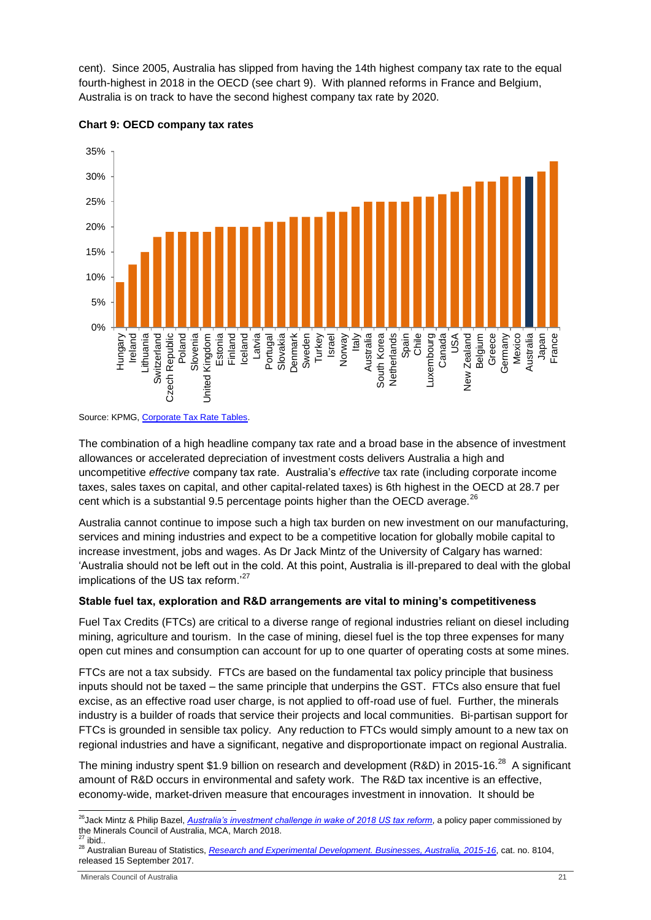cent). Since 2005, Australia has slipped from having the 14th highest company tax rate to the equal fourth-highest in 2018 in the OECD (see chart 9). With planned reforms in France and Belgium, Australia is on track to have the second highest company tax rate by 2020.





The combination of a high headline company tax rate and a broad base in the absence of investment allowances or accelerated depreciation of investment costs delivers Australia a high and uncompetitive *effective* company tax rate. Australia's *effective* tax rate (including corporate income taxes, sales taxes on capital, and other capital-related taxes) is 6th highest in the OECD at 28.7 per cent which is a substantial 9.5 percentage points higher than the OECD average.<sup>26</sup>

Australia cannot continue to impose such a high tax burden on new investment on our manufacturing, services and mining industries and expect to be a competitive location for globally mobile capital to increase investment, jobs and wages. As Dr Jack Mintz of the University of Calgary has warned: 'Australia should not be left out in the cold. At this point, Australia is ill-prepared to deal with the global implications of the US tax reform.<sup>'27</sup>

#### **Stable fuel tax, exploration and R&D arrangements are vital to mining's competitiveness**

Fuel Tax Credits (FTCs) are critical to a diverse range of regional industries reliant on diesel including mining, agriculture and tourism. In the case of mining, diesel fuel is the top three expenses for many open cut mines and consumption can account for up to one quarter of operating costs at some mines.

FTCs are not a tax subsidy. FTCs are based on the fundamental tax policy principle that business inputs should not be taxed – the same principle that underpins the GST. FTCs also ensure that fuel excise, as an effective road user charge, is not applied to off-road use of fuel. Further, the minerals industry is a builder of roads that service their projects and local communities. Bi-partisan support for FTCs is grounded in sensible tax policy. Any reduction to FTCs would simply amount to a new tax on regional industries and have a significant, negative and disproportionate impact on regional Australia.

The mining industry spent \$1.9 billion on research and development (R&D) in 2015-16.<sup>28</sup> A significant amount of R&D occurs in environmental and safety work. The R&D tax incentive is an effective, economy-wide, market-driven measure that encourages investment in innovation. It should be

Source: KPMG, Corporate Tax Rate Tables.

<sup>1</sup> <sup>26</sup>Jack Mintz & Philip Bazel, *[Australia's investment challenge in wake of 2018 US tax reform](https://www.minerals.org.au/sites/default/files/Dr%20Jack%20Mintz%20Company%20tax%20report-%20Australia%27s%20investment%20challenge%20in%20wake%20of%202018%20US%20tax%20reform%20-%20March%202018%20.pdf)*, a policy paper commissioned by the Minerals Council of Australia, MCA, March 2018.

 $27$  ibid.

<sup>28</sup> Australian Bureau of Statistics, *[Research and Experimental Development. Businesses, Australia, 2015-16](http://www.abs.gov.au/AUSSTATS/abs@.nsf/DetailsPage/8104.02015-16?OpenDocument)*, cat. no. 8104, released 15 September 2017.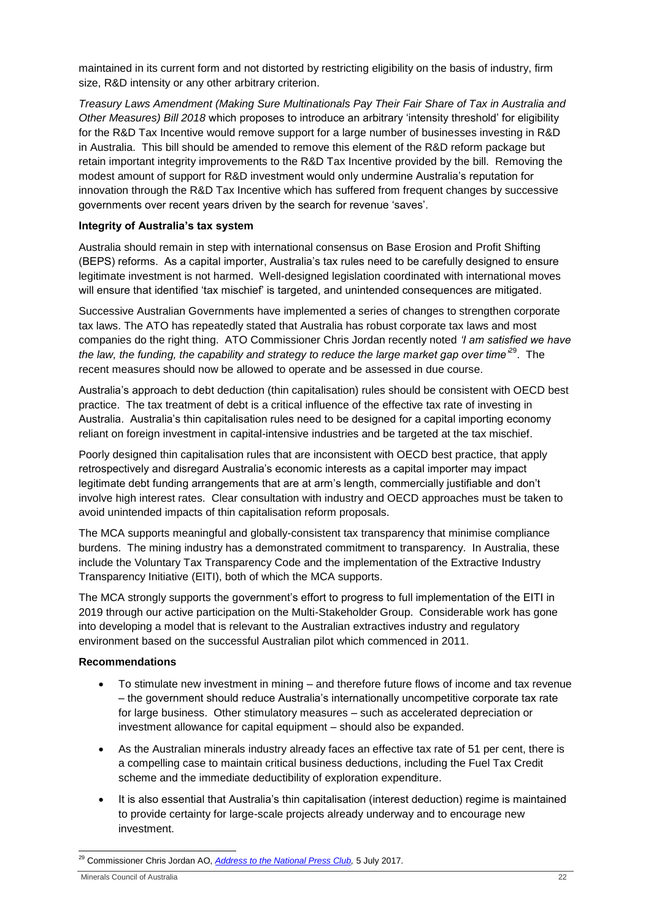maintained in its current form and not distorted by restricting eligibility on the basis of industry, firm size, R&D intensity or any other arbitrary criterion.

*Treasury Laws Amendment (Making Sure Multinationals Pay Their Fair Share of Tax in Australia and Other Measures) Bill 2018* which proposes to introduce an arbitrary 'intensity threshold' for eligibility for the R&D Tax Incentive would remove support for a large number of businesses investing in R&D in Australia. This bill should be amended to remove this element of the R&D reform package but retain important integrity improvements to the R&D Tax Incentive provided by the bill. Removing the modest amount of support for R&D investment would only undermine Australia's reputation for innovation through the R&D Tax Incentive which has suffered from frequent changes by successive governments over recent years driven by the search for revenue 'saves'.

#### **Integrity of Australia's tax system**

Australia should remain in step with international consensus on Base Erosion and Profit Shifting (BEPS) reforms. As a capital importer, Australia's tax rules need to be carefully designed to ensure legitimate investment is not harmed. Well-designed legislation coordinated with international moves will ensure that identified 'tax mischief' is targeted, and unintended consequences are mitigated.

Successive Australian Governments have implemented a series of changes to strengthen corporate tax laws. The ATO has repeatedly stated that Australia has robust corporate tax laws and most companies do the right thing. ATO Commissioner Chris Jordan recently noted *'I am satisfied we have the law, the funding, the capability and strategy to reduce the large market gap over time'*<sup>29</sup>. The recent measures should now be allowed to operate and be assessed in due course.

Australia's approach to debt deduction (thin capitalisation) rules should be consistent with OECD best practice. The tax treatment of debt is a critical influence of the effective tax rate of investing in Australia. Australia's thin capitalisation rules need to be designed for a capital importing economy reliant on foreign investment in capital-intensive industries and be targeted at the tax mischief.

Poorly designed thin capitalisation rules that are inconsistent with OECD best practice, that apply retrospectively and disregard Australia's economic interests as a capital importer may impact legitimate debt funding arrangements that are at arm's length, commercially justifiable and don't involve high interest rates. Clear consultation with industry and OECD approaches must be taken to avoid unintended impacts of thin capitalisation reform proposals.

The MCA supports meaningful and globally-consistent tax transparency that minimise compliance burdens. The mining industry has a demonstrated commitment to transparency. In Australia, these include the Voluntary Tax Transparency Code and the implementation of the Extractive Industry Transparency Initiative (EITI), both of which the MCA supports.

The MCA strongly supports the government's effort to progress to full implementation of the EITI in 2019 through our active participation on the Multi-Stakeholder Group. Considerable work has gone into developing a model that is relevant to the Australian extractives industry and regulatory environment based on the successful Australian pilot which commenced in 2011.

#### **Recommendations**

- To stimulate new investment in mining and therefore future flows of income and tax revenue – the government should reduce Australia's internationally uncompetitive corporate tax rate for large business. Other stimulatory measures – such as accelerated depreciation or investment allowance for capital equipment – should also be expanded.
- As the Australian minerals industry already faces an effective tax rate of 51 per cent, there is a compelling case to maintain critical business deductions, including the Fuel Tax Credit scheme and the immediate deductibility of exploration expenditure.
- It is also essential that Australia's thin capitalisation (interest deduction) regime is maintained to provide certainty for large-scale projects already underway and to encourage new investment.

<sup>1</sup> <sup>29</sup> Commissioner Chris Jordan AO, *[Address to the National Press Club,](https://www.ato.gov.au/Media-centre/Speeches/Commissioner/Commissioner-s-address-to-the-National-Press-Club/)* 5 July 2017.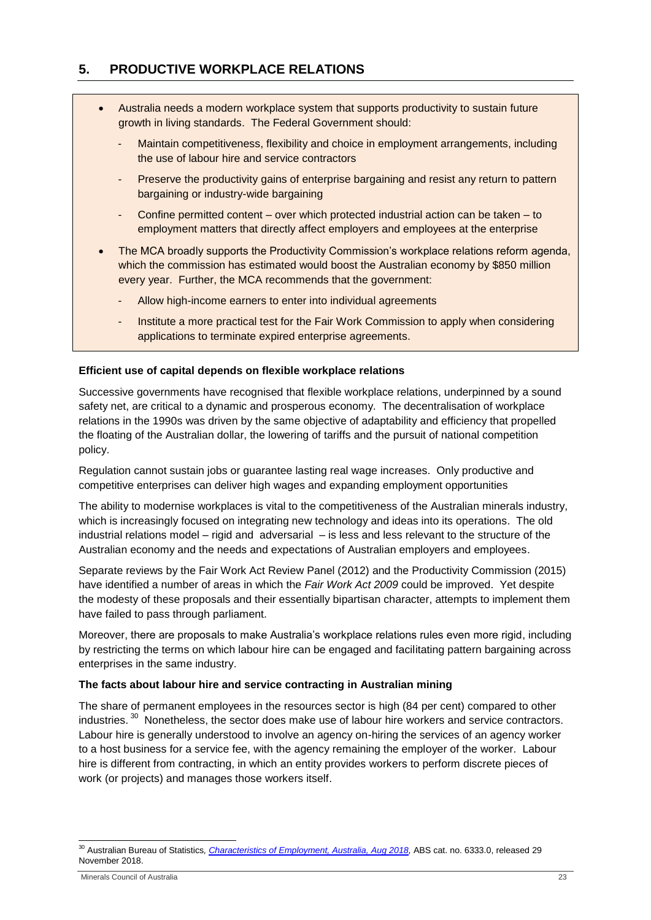# <span id="page-22-0"></span>**5. PRODUCTIVE WORKPLACE RELATIONS**

- Australia needs a modern workplace system that supports productivity to sustain future growth in living standards. The Federal Government should:
	- Maintain competitiveness, flexibility and choice in employment arrangements, including the use of labour hire and service contractors
	- Preserve the productivity gains of enterprise bargaining and resist any return to pattern bargaining or industry-wide bargaining
	- Confine permitted content over which protected industrial action can be taken to employment matters that directly affect employers and employees at the enterprise
- The MCA broadly supports the Productivity Commission's workplace relations reform agenda, which the commission has estimated would boost the Australian economy by \$850 million every year. Further, the MCA recommends that the government:
	- Allow high-income earners to enter into individual agreements
	- Institute a more practical test for the Fair Work Commission to apply when considering applications to terminate expired enterprise agreements.

#### **Efficient use of capital depends on flexible workplace relations**

Successive governments have recognised that flexible workplace relations, underpinned by a sound safety net, are critical to a dynamic and prosperous economy. The decentralisation of workplace relations in the 1990s was driven by the same objective of adaptability and efficiency that propelled the floating of the Australian dollar, the lowering of tariffs and the pursuit of national competition policy.

Regulation cannot sustain jobs or guarantee lasting real wage increases. Only productive and competitive enterprises can deliver high wages and expanding employment opportunities

The ability to modernise workplaces is vital to the competitiveness of the Australian minerals industry, which is increasingly focused on integrating new technology and ideas into its operations. The old industrial relations model – rigid and adversarial – is less and less relevant to the structure of the Australian economy and the needs and expectations of Australian employers and employees.

Separate reviews by the Fair Work Act Review Panel (2012) and the Productivity Commission (2015) have identified a number of areas in which the *Fair Work Act 2009* could be improved. Yet despite the modesty of these proposals and their essentially bipartisan character, attempts to implement them have failed to pass through parliament.

Moreover, there are proposals to make Australia's workplace relations rules even more rigid, including by restricting the terms on which labour hire can be engaged and facilitating pattern bargaining across enterprises in the same industry.

#### **The facts about labour hire and service contracting in Australian mining**

The share of permanent employees in the resources sector is high (84 per cent) compared to other industries.<sup>30</sup> Nonetheless, the sector does make use of labour hire workers and service contractors. Labour hire is generally understood to involve an agency on-hiring the services of an agency worker to a host business for a service fee, with the agency remaining the employer of the worker. Labour hire is different from contracting, in which an entity provides workers to perform discrete pieces of work (or projects) and manages those workers itself.

-

<sup>&</sup>lt;sup>30</sup> Australian Bureau of Statistics, *Characteristics of Employment, Australia, Aug 2018,* ABS cat. no. 6333.0, released 29 November 2018.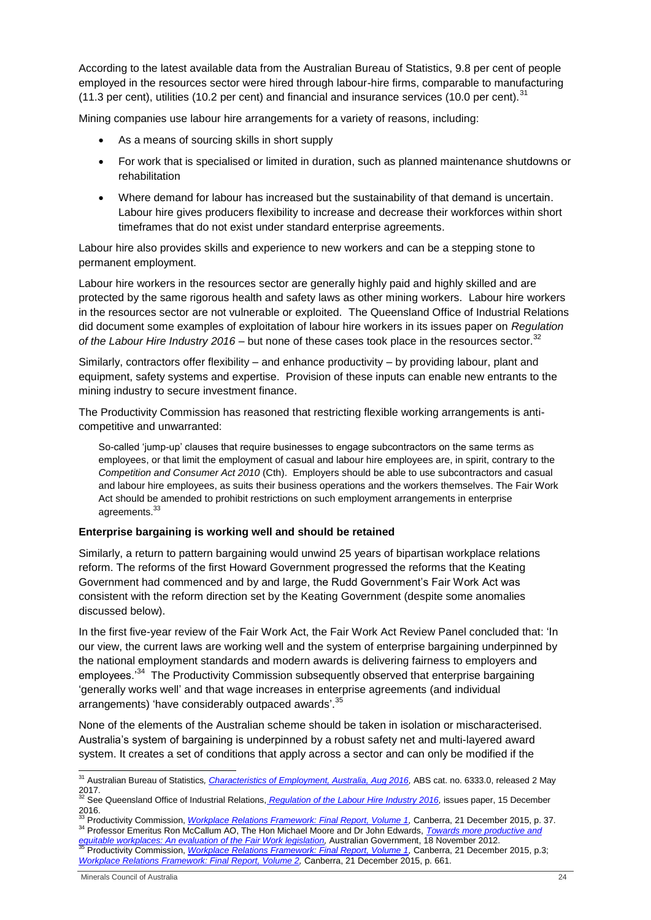According to the latest available data from the Australian Bureau of Statistics, 9.8 per cent of people employed in the resources sector were hired through labour-hire firms, comparable to manufacturing (11.3 per cent), utilities (10.2 per cent) and financial and insurance services (10.0 per cent).  $31$ 

Mining companies use labour hire arrangements for a variety of reasons, including:

- As a means of sourcing skills in short supply
- For work that is specialised or limited in duration, such as planned maintenance shutdowns or rehabilitation
- Where demand for labour has increased but the sustainability of that demand is uncertain. Labour hire gives producers flexibility to increase and decrease their workforces within short timeframes that do not exist under standard enterprise agreements.

Labour hire also provides skills and experience to new workers and can be a stepping stone to permanent employment.

Labour hire workers in the resources sector are generally highly paid and highly skilled and are protected by the same rigorous health and safety laws as other mining workers. Labour hire workers in the resources sector are not vulnerable or exploited. The Queensland Office of Industrial Relations did document some examples of exploitation of labour hire workers in its issues paper on *Regulation*  of the Labour Hire Industry 2016 – but none of these cases took place in the resources sector.<sup>32</sup>

Similarly, contractors offer flexibility – and enhance productivity – by providing labour, plant and equipment, safety systems and expertise. Provision of these inputs can enable new entrants to the mining industry to secure investment finance.

The Productivity Commission has reasoned that restricting flexible working arrangements is anticompetitive and unwarranted:

So-called 'jump-up' clauses that require businesses to engage subcontractors on the same terms as employees, or that limit the employment of casual and labour hire employees are, in spirit, contrary to the *Competition and Consumer Act 2010* (Cth). Employers should be able to use subcontractors and casual and labour hire employees, as suits their business operations and the workers themselves. The Fair Work Act should be amended to prohibit restrictions on such employment arrangements in enterprise agreements.<sup>33</sup>

#### **Enterprise bargaining is working well and should be retained**

Similarly, a return to pattern bargaining would unwind 25 years of bipartisan workplace relations reform. The reforms of the first Howard Government progressed the reforms that the Keating Government had commenced and by and large, the Rudd Government's Fair Work Act was consistent with the reform direction set by the Keating Government (despite some anomalies discussed below).

In the first five-year review of the Fair Work Act, the Fair Work Act Review Panel concluded that: 'In our view, the current laws are working well and the system of enterprise bargaining underpinned by the national employment standards and modern awards is delivering fairness to employers and employees.<sup>34</sup> The Productivity Commission subsequently observed that enterprise bargaining 'generally works well' and that wage increases in enterprise agreements (and individual arrangements) 'have considerably outpaced awards'.<sup>35</sup>

None of the elements of the Australian scheme should be taken in isolation or mischaracterised. Australia's system of bargaining is underpinned by a robust safety net and multi-layered award system. It creates a set of conditions that apply across a sector and can only be modified if the

<sup>-</sup><sup>31</sup> Australian Bureau of Statistics*, [Characteristics of Employment, Australia, Aug 2016,](http://www.abs.gov.au/AUSSTATS/abs@.nsf/allprimarymainfeatures/79BFDF96A3DCCB70CA25823D0018FAF7?opendocument)* ABS cat. no. 6333.0, released 2 May  $\frac{2017}{32}$ 

<sup>32</sup> See Queensland Office of Industrial Relations, *[Regulation of the Labour Hire Industry 2016,](https://www.oir.qld.gov.au/sites/g/files/net5141/f/labour-hire-issues-paper-december-2016.pdf?v=1532909488)* issues paper, 15 December 2016.

<sup>33</sup> Productivity Commission, *[Workplace Relations Framework: Final Report, Volume 1,](https://www.pc.gov.au/inquiries/completed/workplace-relations/report/workplace-relations-volume1.pdf)* Canberra, 21 December 2015, p. 37. <sup>34</sup> Professor Emeritus Ron McCallum AO, The Hon Michael Moore and Dr John Edwards, *[Towards more productive and](https://docs.employment.gov.au/system/files/doc/other/towards_more_productive_and_equitable_workplaces_an_evaluation_of_the_fair_work_legislation.pdf)*  [equitable workplaces: An evaluation of the Fair Work legislation,](https://docs.employment.gov.au/system/files/doc/other/towards_more_productive_and_equitable_workplaces_an_evaluation_of_the_fair_work_legislation.pdf) Australian Government, 18 November 2012.<br><sup>35</sup> Productivity Commission, <u>Workplace Relations Framework: Final Report, Volume 1</u>, Canberra, 21 December 2015, *[Workplace Relations Framework: Final Report, Volume 2,](https://www.pc.gov.au/inquiries/completed/workplace-relations/report/workplace-relations-volume2.pdf)* Canberra, 21 December 2015, p. 661.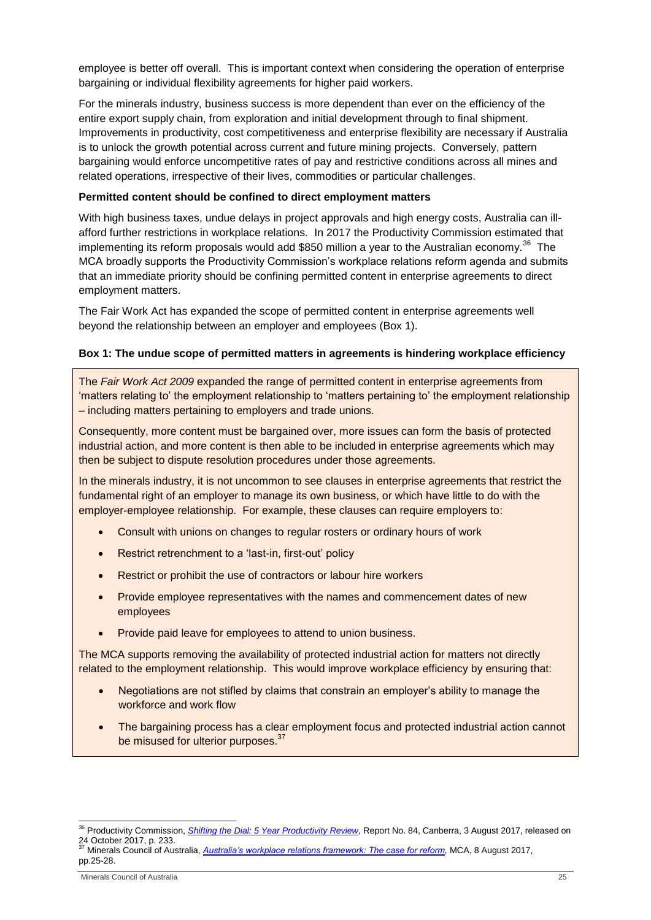employee is better off overall. This is important context when considering the operation of enterprise bargaining or individual flexibility agreements for higher paid workers.

For the minerals industry, business success is more dependent than ever on the efficiency of the entire export supply chain, from exploration and initial development through to final shipment. Improvements in productivity, cost competitiveness and enterprise flexibility are necessary if Australia is to unlock the growth potential across current and future mining projects. Conversely, pattern bargaining would enforce uncompetitive rates of pay and restrictive conditions across all mines and related operations, irrespective of their lives, commodities or particular challenges.

# **Permitted content should be confined to direct employment matters**

With high business taxes, undue delays in project approvals and high energy costs, Australia can illafford further restrictions in workplace relations. In 2017 the Productivity Commission estimated that implementing its reform proposals would add \$850 million a year to the Australian economy.<sup>36</sup> The MCA broadly supports the Productivity Commission's workplace relations reform agenda and submits that an immediate priority should be confining permitted content in enterprise agreements to direct employment matters.

The Fair Work Act has expanded the scope of permitted content in enterprise agreements well beyond the relationship between an employer and employees (Box 1).

#### **Box 1: The undue scope of permitted matters in agreements is hindering workplace efficiency**

The *Fair Work Act 2009* expanded the range of permitted content in enterprise agreements from 'matters relating to' the employment relationship to 'matters pertaining to' the employment relationship – including matters pertaining to employers and trade unions.

Consequently, more content must be bargained over, more issues can form the basis of protected industrial action, and more content is then able to be included in enterprise agreements which may then be subject to dispute resolution procedures under those agreements.

In the minerals industry, it is not uncommon to see clauses in enterprise agreements that restrict the fundamental right of an employer to manage its own business, or which have little to do with the employer-employee relationship. For example, these clauses can require employers to:

- Consult with unions on changes to regular rosters or ordinary hours of work
- Restrict retrenchment to a 'last-in, first-out' policy
- Restrict or prohibit the use of contractors or labour hire workers
- Provide employee representatives with the names and commencement dates of new employees
- Provide paid leave for employees to attend to union business.

The MCA supports removing the availability of protected industrial action for matters not directly related to the employment relationship. This would improve workplace efficiency by ensuring that:

- Negotiations are not stifled by claims that constrain an employer's ability to manage the workforce and work flow
- The bargaining process has a clear employment focus and protected industrial action cannot be misused for ulterior purposes.<sup>37</sup>

<sup>-</sup><sup>36</sup> Productivity Commission, *[Shifting the Dial: 5 Year Productivity Review,](https://www.pc.gov.au/inquiries/completed/productivity-review/report/productivity-review.pdf)* Report No. 84, Canberra, 3 August 2017, released on 24 October 2017, p. 233.<br><sup>37</sup> Minerals Council of Australia, <u>A*ustralia's workplace relations framework: The case for reform,</u> MCA, 8 August 2017,</u>* 

pp.25-28.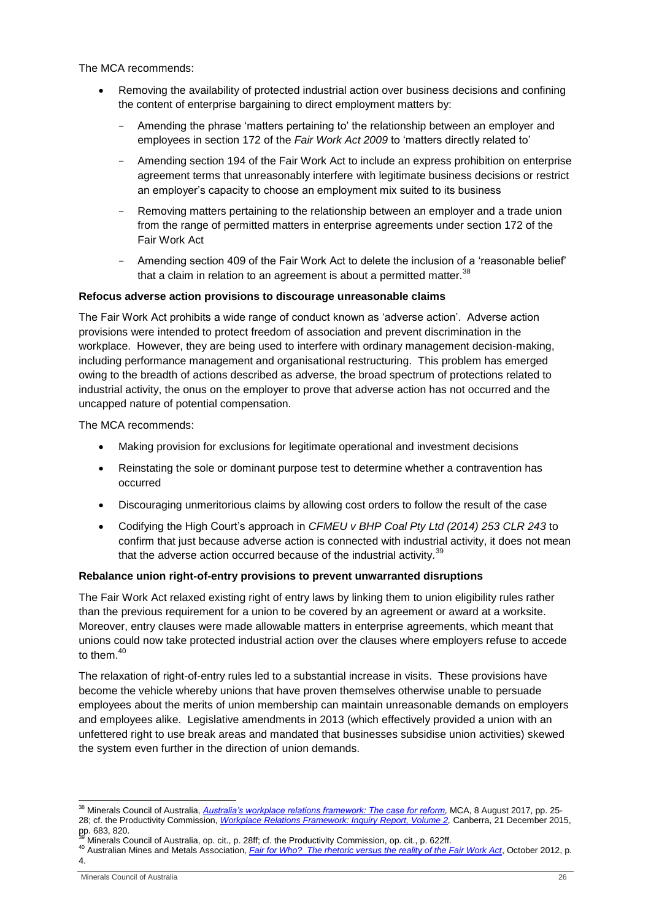The MCA recommends:

- Removing the availability of protected industrial action over business decisions and confining the content of enterprise bargaining to direct employment matters by:
	- Amending the phrase 'matters pertaining to' the relationship between an employer and employees in section 172 of the *Fair Work Act 2009* to 'matters directly related to'
	- Amending section 194 of the Fair Work Act to include an express prohibition on enterprise agreement terms that unreasonably interfere with legitimate business decisions or restrict an employer's capacity to choose an employment mix suited to its business
	- Removing matters pertaining to the relationship between an employer and a trade union from the range of permitted matters in enterprise agreements under section 172 of the Fair Work Act
	- Amending section 409 of the Fair Work Act to delete the inclusion of a 'reasonable belief' that a claim in relation to an agreement is about a permitted matter. $38$

#### **Refocus adverse action provisions to discourage unreasonable claims**

The Fair Work Act prohibits a wide range of conduct known as 'adverse action'. Adverse action provisions were intended to protect freedom of association and prevent discrimination in the workplace. However, they are being used to interfere with ordinary management decision-making, including performance management and organisational restructuring. This problem has emerged owing to the breadth of actions described as adverse, the broad spectrum of protections related to industrial activity, the onus on the employer to prove that adverse action has not occurred and the uncapped nature of potential compensation.

The MCA recommends:

- Making provision for exclusions for legitimate operational and investment decisions
- Reinstating the sole or dominant purpose test to determine whether a contravention has occurred
- Discouraging unmeritorious claims by allowing cost orders to follow the result of the case
- Codifying the High Court's approach in *CFMEU v BHP Coal Pty Ltd (2014) 253 CLR 243* to confirm that just because adverse action is connected with industrial activity, it does not mean that the adverse action occurred because of the industrial activity.<sup>39</sup>

#### **Rebalance union right-of-entry provisions to prevent unwarranted disruptions**

The Fair Work Act relaxed existing right of entry laws by linking them to union eligibility rules rather than the previous requirement for a union to be covered by an agreement or award at a worksite. Moreover, entry clauses were made allowable matters in enterprise agreements, which meant that unions could now take protected industrial action over the clauses where employers refuse to accede to them  $40$ 

The relaxation of right-of-entry rules led to a substantial increase in visits. These provisions have become the vehicle whereby unions that have proven themselves otherwise unable to persuade employees about the merits of union membership can maintain unreasonable demands on employers and employees alike. Legislative amendments in 2013 (which effectively provided a union with an unfettered right to use break areas and mandated that businesses subsidise union activities) skewed the system even further in the direction of union demands.

<sup>1</sup> <sup>38</sup> Minerals Council of Australia, *[Australia's workplace relations framework: The case for reform,](https://www.minerals.org.au/workplace_relations_the_case_for_reform)* MCA, 8 August 2017, pp. 25- 28; cf. the Productivity Commission, *[Workplace Relations Framework: Inquiry Report, Volume 2,](http://www.pc.gov.au/inquiries/completed/workplace-relations/report/workplace-relations-volume2.pdf)* Canberra, 21 December 2015, pp. 683, 820.

Minerals Council of Australia, op. cit., p. 28ff; cf. the Productivity Commission, op. cit., p. 622ff.

<sup>40</sup> Australian Mines and Metals Association, *[Fair for Who? The rhetoric versus the reality of the Fair Work Act](http://www.amma.org.au/wp-content/uploads/2013/09/20130902_Fairforwho.pdf)*, October 2012, p. 4.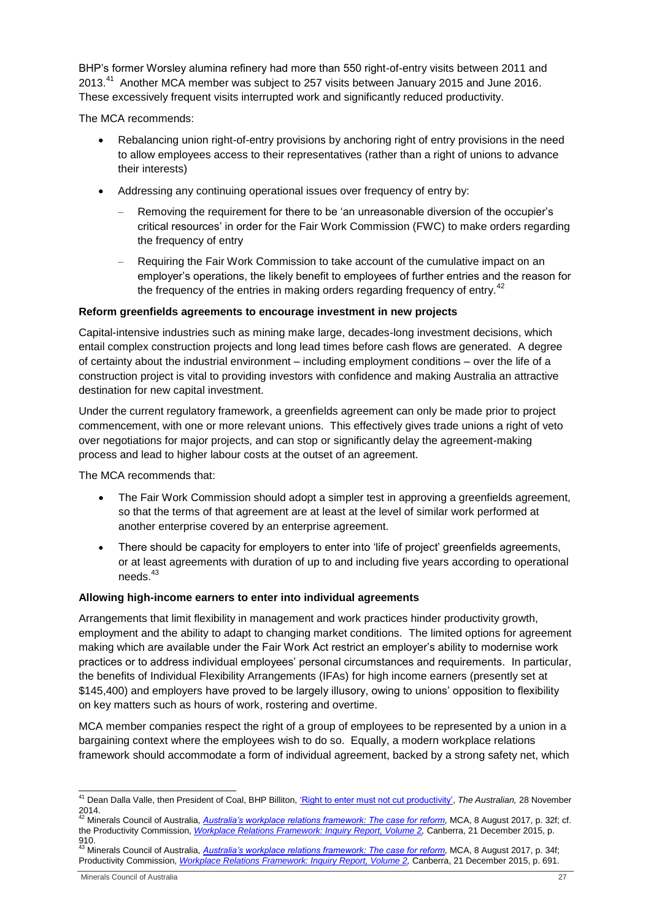BHP's former Worsley alumina refinery had more than 550 right-of-entry visits between 2011 and 2013.<sup>41</sup> Another MCA member was subject to 257 visits between January 2015 and June 2016. These excessively frequent visits interrupted work and significantly reduced productivity.

The MCA recommends:

- Rebalancing union right-of-entry provisions by anchoring right of entry provisions in the need to allow employees access to their representatives (rather than a right of unions to advance their interests)
- Addressing any continuing operational issues over frequency of entry by:
	- Removing the requirement for there to be 'an unreasonable diversion of the occupier's critical resources' in order for the Fair Work Commission (FWC) to make orders regarding the frequency of entry
	- Requiring the Fair Work Commission to take account of the cumulative impact on an employer's operations, the likely benefit to employees of further entries and the reason for the frequency of the entries in making orders regarding frequency of entry.<sup>42</sup>

#### **Reform greenfields agreements to encourage investment in new projects**

Capital-intensive industries such as mining make large, decades-long investment decisions, which entail complex construction projects and long lead times before cash flows are generated. A degree of certainty about the industrial environment – including employment conditions – over the life of a construction project is vital to providing investors with confidence and making Australia an attractive destination for new capital investment.

Under the current regulatory framework, a greenfields agreement can only be made prior to project commencement, with one or more relevant unions. This effectively gives trade unions a right of veto over negotiations for major projects, and can stop or significantly delay the agreement-making process and lead to higher labour costs at the outset of an agreement.

The MCA recommends that:

- The Fair Work Commission should adopt a simpler test in approving a greenfields agreement, so that the terms of that agreement are at least at the level of similar work performed at another enterprise covered by an enterprise agreement.
- There should be capacity for employers to enter into 'life of project' greenfields agreements, or at least agreements with duration of up to and including five years according to operational needs. 43

#### **Allowing high-income earners to enter into individual agreements**

Arrangements that limit flexibility in management and work practices hinder productivity growth, employment and the ability to adapt to changing market conditions. The limited options for agreement making which are available under the Fair Work Act restrict an employer's ability to modernise work practices or to address individual employees' personal circumstances and requirements. In particular, the benefits of Individual Flexibility Arrangements (IFAs) for high income earners (presently set at \$145,400) and employers have proved to be largely illusory, owing to unions' opposition to flexibility on key matters such as hours of work, rostering and overtime.

MCA member companies respect the right of a group of employees to be represented by a union in a bargaining context where the employees wish to do so. Equally, a modern workplace relations framework should accommodate a form of individual agreement, backed by a strong safety net, which

<sup>1</sup> <sup>41</sup> Dean Dalla Valle, then President of Coal, BHP Billiton, ['Right to enter must not cut productivity',](http://www.theaustralian.com.au/opinion/right-to-enter-must-not-cut-productivity/news-story/02dc04db0b94b91baa03a94b5353ab41) *The Australian,* 28 November 2014. <sup>42</sup> Minerals Council of Australia, *[Australia's workplace relations framework: The case for reform,](https://www.minerals.org.au/workplace_relations_the_case_for_reform)* MCA, 8 August 2017, p. 32f; cf.

the Productivity Commission, *[Workplace Relations Framework: Inquiry Report, Volume 2,](http://www.pc.gov.au/inquiries/completed/workplace-relations/report/workplace-relations-volume2.pdf)* Canberra, 21 December 2015, p.

<sup>910.&</sup>lt;br><sup>43</sup> Minerals Council of Australia, <u>A*ustralia's workplace relations framework: The case for reform,</u> MCA, 8 August 2017, p. 34f;</u>* Productivity Commission, *[Workplace Relations Framework: Inquiry Report, Volume 2,](http://www.pc.gov.au/inquiries/completed/workplace-relations/report/workplace-relations-volume2.pdf)* Canberra, 21 December 2015, p. 691.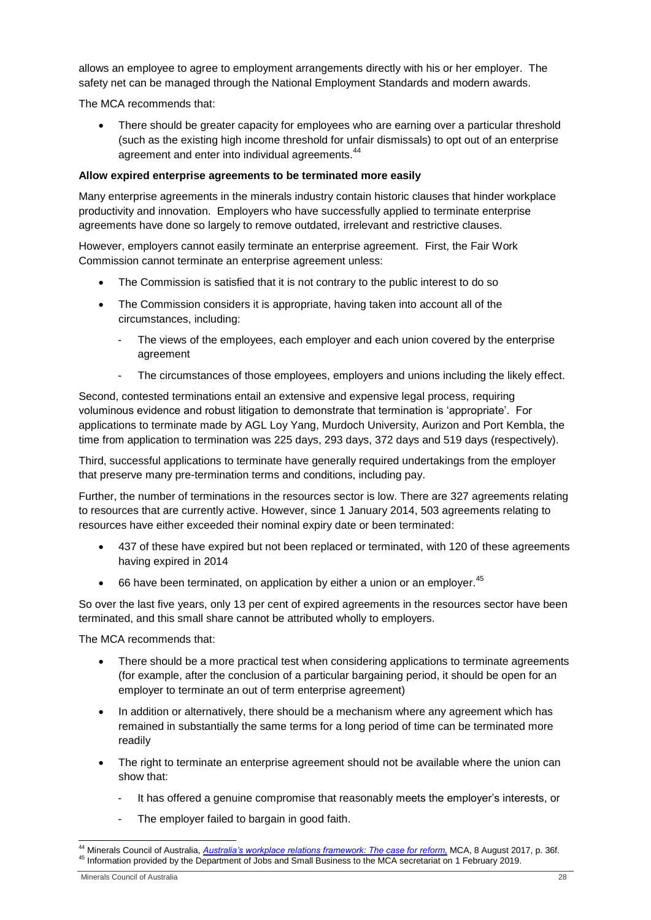allows an employee to agree to employment arrangements directly with his or her employer. The safety net can be managed through the National Employment Standards and modern awards.

The MCA recommends that:

 There should be greater capacity for employees who are earning over a particular threshold (such as the existing high income threshold for unfair dismissals) to opt out of an enterprise agreement and enter into individual agreements.<sup>44</sup>

### **Allow expired enterprise agreements to be terminated more easily**

Many enterprise agreements in the minerals industry contain historic clauses that hinder workplace productivity and innovation. Employers who have successfully applied to terminate enterprise agreements have done so largely to remove outdated, irrelevant and restrictive clauses.

However, employers cannot easily terminate an enterprise agreement. First, the Fair Work Commission cannot terminate an enterprise agreement unless:

- The Commission is satisfied that it is not contrary to the public interest to do so
- The Commission considers it is appropriate, having taken into account all of the circumstances, including:
	- The views of the employees, each employer and each union covered by the enterprise agreement
	- The circumstances of those employees, employers and unions including the likely effect.

Second, contested terminations entail an extensive and expensive legal process, requiring voluminous evidence and robust litigation to demonstrate that termination is 'appropriate'. For applications to terminate made by AGL Loy Yang, Murdoch University, Aurizon and Port Kembla, the time from application to termination was 225 days, 293 days, 372 days and 519 days (respectively).

Third, successful applications to terminate have generally required undertakings from the employer that preserve many pre-termination terms and conditions, including pay.

Further, the number of terminations in the resources sector is low. There are 327 agreements relating to resources that are currently active. However, since 1 January 2014, 503 agreements relating to resources have either exceeded their nominal expiry date or been terminated:

- 437 of these have expired but not been replaced or terminated, with 120 of these agreements having expired in 2014
- $\bullet$  66 have been terminated, on application by either a union or an employer.<sup>45</sup>

So over the last five years, only 13 per cent of expired agreements in the resources sector have been terminated, and this small share cannot be attributed wholly to employers.

The MCA recommends that:

- There should be a more practical test when considering applications to terminate agreements (for example, after the conclusion of a particular bargaining period, it should be open for an employer to terminate an out of term enterprise agreement)
- In addition or alternatively, there should be a mechanism where any agreement which has remained in substantially the same terms for a long period of time can be terminated more readily
- The right to terminate an enterprise agreement should not be available where the union can show that:
	- It has offered a genuine compromise that reasonably meets the employer's interests, or
	- The employer failed to bargain in good faith.

-

<sup>44</sup> Minerals Council of Australia, *[Australia's workplace relations framework: The case for reform,](https://www.minerals.org.au/workplace_relations_the_case_for_reform)* MCA, 8 August 2017, p. 36f. <sup>45</sup> Information provided by the Department of Jobs and Small Business to the MCA secretariat on 1 February 2019.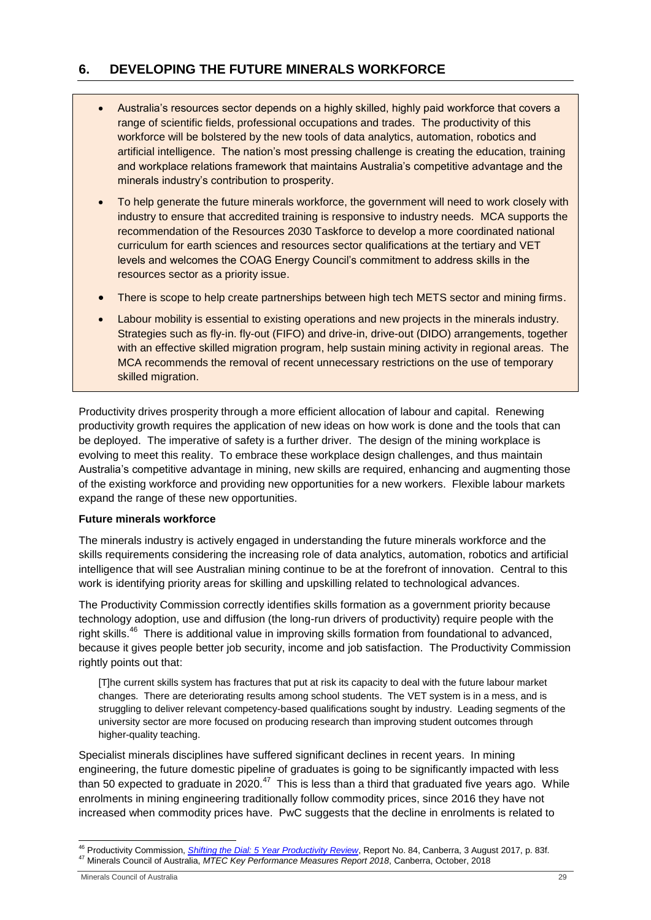# <span id="page-28-0"></span>**6. DEVELOPING THE FUTURE MINERALS WORKFORCE**

- Australia's resources sector depends on a highly skilled, highly paid workforce that covers a range of scientific fields, professional occupations and trades. The productivity of this workforce will be bolstered by the new tools of data analytics, automation, robotics and artificial intelligence. The nation's most pressing challenge is creating the education, training and workplace relations framework that maintains Australia's competitive advantage and the minerals industry's contribution to prosperity.
- To help generate the future minerals workforce, the government will need to work closely with industry to ensure that accredited training is responsive to industry needs. MCA supports the recommendation of the Resources 2030 Taskforce to develop a more coordinated national curriculum for earth sciences and resources sector qualifications at the tertiary and VET levels and welcomes the COAG Energy Council's commitment to address skills in the resources sector as a priority issue.
- There is scope to help create partnerships between high tech METS sector and mining firms.
- Labour mobility is essential to existing operations and new projects in the minerals industry. Strategies such as fly-in. fly-out (FIFO) and drive-in, drive-out (DIDO) arrangements, together with an effective skilled migration program, help sustain mining activity in regional areas. The MCA recommends the removal of recent unnecessary restrictions on the use of temporary skilled migration.

Productivity drives prosperity through a more efficient allocation of labour and capital. Renewing productivity growth requires the application of new ideas on how work is done and the tools that can be deployed. The imperative of safety is a further driver. The design of the mining workplace is evolving to meet this reality. To embrace these workplace design challenges, and thus maintain Australia's competitive advantage in mining, new skills are required, enhancing and augmenting those of the existing workforce and providing new opportunities for a new workers. Flexible labour markets expand the range of these new opportunities.

#### **Future minerals workforce**

The minerals industry is actively engaged in understanding the future minerals workforce and the skills requirements considering the increasing role of data analytics, automation, robotics and artificial intelligence that will see Australian mining continue to be at the forefront of innovation. Central to this work is identifying priority areas for skilling and upskilling related to technological advances.

The Productivity Commission correctly identifies skills formation as a government priority because technology adoption, use and diffusion (the long-run drivers of productivity) require people with the right skills.<sup>46</sup> There is additional value in improving skills formation from foundational to advanced, because it gives people better job security, income and job satisfaction. The Productivity Commission rightly points out that:

[T]he current skills system has fractures that put at risk its capacity to deal with the future labour market changes. There are deteriorating results among school students. The VET system is in a mess, and is struggling to deliver relevant competency-based qualifications sought by industry. Leading segments of the university sector are more focused on producing research than improving student outcomes through higher-quality teaching.

Specialist minerals disciplines have suffered significant declines in recent years. In mining engineering, the future domestic pipeline of graduates is going to be significantly impacted with less than 50 expected to graduate in 2020. $^{47}$  This is less than a third that graduated five years ago. While enrolments in mining engineering traditionally follow commodity prices, since 2016 they have not increased when commodity prices have. PwC suggests that the decline in enrolments is related to

<sup>-</sup><sup>46</sup> Productivity Commission, *[Shifting the Dial: 5 Year Productivity Review](https://www.pc.gov.au/inquiries/completed/productivity-review/report)*, Report No. 84, Canberra, 3 August 2017, p. 83f. <sup>47</sup> Minerals Council of Australia, *MTEC Key Performance Measures Report 2018*, Canberra, October, 2018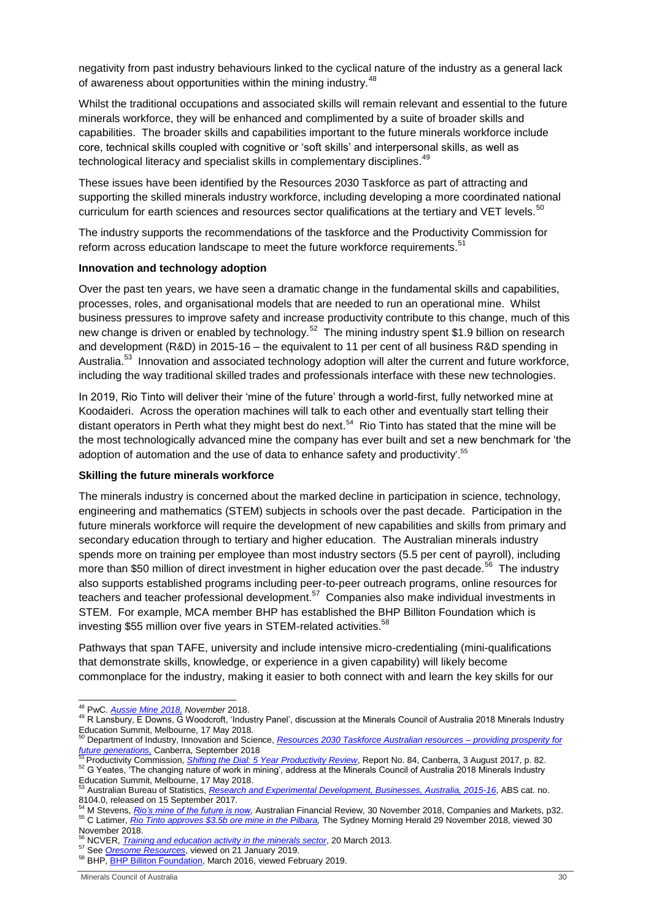negativity from past industry behaviours linked to the cyclical nature of the industry as a general lack of awareness about opportunities within the mining industry.<sup>48</sup>

Whilst the traditional occupations and associated skills will remain relevant and essential to the future minerals workforce, they will be enhanced and complimented by a suite of broader skills and capabilities. The broader skills and capabilities important to the future minerals workforce include core, technical skills coupled with cognitive or 'soft skills' and interpersonal skills, as well as technological literacy and specialist skills in complementary disciplines.<sup>49</sup>

These issues have been identified by the Resources 2030 Taskforce as part of attracting and supporting the skilled minerals industry workforce, including developing a more coordinated national curriculum for earth sciences and resources sector qualifications at the tertiary and VET levels.<sup>50</sup>

The industry supports the recommendations of the taskforce and the Productivity Commission for reform across education landscape to meet the future workforce requirements.<sup>51</sup>

#### **Innovation and technology adoption**

Over the past ten years, we have seen a dramatic change in the fundamental skills and capabilities, processes, roles, and organisational models that are needed to run an operational mine. Whilst business pressures to improve safety and increase productivity contribute to this change, much of this new change is driven or enabled by technology.<sup>52</sup> The mining industry spent \$1.9 billion on research and development (R&D) in 2015-16 – the equivalent to 11 per cent of all business R&D spending in Australia.<sup>53</sup> Innovation and associated technology adoption will alter the current and future workforce, including the way traditional skilled trades and professionals interface with these new technologies.

In 2019, Rio Tinto will deliver their 'mine of the future' through a world-first, fully networked mine at Koodaideri. Across the operation machines will talk to each other and eventually start telling their distant operators in Perth what they might best do next.<sup>54</sup> Rio Tinto has stated that the mine will be the most technologically advanced mine the company has ever built and set a new benchmark for 'the adoption of automation and the use of data to enhance safety and productivity'.<sup>55</sup>

#### **Skilling the future minerals workforce**

The minerals industry is concerned about the marked decline in participation in science, technology, engineering and mathematics (STEM) subjects in schools over the past decade. Participation in the future minerals workforce will require the development of new capabilities and skills from primary and secondary education through to tertiary and higher education. The Australian minerals industry spends more on training per employee than most industry sectors (5.5 per cent of payroll), including more than \$50 million of direct investment in higher education over the past decade.<sup>56</sup> The industry also supports established programs including peer-to-peer outreach programs, online resources for teachers and teacher professional development.<sup>57</sup> Companies also make individual investments in STEM. For example, MCA member BHP has established the BHP Billiton Foundation which is investing \$55 million over five years in STEM-related activities.<sup>58</sup>

Pathways that span TAFE, university and include intensive micro-credentialing (mini-qualifications that demonstrate skills, knowledge, or experience in a given capability) will likely become commonplace for the industry, making it easier to both connect with and learn the key skills for our

<sup>54</sup> M Stevens, *[Rio's mine of the future is now,](https://www.afr.com/business/mining/iron-ore/rios-mine-of-the-future-is-now-20181129-h18j1c)* Australian Financial Review, 30 November 2018, Companies and Markets, p32. <sup>55</sup> C Latimer, *[Rio Tinto approves \\$3.5b ore mine in the Pilbara,](https://www.smh.com.au/business/companies/rio-tinto-approves-3-5b-iron-ore-mine-in-the-pilbara-20181129-p50j1h.html)* The Sydney Morning Herald 29 November 2018, viewed 30 November 2018.

<sup>1</sup> <sup>48</sup> PwC. *[Aussie Mine 2018,](https://www.pwc.com.au/eum/aussie-mine-nov-2018-report.pdf?icid=EURAM18-email-external-melblaunch-pdf) November* 2018.

<sup>&</sup>lt;sup>49</sup> R Lansbury, E Downs, G Woodcroft, 'Industry Panel', discussion at the Minerals Council of Australia 2018 Minerals Industry Education Summit, Melbourne, 17 May 2018. <sup>50</sup> Department of Industry, Innovation and Science, *[Resources 2030 Taskforce Australian resources –](https://www.industry.gov.au/sites/g/files/net3906/f/September%202018/document/pdf/resources-2030-taskforce-report.pdf) providing prosperity for* 

*[future generations,](https://www.industry.gov.au/sites/g/files/net3906/f/September%202018/document/pdf/resources-2030-taskforce-report.pdf)* Canberra, September 2018 <sup>51</sup> Productivity Commission, *[Shifting the Dial: 5 Year Productivity Review](https://www.pc.gov.au/inquiries/completed/productivity-review/report)*, Report No. 84, Canberra, 3 August 2017, p. 82.

<sup>52</sup> G Yeates, 'The changing nature of work in mining', address at the Minerals Council of Australia 2018 Minerals Industry

Education Summit, Melbourne, 17 May 2018.

<sup>53</sup> Australian Bureau of Statistics, *[Research and Experimental Development, Businesses, Australia, 2015-16](http://www.abs.gov.au/AUSSTATS/abs@.nsf/Lookup/8104.0Main+Features12015-16?OpenDocument)*, ABS cat. no. 8104.0, released on 15 September 2017.

<sup>56</sup> NCVER, *[Training and education activity in the minerals sector](https://www.voced.edu.au/content/ngv%3A56704)*, 20 March 2013.

<sup>57</sup> See *[Oresome Resources](http://www.oresomeresources.com/)*, viewed on 21 January 2019.

<sup>58</sup> BHP[, BHP Billiton Foundation,](https://www.bhp.com/-/media/documents/community/2016/160323_society_ourcontribution_corporatecharities_stemflyermarch2016.pdf) March 2016, viewed February 2019.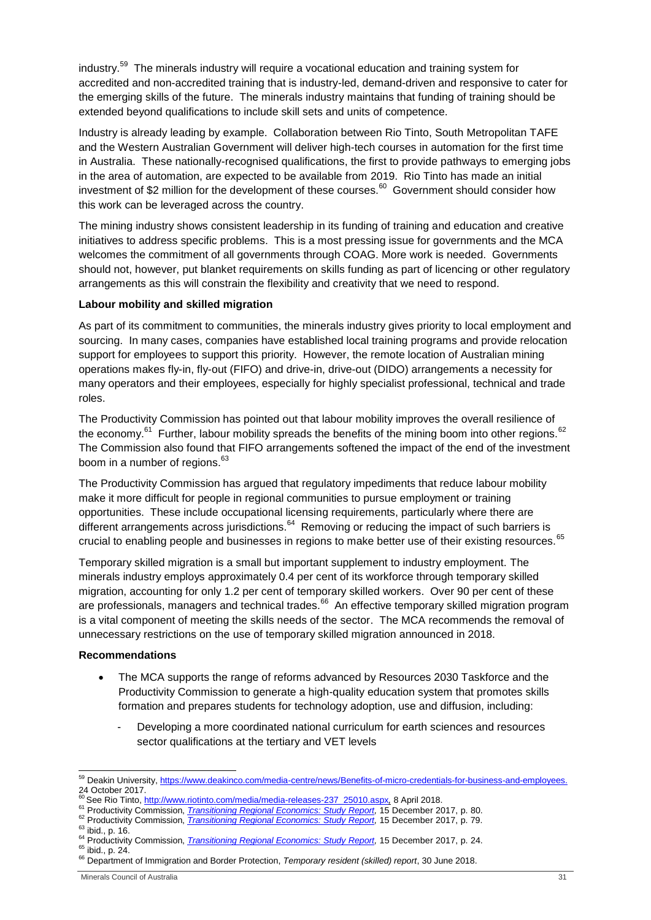industry.<sup>59</sup> The minerals industry will require a vocational education and training system for accredited and non-accredited training that is industry-led, demand-driven and responsive to cater for the emerging skills of the future. The minerals industry maintains that funding of training should be extended beyond qualifications to include skill sets and units of competence.

Industry is already leading by example. Collaboration between Rio Tinto, South Metropolitan TAFE and the Western Australian Government will deliver high-tech courses in automation for the first time in Australia. These nationally-recognised qualifications, the first to provide pathways to emerging jobs in the area of automation, are expected to be available from 2019. Rio Tinto has made an initial investment of \$2 million for the development of these courses.<sup>60</sup> Government should consider how this work can be leveraged across the country.

The mining industry shows consistent leadership in its funding of training and education and creative initiatives to address specific problems. This is a most pressing issue for governments and the MCA welcomes the commitment of all governments through COAG. More work is needed. Governments should not, however, put blanket requirements on skills funding as part of licencing or other regulatory arrangements as this will constrain the flexibility and creativity that we need to respond.

## **Labour mobility and skilled migration**

As part of its commitment to communities, the minerals industry gives priority to local employment and sourcing. In many cases, companies have established local training programs and provide relocation support for employees to support this priority. However, the remote location of Australian mining operations makes fly-in, fly-out (FIFO) and drive-in, drive-out (DIDO) arrangements a necessity for many operators and their employees, especially for highly specialist professional, technical and trade roles.

The Productivity Commission has pointed out that labour mobility improves the overall resilience of the economy.<sup>61</sup> Further, labour mobility spreads the benefits of the mining boom into other regions.<sup>62</sup> The Commission also found that FIFO arrangements softened the impact of the end of the investment boom in a number of regions.<sup>63</sup>

The Productivity Commission has argued that regulatory impediments that reduce labour mobility make it more difficult for people in regional communities to pursue employment or training opportunities. These include occupational licensing requirements, particularly where there are different arrangements across jurisdictions.<sup>64</sup> Removing or reducing the impact of such barriers is crucial to enabling people and businesses in regions to make better use of their existing resources.<sup>65</sup>

Temporary skilled migration is a small but important supplement to industry employment. The minerals industry employs approximately 0.4 per cent of its workforce through temporary skilled migration, accounting for only 1.2 per cent of temporary skilled workers. Over 90 per cent of these are professionals, managers and technical trades.<sup>66</sup> An effective temporary skilled migration program is a vital component of meeting the skills needs of the sector. The MCA recommends the removal of unnecessary restrictions on the use of temporary skilled migration announced in 2018.

#### **Recommendations**

- The MCA supports the range of reforms advanced by Resources 2030 Taskforce and the Productivity Commission to generate a high-quality education system that promotes skills formation and prepares students for technology adoption, use and diffusion, including:
	- Developing a more coordinated national curriculum for earth sciences and resources sector qualifications at the tertiary and VET levels

-

<sup>&</sup>lt;sup>59</sup> Deakin University[, https://www.deakinco.com/media-centre/news/Benefits-of-micro-credentials-for-business-and-employees.](https://www.deakinco.com/media-centre/news/Benefits-of-micro-credentials-for-business-and-employees) 24 October 2017.

<sup>60</sup> See Rio Tinto, [http://www.riotinto.com/media/media-releases-237\\_25010.aspx](http://www.riotinto.com/media/media-releases-237_25010.aspx)*,* 8 April 2018.

<sup>61</sup> Productivity Commission, *Transitioning Regional [Economics: Study](https://www.pc.gov.au/inquiries/completed/transitioning-regions/report/transitioning-regions-report.pdf) Report,* 15 December 2017, p. 80.

<sup>62</sup> Productivity Commission, *Transitioning Regional [Economics: Study](https://www.pc.gov.au/inquiries/completed/transitioning-regions/report/transitioning-regions-report.pdf) Report,* 15 December 2017, p. 79.

 $63$  ibid., p. 16.

<sup>64</sup> Productivity Commission, *Transitioning Regional [Economics: Study](https://www.pc.gov.au/inquiries/completed/transitioning-regions/report/transitioning-regions-report.pdf) Report,* 15 December 2017, p. 24.

<sup>&</sup>lt;sup>65</sup> ibid., p. 24.

<sup>66</sup> Department of Immigration and Border Protection, *Temporary resident (skilled) report*, 30 June 2018.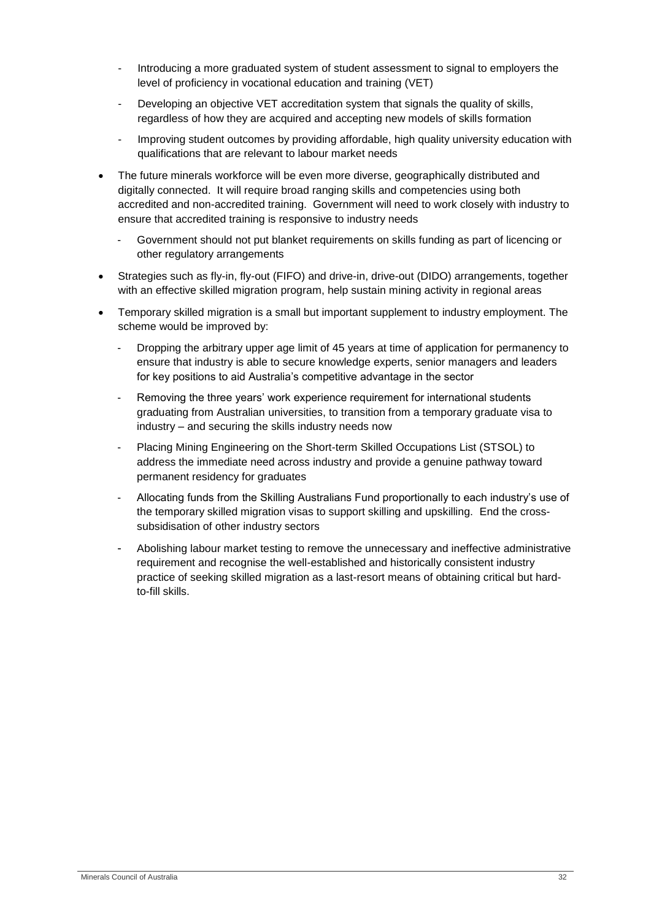- Introducing a more graduated system of student assessment to signal to employers the level of proficiency in vocational education and training (VET)
- Developing an objective VET accreditation system that signals the quality of skills, regardless of how they are acquired and accepting new models of skills formation
- Improving student outcomes by providing affordable, high quality university education with qualifications that are relevant to labour market needs
- The future minerals workforce will be even more diverse, geographically distributed and digitally connected. It will require broad ranging skills and competencies using both accredited and non-accredited training. Government will need to work closely with industry to ensure that accredited training is responsive to industry needs
	- Government should not put blanket requirements on skills funding as part of licencing or other regulatory arrangements
- Strategies such as fly-in, fly-out (FIFO) and drive-in, drive-out (DIDO) arrangements, together with an effective skilled migration program, help sustain mining activity in regional areas
- Temporary skilled migration is a small but important supplement to industry employment. The scheme would be improved by:
	- Dropping the arbitrary upper age limit of 45 years at time of application for permanency to ensure that industry is able to secure knowledge experts, senior managers and leaders for key positions to aid Australia's competitive advantage in the sector
	- Removing the three years' work experience requirement for international students graduating from Australian universities, to transition from a temporary graduate visa to industry – and securing the skills industry needs now
	- Placing Mining Engineering on the Short-term Skilled Occupations List (STSOL) to address the immediate need across industry and provide a genuine pathway toward permanent residency for graduates
	- Allocating funds from the Skilling Australians Fund proportionally to each industry's use of the temporary skilled migration visas to support skilling and upskilling. End the crosssubsidisation of other industry sectors
	- Abolishing labour market testing to remove the unnecessary and ineffective administrative requirement and recognise the well-established and historically consistent industry practice of seeking skilled migration as a last-resort means of obtaining critical but hardto-fill skills.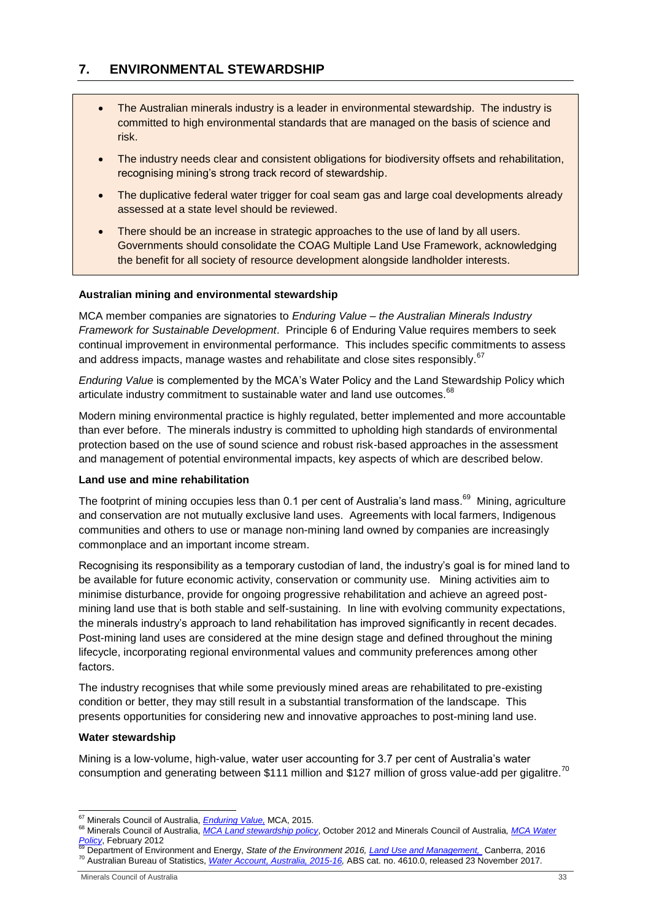# <span id="page-32-0"></span>**7. ENVIRONMENTAL STEWARDSHIP**

- The Australian minerals industry is a leader in environmental stewardship. The industry is committed to high environmental standards that are managed on the basis of science and risk.
- The industry needs clear and consistent obligations for biodiversity offsets and rehabilitation, recognising mining's strong track record of stewardship.
- The duplicative federal water trigger for coal seam gas and large coal developments already assessed at a state level should be reviewed.
- There should be an increase in strategic approaches to the use of land by all users. Governments should consolidate the COAG Multiple Land Use Framework, acknowledging the benefit for all society of resource development alongside landholder interests.

# **Australian mining and environmental stewardship**

MCA member companies are signatories to *Enduring Value – the Australian Minerals Industry Framework for Sustainable Development*. Principle 6 of Enduring Value requires members to seek continual improvement in environmental performance. This includes specific commitments to assess and address impacts, manage wastes and rehabilitate and close sites responsibly.<sup>67</sup>

*Enduring Value* is complemented by the MCA's Water Policy and the Land Stewardship Policy which articulate industry commitment to sustainable water and land use outcomes.<sup>68</sup>

Modern mining environmental practice is highly regulated, better implemented and more accountable than ever before. The minerals industry is committed to upholding high standards of environmental protection based on the use of sound science and robust risk-based approaches in the assessment and management of potential environmental impacts, key aspects of which are described below.

#### **Land use and mine rehabilitation**

The footprint of mining occupies less than 0.1 per cent of Australia's land mass.<sup>69</sup> Mining, agriculture and conservation are not mutually exclusive land uses. Agreements with local farmers, Indigenous communities and others to use or manage non-mining land owned by companies are increasingly commonplace and an important income stream.

Recognising its responsibility as a temporary custodian of land, the industry's goal is for mined land to be available for future economic activity, conservation or community use. Mining activities aim to minimise disturbance, provide for ongoing progressive rehabilitation and achieve an agreed postmining land use that is both stable and self-sustaining. In line with evolving community expectations, the minerals industry's approach to land rehabilitation has improved significantly in recent decades. Post-mining land uses are considered at the mine design stage and defined throughout the mining lifecycle, incorporating regional environmental values and community preferences among other factors.

The industry recognises that while some previously mined areas are rehabilitated to pre-existing condition or better, they may still result in a substantial transformation of the landscape. This presents opportunities for considering new and innovative approaches to post-mining land use.

#### **Water stewardship**

Mining is a low-volume, high-value, water user accounting for 3.7 per cent of Australia's water consumption and generating between \$111 million and \$127 million of gross value-add per gigalitre.<sup>70</sup>

<sup>1</sup> <sup>67</sup> Minerals Council of Australia, *[Enduring Value,](https://www.minerals.org.au/enduring-value-framework)* MCA, 2015.

<sup>68</sup> Minerals Council of Australia, *[MCA Land stewardship policy](http://www.minerals.org.au/sites/default/files/MCA%20Land%20Stewardship%20Policy%202012.pdf)*, October 2012 and Minerals Council of Australia*[, MCA Water](http://www.minerals.org.au/sites/default/files/MCA%20Water%20Policy%202012.pdf)  [Policy](http://www.minerals.org.au/sites/default/files/MCA%20Water%20Policy%202012.pdf)*, February 2012 <sup>69</sup> Department of Environment and Energy, *State of the Environment 2016[, Land Use and Management,](https://soe.environment.gov.au/theme/land/topic/land-use-and-management)* Canberra, 2016

<sup>70</sup> Australian Bureau of Statistics, *[Water Account, Australia, 2015-16,](http://www.abs.gov.au/ausstats/abs@.nsf/mf/4610.0)* ABS cat. no. 4610.0, released 23 November 2017.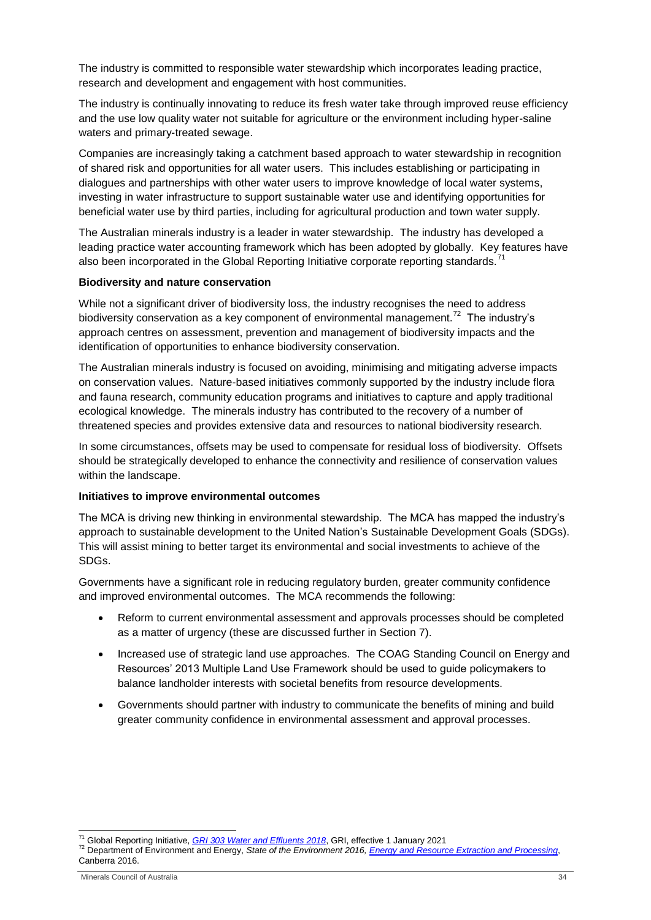The industry is committed to responsible water stewardship which incorporates leading practice, research and development and engagement with host communities.

The industry is continually innovating to reduce its fresh water take through improved reuse efficiency and the use low quality water not suitable for agriculture or the environment including hyper-saline waters and primary-treated sewage.

Companies are increasingly taking a catchment based approach to water stewardship in recognition of shared risk and opportunities for all water users. This includes establishing or participating in dialogues and partnerships with other water users to improve knowledge of local water systems, investing in water infrastructure to support sustainable water use and identifying opportunities for beneficial water use by third parties, including for agricultural production and town water supply.

The Australian minerals industry is a leader in water stewardship. The industry has developed a leading practice water accounting framework which has been adopted by globally. Key features have also been incorporated in the Global Reporting Initiative corporate reporting standards.<sup>71</sup>

#### **Biodiversity and nature conservation**

While not a significant driver of biodiversity loss, the industry recognises the need to address biodiversity conservation as a key component of environmental management.<sup>72</sup> The industry's approach centres on assessment, prevention and management of biodiversity impacts and the identification of opportunities to enhance biodiversity conservation.

The Australian minerals industry is focused on avoiding, minimising and mitigating adverse impacts on conservation values. Nature-based initiatives commonly supported by the industry include flora and fauna research, community education programs and initiatives to capture and apply traditional ecological knowledge. The minerals industry has contributed to the recovery of a number of threatened species and provides extensive data and resources to national biodiversity research.

In some circumstances, offsets may be used to compensate for residual loss of biodiversity. Offsets should be strategically developed to enhance the connectivity and resilience of conservation values within the landscape.

#### **Initiatives to improve environmental outcomes**

The MCA is driving new thinking in environmental stewardship. The MCA has mapped the industry's approach to sustainable development to the United Nation's Sustainable Development Goals (SDGs). This will assist mining to better target its environmental and social investments to achieve of the SDGs.

Governments have a significant role in reducing regulatory burden, greater community confidence and improved environmental outcomes. The MCA recommends the following:

- Reform to current environmental assessment and approvals processes should be completed as a matter of urgency (these are discussed further in Section 7).
- Increased use of strategic land use approaches. The COAG Standing Council on Energy and Resources' 2013 Multiple Land Use Framework should be used to guide policymakers to balance landholder interests with societal benefits from resource developments.
- Governments should partner with industry to communicate the benefits of mining and build greater community confidence in environmental assessment and approval processes.

1

<sup>71</sup> Global Reporting Initiative, *[GRI 303 Water and Effluents 2018](https://www.globalreporting.org/standards/gri-standards-download-center/gri-303-water-and-effluents-2018/)*, GRI, effective 1 January 2021

<sup>72</sup> Department of Environment and Energy, *State of the Environment 2016[, Energy and Resource Extraction and Processing](https://soe.environment.gov.au/theme/coasts/topic/2016/energy-and-resource-extraction-and-processing)*, Canberra 2016.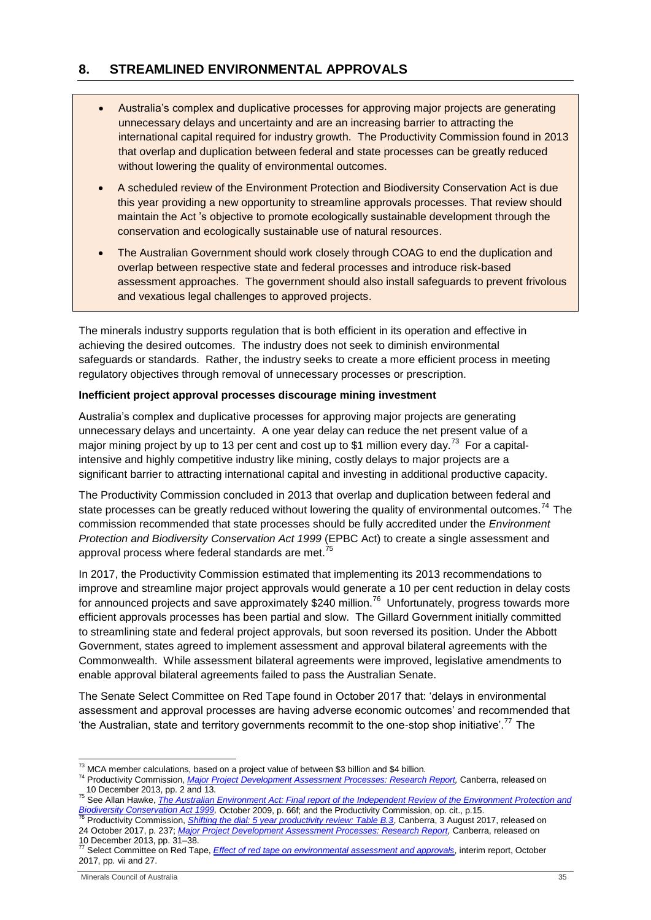# <span id="page-34-0"></span>**8. STREAMLINED ENVIRONMENTAL APPROVALS**

- Australia's complex and duplicative processes for approving major projects are generating unnecessary delays and uncertainty and are an increasing barrier to attracting the international capital required for industry growth. The Productivity Commission found in 2013 that overlap and duplication between federal and state processes can be greatly reduced without lowering the quality of environmental outcomes.
- A scheduled review of the Environment Protection and Biodiversity Conservation Act is due this year providing a new opportunity to streamline approvals processes. That review should maintain the Act 's objective to promote ecologically sustainable development through the conservation and ecologically sustainable use of natural resources.
- The Australian Government should work closely through COAG to end the duplication and overlap between respective state and federal processes and introduce risk-based assessment approaches. The government should also install safeguards to prevent frivolous and vexatious legal challenges to approved projects.

The minerals industry supports regulation that is both efficient in its operation and effective in achieving the desired outcomes. The industry does not seek to diminish environmental safeguards or standards. Rather, the industry seeks to create a more efficient process in meeting regulatory objectives through removal of unnecessary processes or prescription.

# **Inefficient project approval processes discourage mining investment**

Australia's complex and duplicative processes for approving major projects are generating unnecessary delays and uncertainty. A one year delay can reduce the net present value of a major mining project by up to 13 per cent and cost up to \$1 million every day.<sup>73</sup> For a capitalintensive and highly competitive industry like mining, costly delays to major projects are a significant barrier to attracting international capital and investing in additional productive capacity.

The Productivity Commission concluded in 2013 that overlap and duplication between federal and state processes can be greatly reduced without lowering the quality of environmental outcomes.<sup>74</sup> The commission recommended that state processes should be fully accredited under the *Environment Protection and Biodiversity Conservation Act 1999* (EPBC Act) to create a single assessment and approval process where federal standards are met.<sup>75</sup>

In 2017, the Productivity Commission estimated that implementing its 2013 recommendations to improve and streamline major project approvals would generate a 10 per cent reduction in delay costs for announced projects and save approximately \$240 million.<sup>76</sup> Unfortunately, progress towards more efficient approvals processes has been partial and slow. The Gillard Government initially committed to streamlining state and federal project approvals, but soon reversed its position. Under the Abbott Government, states agreed to implement assessment and approval bilateral agreements with the Commonwealth. While assessment bilateral agreements were improved, legislative amendments to enable approval bilateral agreements failed to pass the Australian Senate.

The Senate Select Committee on Red Tape found in October 2017 that: 'delays in environmental assessment and approval processes are having adverse economic outcomes' and recommended that 'the Australian, state and territory governments recommit to the one-stop shop initiative'.<sup>77</sup> The

**Biodiversity Conservation Act 1999, October 2009, p. ooi, and the Froductivity Commission, op. on., p. . o.**<br><sup>76</sup> Productivity Commission, *[Shifting the dial: 5 year productivity review: Table B.3](https://www.pc.gov.au/inquiries/completed/productivity-review/report/productivity-review.pdf)*, Canberra, 3 August 201 24 October 2017, p. 237; *[Major Project Development Assessment Processes: Research Report,](http://www.pc.gov.au/inquiries/completed/major-projects/report/major-projects.pdf)* Canberra, released on 10 December 2013, pp. 31–38. <sup>77</sup> Select Committee on Red Tape, *Effect of red tape on [environmental](https://www.aph.gov.au/Parliamentary_Business/Committees/Senate/Red_Tape/Environment/Interim_report) assessment and approvals*, interim report, October

<sup>-</sup> $^{73}$  MCA member calculations, based on a project value of between \$3 billion and \$4 billion.

<sup>74</sup> Productivity Commission, *Major Project Development Assessment Processes: [Research Report,](http://www.pc.gov.au/inquiries/completed/major-projects/report/major-projects.pdf)* Canberra, released on 10 December 2013, pp. 2 and 13.

<sup>75</sup> See Allan Hawke, *[The Australian Environment Act: Final report of the Independent Review of the Environment Protection and](http://www.environment.gov.au/system/files/resources/5f3fdad6-30ba-48f7-ab17-c99e8bcc8d78/files/final-report.pdf)  [Biodiversity Conservation Act 1999,](http://www.environment.gov.au/system/files/resources/5f3fdad6-30ba-48f7-ab17-c99e8bcc8d78/files/final-report.pdf)* October 2009, p. 66f; and the Productivity Commission, op. cit., p.15.

<sup>2017,</sup> pp. vii and 27.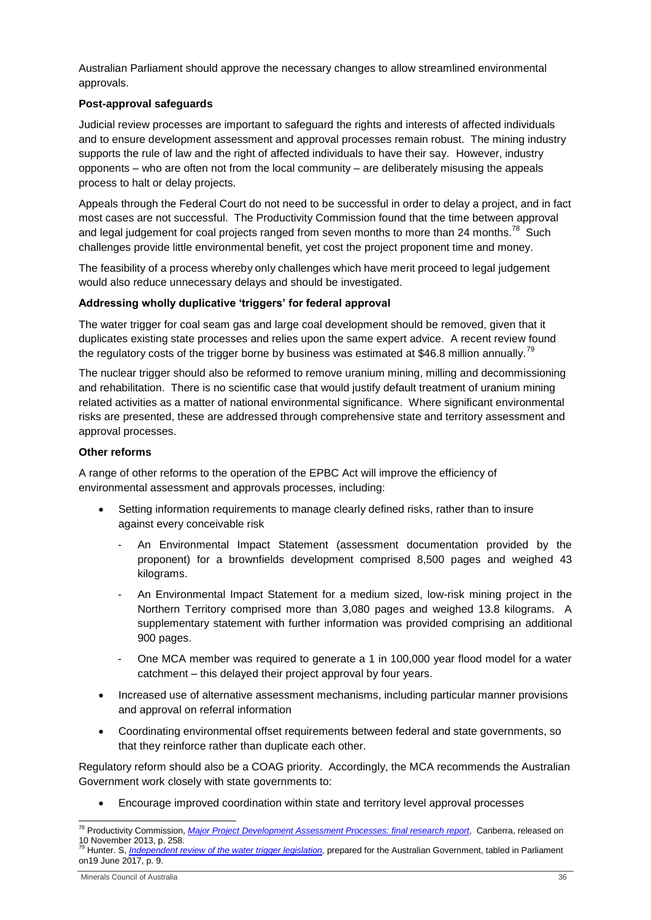Australian Parliament should approve the necessary changes to allow streamlined environmental approvals.

# **Post-approval safeguards**

Judicial review processes are important to safeguard the rights and interests of affected individuals and to ensure development assessment and approval processes remain robust. The mining industry supports the rule of law and the right of affected individuals to have their say. However, industry opponents – who are often not from the local community – are deliberately misusing the appeals process to halt or delay projects.

Appeals through the Federal Court do not need to be successful in order to delay a project, and in fact most cases are not successful. The Productivity Commission found that the time between approval and legal judgement for coal projects ranged from seven months to more than 24 months.<sup>78</sup> Such challenges provide little environmental benefit, yet cost the project proponent time and money.

The feasibility of a process whereby only challenges which have merit proceed to legal judgement would also reduce unnecessary delays and should be investigated.

# **Addressing wholly duplicative 'triggers' for federal approval**

The water trigger for coal seam gas and large coal development should be removed, given that it duplicates existing state processes and relies upon the same expert advice. A recent review found the regulatory costs of the trigger borne by business was estimated at \$46.8 million annually.<sup>79</sup>

The nuclear trigger should also be reformed to remove uranium mining, milling and decommissioning and rehabilitation. There is no scientific case that would justify default treatment of uranium mining related activities as a matter of national environmental significance. Where significant environmental risks are presented, these are addressed through comprehensive state and territory assessment and approval processes.

#### **Other reforms**

A range of other reforms to the operation of the EPBC Act will improve the efficiency of environmental assessment and approvals processes, including:

- Setting information requirements to manage clearly defined risks, rather than to insure against every conceivable risk
	- An Environmental Impact Statement (assessment documentation provided by the proponent) for a brownfields development comprised 8,500 pages and weighed 43 kilograms.
	- An Environmental Impact Statement for a medium sized, low-risk mining project in the Northern Territory comprised more than 3,080 pages and weighed 13.8 kilograms. A supplementary statement with further information was provided comprising an additional 900 pages.
	- One MCA member was required to generate a 1 in 100,000 year flood model for a water catchment – this delayed their project approval by four years.
- Increased use of alternative assessment mechanisms, including particular manner provisions and approval on referral information
- Coordinating environmental offset requirements between federal and state governments, so that they reinforce rather than duplicate each other.

Regulatory reform should also be a COAG priority. Accordingly, the MCA recommends the Australian Government work closely with state governments to:

Encourage improved coordination within state and territory level approval processes

<sup>-</sup><sup>78</sup> Productivity Commission, *[Major Project Development Assessment Processes:](http://www.pc.gov.au/inquiries/completed/major-projects/report/major-projects.pdf) final research report*, Canberra, released on 10 November 2013, p. 258. <sup>79</sup> Hunter. S, *[Independent review of the water](http://www.environment.gov.au/system/files/resources/905b3199-4586-4f65-9c03-8182492f0641/files/water-trigger-review-final.pdf) trigger legislation*, prepared for the Australian Government, tabled in Parliament

on19 June 2017, p. 9.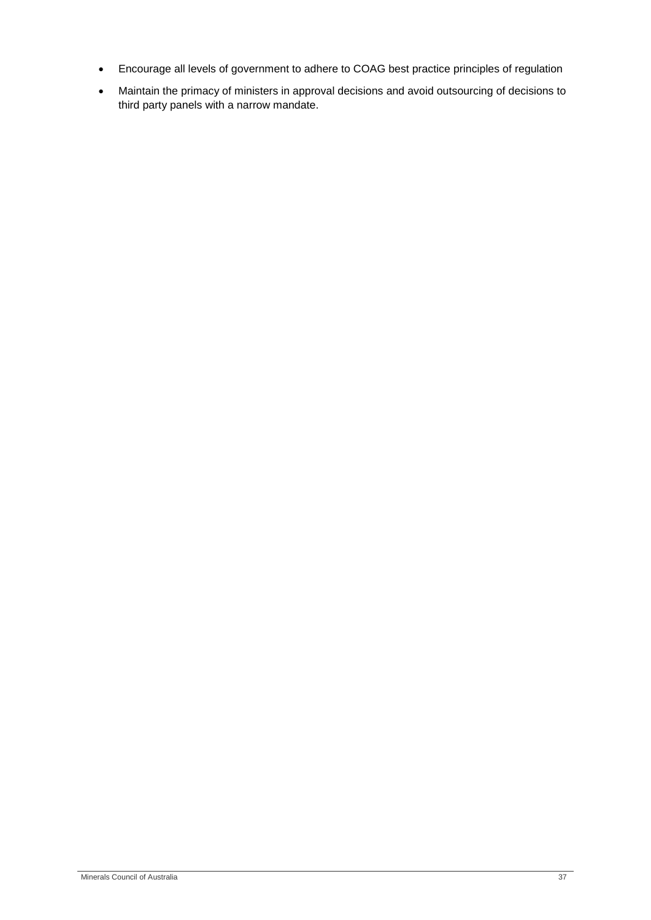- Encourage all levels of government to adhere to COAG best practice principles of regulation
- Maintain the primacy of ministers in approval decisions and avoid outsourcing of decisions to third party panels with a narrow mandate.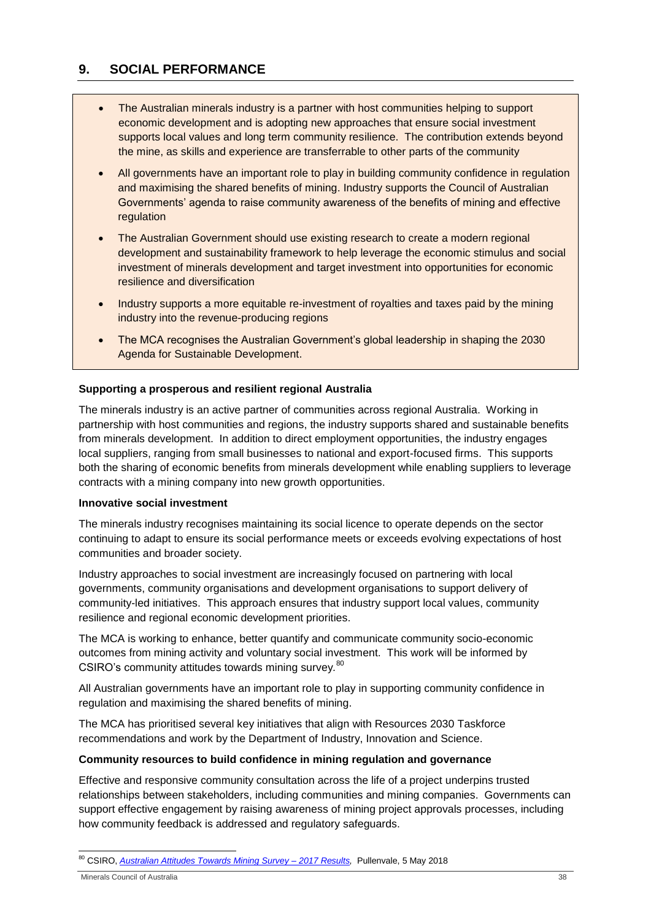# <span id="page-37-0"></span>**9. SOCIAL PERFORMANCE**

- The Australian minerals industry is a partner with host communities helping to support economic development and is adopting new approaches that ensure social investment supports local values and long term community resilience. The contribution extends beyond the mine, as skills and experience are transferrable to other parts of the community
- All governments have an important role to play in building community confidence in regulation and maximising the shared benefits of mining. Industry supports the Council of Australian Governments' agenda to raise community awareness of the benefits of mining and effective regulation
- The Australian Government should use existing research to create a modern regional development and sustainability framework to help leverage the economic stimulus and social investment of minerals development and target investment into opportunities for economic resilience and diversification
- Industry supports a more equitable re-investment of royalties and taxes paid by the mining industry into the revenue-producing regions
- The MCA recognises the Australian Government's global leadership in shaping the 2030 Agenda for Sustainable Development.

# **Supporting a prosperous and resilient regional Australia**

The minerals industry is an active partner of communities across regional Australia. Working in partnership with host communities and regions, the industry supports shared and sustainable benefits from minerals development. In addition to direct employment opportunities, the industry engages local suppliers, ranging from small businesses to national and export-focused firms. This supports both the sharing of economic benefits from minerals development while enabling suppliers to leverage contracts with a mining company into new growth opportunities.

#### **Innovative social investment**

The minerals industry recognises maintaining its social licence to operate depends on the sector continuing to adapt to ensure its social performance meets or exceeds evolving expectations of host communities and broader society.

Industry approaches to social investment are increasingly focused on partnering with local governments, community organisations and development organisations to support delivery of community-led initiatives. This approach ensures that industry support local values, community resilience and regional economic development priorities.

The MCA is working to enhance, better quantify and communicate community socio-economic outcomes from mining activity and voluntary social investment. This work will be informed by CSIRO's community attitudes towards mining survey*.* 80

All Australian governments have an important role to play in supporting community confidence in regulation and maximising the shared benefits of mining.

The MCA has prioritised several key initiatives that align with Resources 2030 Taskforce recommendations and work by the Department of Industry, Innovation and Science.

#### **Community resources to build confidence in mining regulation and governance**

Effective and responsive community consultation across the life of a project underpins trusted relationships between stakeholders, including communities and mining companies. Governments can support effective engagement by raising awareness of mining project approvals processes, including how community feedback is addressed and regulatory safeguards.

1 <sup>80</sup> CSIRO, *[Australian Attitudes Towards Mining Survey –](https://publications.csiro.au/rpr/download?pid=csiro:EP178434&dsid=DS1) 2017 Results,* Pullenvale, 5 May 2018

Minerals Council of Australia 38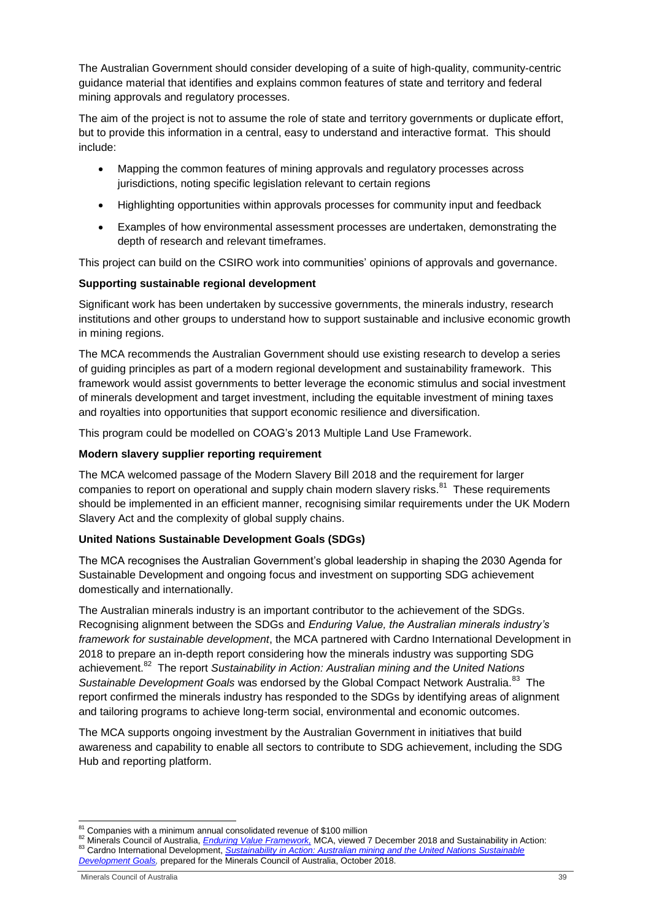The Australian Government should consider developing of a suite of high-quality, community-centric guidance material that identifies and explains common features of state and territory and federal mining approvals and regulatory processes.

The aim of the project is not to assume the role of state and territory governments or duplicate effort, but to provide this information in a central, easy to understand and interactive format. This should include:

- Mapping the common features of mining approvals and regulatory processes across jurisdictions, noting specific legislation relevant to certain regions
- Highlighting opportunities within approvals processes for community input and feedback
- Examples of how environmental assessment processes are undertaken, demonstrating the depth of research and relevant timeframes.

This project can build on the CSIRO work into communities' opinions of approvals and governance.

# **Supporting sustainable regional development**

Significant work has been undertaken by successive governments, the minerals industry, research institutions and other groups to understand how to support sustainable and inclusive economic growth in mining regions.

The MCA recommends the Australian Government should use existing research to develop a series of guiding principles as part of a modern regional development and sustainability framework. This framework would assist governments to better leverage the economic stimulus and social investment of minerals development and target investment, including the equitable investment of mining taxes and royalties into opportunities that support economic resilience and diversification.

This program could be modelled on COAG's 2013 Multiple Land Use Framework.

## **Modern slavery supplier reporting requirement**

The MCA welcomed passage of the Modern Slavery Bill 2018 and the requirement for larger companies to report on operational and supply chain modern slavery risks.<sup>81</sup> These requirements should be implemented in an efficient manner, recognising similar requirements under the UK Modern Slavery Act and the complexity of global supply chains.

#### **United Nations Sustainable Development Goals (SDGs)**

The MCA recognises the Australian Government's global leadership in shaping the 2030 Agenda for Sustainable Development and ongoing focus and investment on supporting SDG achievement domestically and internationally.

The Australian minerals industry is an important contributor to the achievement of the SDGs. Recognising alignment between the SDGs and *Enduring Value, the Australian minerals industry's framework for sustainable development*, the MCA partnered with Cardno International Development in 2018 to prepare an in-depth report considering how the minerals industry was supporting SDG achievement.<sup>82</sup> The report Sustainability in Action: Australian mining and the United Nations Sustainable Development Goals was endorsed by the Global Compact Network Australia.<sup>83</sup> The report confirmed the minerals industry has responded to the SDGs by identifying areas of alignment and tailoring programs to achieve long-term social, environmental and economic outcomes.

The MCA supports ongoing investment by the Australian Government in initiatives that build awareness and capability to enable all sectors to contribute to SDG achievement, including the SDG Hub and reporting platform.

<sup>-</sup><sup>81</sup> Companies with a minimum annual consolidated revenue of \$100 million

<sup>82</sup> Minerals Council of Australia, *Enduring Value Framework*, MCA, viewed 7 December 2018 and Sustainability in Action: 83 Cardno International Development, *Sustainability in Action: Australian mining and the United Nations Sustainable [Development Goals,](https://www.minerals.org.au/sites/default/files/Sustainability%20in%20Action%20October%202018%20WEB_0.pdf)* prepared for the Minerals Council of Australia, October 2018.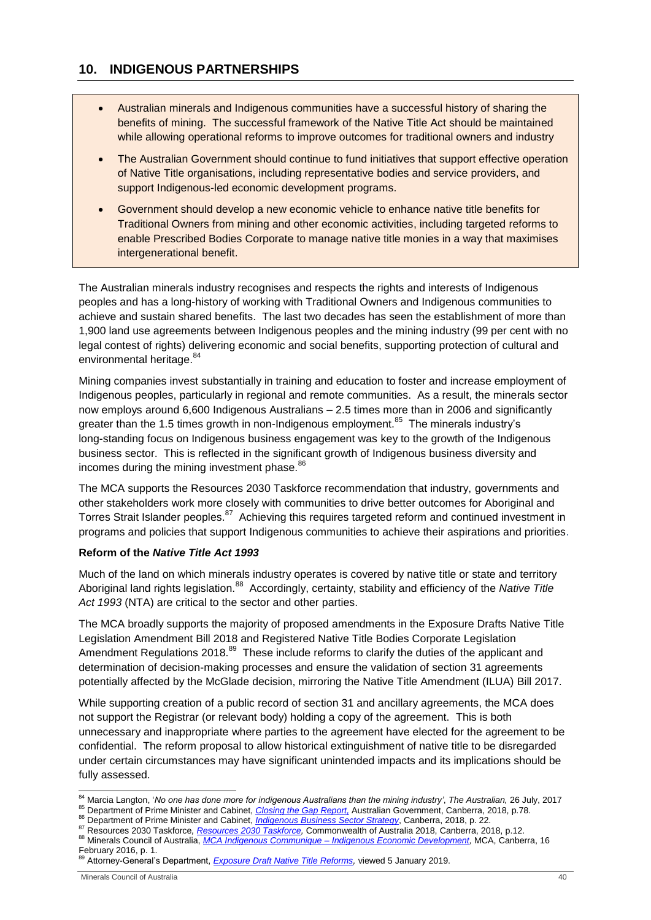# <span id="page-39-0"></span>**10. INDIGENOUS PARTNERSHIPS**

- Australian minerals and Indigenous communities have a successful history of sharing the benefits of mining. The successful framework of the Native Title Act should be maintained while allowing operational reforms to improve outcomes for traditional owners and industry
- The Australian Government should continue to fund initiatives that support effective operation of Native Title organisations, including representative bodies and service providers, and support Indigenous-led economic development programs.
- Government should develop a new economic vehicle to enhance native title benefits for Traditional Owners from mining and other economic activities, including targeted reforms to enable Prescribed Bodies Corporate to manage native title monies in a way that maximises intergenerational benefit.

The Australian minerals industry recognises and respects the rights and interests of Indigenous peoples and has a long-history of working with Traditional Owners and Indigenous communities to achieve and sustain shared benefits. The last two decades has seen the establishment of more than 1,900 land use agreements between Indigenous peoples and the mining industry (99 per cent with no legal contest of rights) delivering economic and social benefits, supporting protection of cultural and environmental heritage.<sup>84</sup>

Mining companies invest substantially in training and education to foster and increase employment of Indigenous peoples, particularly in regional and remote communities. As a result, the minerals sector now employs around 6,600 Indigenous Australians – 2.5 times more than in 2006 and significantly greater than the 1.5 times growth in non-Indigenous employment. $85$  The minerals industry's long-standing focus on Indigenous business engagement was key to the growth of the Indigenous business sector. This is reflected in the significant growth of Indigenous business diversity and incomes during the mining investment phase.<sup>86</sup>

The MCA supports the Resources 2030 Taskforce recommendation that industry, governments and other stakeholders work more closely with communities to drive better outcomes for Aboriginal and Torres Strait Islander peoples.<sup>87</sup> Achieving this requires targeted reform and continued investment in programs and policies that support Indigenous communities to achieve their aspirations and priorities.

#### **Reform of the** *Native Title Act 1993*

Much of the land on which minerals industry operates is covered by native title or state and territory Aboriginal land rights legislation.<sup>88</sup> Accordingly, certainty, stability and efficiency of the *Native Title Act 1993* (NTA) are critical to the sector and other parties.

The MCA broadly supports the majority of proposed amendments in the Exposure Drafts Native Title Legislation Amendment Bill 2018 and Registered Native Title Bodies Corporate Legislation Amendment Regulations 2018.<sup>89</sup> These include reforms to clarify the duties of the applicant and determination of decision-making processes and ensure the validation of section 31 agreements potentially affected by the McGlade decision, mirroring the Native Title Amendment (ILUA) Bill 2017.

While supporting creation of a public record of section 31 and ancillary agreements, the MCA does not support the Registrar (or relevant body) holding a copy of the agreement. This is both unnecessary and inappropriate where parties to the agreement have elected for the agreement to be confidential. The reform proposal to allow historical extinguishment of native title to be disregarded under certain circumstances may have significant unintended impacts and its implications should be fully assessed.

86 Department of Prime Minister and Cabinet, *[Indigenous Business Sector Strategy](https://www.pmc.gov.au/sites/default/files/publications/ibss_strategy.pdf)*, Canberra, 2018, p. 22.

1

<sup>84</sup> Marcia Langton, '*No one has done more for indigenous Australians than the mining industry'*, *The Australian,* 26 July, 2017 85 Department of Prime Minister and Cabinet, *Closing the Gap Report*, Australian Government, Canberra, 2018, p.78.

<sup>87</sup> Resources 2030 Taskforce*, [Resources 2030 Taskforce,](https://www.industry.gov.au/data-and-publications/resources-2030-taskforce-report)* Commonwealth of Australia 2018, Canberra, 2018, p.12. <sup>88</sup> Minerals Council of Australia, *MCA Indigenous Communique – [Indigenous Economic Development,](https://www.minerals.org.au/sites/default/files/Indigenous%20Communique_MCA_FINAL.pdf)* MCA, Canberra, 16 February 2016, p. 1.

<sup>89</sup> Attorney-General's Department, *[Exposure Draft Native Title Reforms,](https://www.ag.gov.au/Consultations/Pages/Exposure-draft-native-title-reforms.aspx)* viewed 5 January 2019.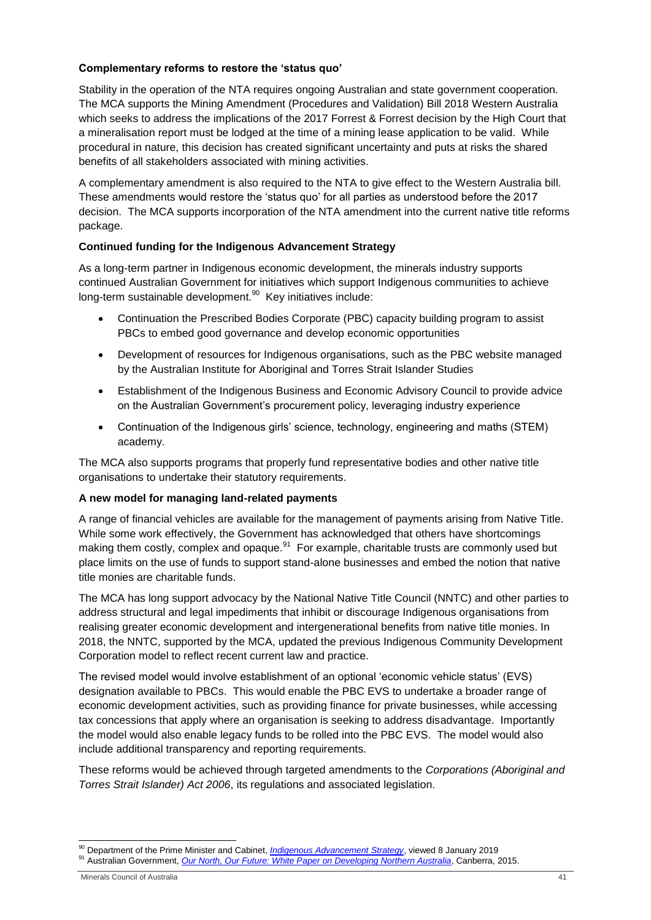### **Complementary reforms to restore the 'status quo'**

Stability in the operation of the NTA requires ongoing Australian and state government cooperation. The MCA supports the Mining Amendment (Procedures and Validation) Bill 2018 Western Australia which seeks to address the implications of the 2017 Forrest & Forrest decision by the High Court that a mineralisation report must be lodged at the time of a mining lease application to be valid. While procedural in nature, this decision has created significant uncertainty and puts at risks the shared benefits of all stakeholders associated with mining activities.

A complementary amendment is also required to the NTA to give effect to the Western Australia bill. These amendments would restore the 'status quo' for all parties as understood before the 2017 decision. The MCA supports incorporation of the NTA amendment into the current native title reforms package.

# **Continued funding for the Indigenous Advancement Strategy**

As a long-term partner in Indigenous economic development, the minerals industry supports continued Australian Government for initiatives which support Indigenous communities to achieve long-term sustainable development.<sup>90</sup> Key initiatives include:

- Continuation the Prescribed Bodies Corporate (PBC) capacity building program to assist PBCs to embed good governance and develop economic opportunities
- Development of resources for Indigenous organisations, such as the PBC website managed by the Australian Institute for Aboriginal and Torres Strait Islander Studies
- Establishment of the Indigenous Business and Economic Advisory Council to provide advice on the Australian Government's procurement policy, leveraging industry experience
- Continuation of the Indigenous girls' science, technology, engineering and maths (STEM) academy.

The MCA also supports programs that properly fund representative bodies and other native title organisations to undertake their statutory requirements.

#### **A new model for managing land-related payments**

A range of financial vehicles are available for the management of payments arising from Native Title. While some work effectively, the Government has acknowledged that others have shortcomings making them costly, complex and opaque.<sup>91</sup> For example, charitable trusts are commonly used but place limits on the use of funds to support stand-alone businesses and embed the notion that native title monies are charitable funds.

The MCA has long support advocacy by the National Native Title Council (NNTC) and other parties to address structural and legal impediments that inhibit or discourage Indigenous organisations from realising greater economic development and intergenerational benefits from native title monies. In 2018, the NNTC, supported by the MCA, updated the previous Indigenous Community Development Corporation model to reflect recent current law and practice.

The revised model would involve establishment of an optional 'economic vehicle status' (EVS) designation available to PBCs. This would enable the PBC EVS to undertake a broader range of economic development activities, such as providing finance for private businesses, while accessing tax concessions that apply where an organisation is seeking to address disadvantage. Importantly the model would also enable legacy funds to be rolled into the PBC EVS. The model would also include additional transparency and reporting requirements.

These reforms would be achieved through targeted amendments to the *Corporations (Aboriginal and Torres Strait Islander) Act 2006*, its regulations and associated legislation.

<sup>-</sup><sup>90</sup> Department of the Prime Minister and Cabinet, *[Indigenous Advancement Strategy](https://www.pmc.gov.au/indigenous-affairs/indigenous-advancement-strategy)*, viewed 8 January 2019 <sup>91</sup> Australian Government, *[Our North, Our Future: White Paper on Developing Northern Australia](https://www.industry.gov.au/strategies-for-the-future/northern-australia-agenda)*, Canberra, 2015.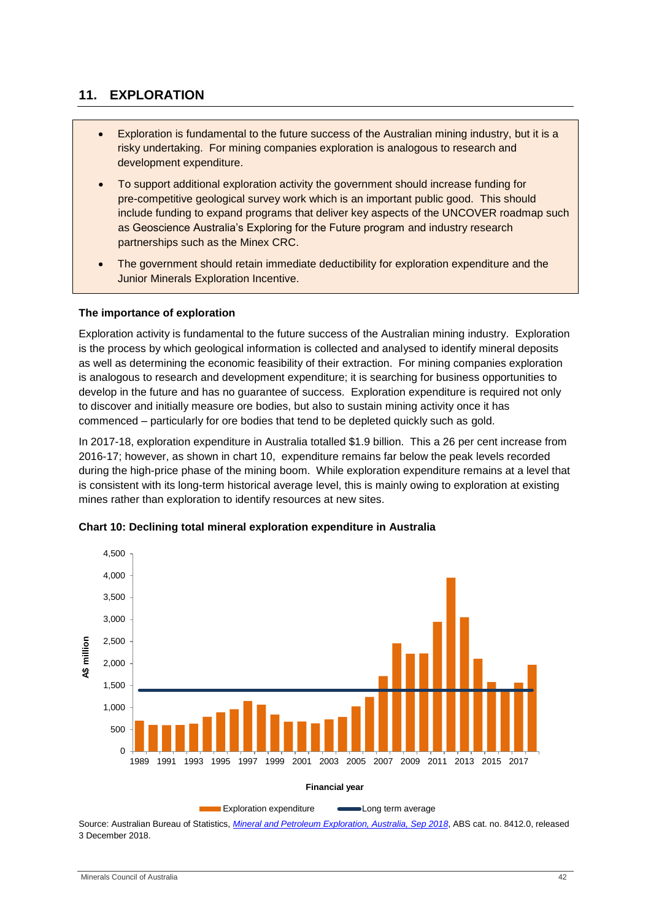# <span id="page-41-0"></span>**11. EXPLORATION**

- Exploration is fundamental to the future success of the Australian mining industry, but it is a risky undertaking. For mining companies exploration is analogous to research and development expenditure.
- To support additional exploration activity the government should increase funding for pre-competitive geological survey work which is an important public good. This should include funding to expand programs that deliver key aspects of the UNCOVER roadmap such as Geoscience Australia's Exploring for the Future program and industry research partnerships such as the Minex CRC.
- The government should retain immediate deductibility for exploration expenditure and the Junior Minerals Exploration Incentive.

#### **The importance of exploration**

Exploration activity is fundamental to the future success of the Australian mining industry. Exploration is the process by which geological information is collected and analysed to identify mineral deposits as well as determining the economic feasibility of their extraction. For mining companies exploration is analogous to research and development expenditure; it is searching for business opportunities to develop in the future and has no guarantee of success. Exploration expenditure is required not only to discover and initially measure ore bodies, but also to sustain mining activity once it has commenced – particularly for ore bodies that tend to be depleted quickly such as gold.

In 2017-18, exploration expenditure in Australia totalled \$1.9 billion. This a 26 per cent increase from 2016-17; however, as shown in chart 10, expenditure remains far below the peak levels recorded during the high-price phase of the mining boom. While exploration expenditure remains at a level that is consistent with its long-term historical average level, this is mainly owing to exploration at existing mines rather than exploration to identify resources at new sites.



**Chart 10: Declining total mineral exploration expenditure in Australia**

Source: Australian Bureau of Statistics, *[Mineral and Petroleum Exploration, Australia, Sep 2018](http://www.abs.gov.au/ausstats/abs@.nsf/mf/8412.0)*, ABS cat. no. 8412.0, released 3 December 2018.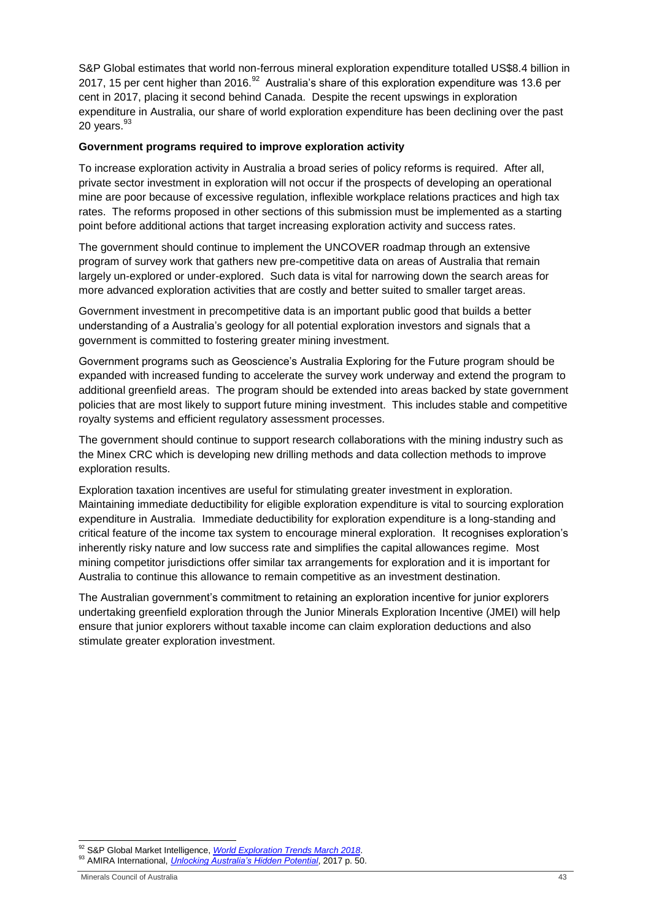S&P Global estimates that world non-ferrous mineral exploration expenditure totalled US\$8.4 billion in 2017, 15 per cent higher than 2016. $^{92}$  Australia's share of this exploration expenditure was 13.6 per cent in 2017, placing it second behind Canada. Despite the recent upswings in exploration expenditure in Australia, our share of world exploration expenditure has been declining over the past 20 years. $93$ 

#### **Government programs required to improve exploration activity**

To increase exploration activity in Australia a broad series of policy reforms is required. After all, private sector investment in exploration will not occur if the prospects of developing an operational mine are poor because of excessive regulation, inflexible workplace relations practices and high tax rates. The reforms proposed in other sections of this submission must be implemented as a starting point before additional actions that target increasing exploration activity and success rates.

The government should continue to implement the UNCOVER roadmap through an extensive program of survey work that gathers new pre-competitive data on areas of Australia that remain largely un-explored or under-explored. Such data is vital for narrowing down the search areas for more advanced exploration activities that are costly and better suited to smaller target areas.

Government investment in precompetitive data is an important public good that builds a better understanding of a Australia's geology for all potential exploration investors and signals that a government is committed to fostering greater mining investment.

Government programs such as Geoscience's Australia Exploring for the Future program should be expanded with increased funding to accelerate the survey work underway and extend the program to additional greenfield areas. The program should be extended into areas backed by state government policies that are most likely to support future mining investment. This includes stable and competitive royalty systems and efficient regulatory assessment processes.

The government should continue to support research collaborations with the mining industry such as the Minex CRC which is developing new drilling methods and data collection methods to improve exploration results.

Exploration taxation incentives are useful for stimulating greater investment in exploration. Maintaining immediate deductibility for eligible exploration expenditure is vital to sourcing exploration expenditure in Australia. Immediate deductibility for exploration expenditure is a long-standing and critical feature of the income tax system to encourage mineral exploration. It recognises exploration's inherently risky nature and low success rate and simplifies the capital allowances regime. Most mining competitor jurisdictions offer similar tax arrangements for exploration and it is important for Australia to continue this allowance to remain competitive as an investment destination.

The Australian government's commitment to retaining an exploration incentive for junior explorers undertaking greenfield exploration through the Junior Minerals Exploration Incentive (JMEI) will help ensure that junior explorers without taxable income can claim exploration deductions and also stimulate greater exploration investment.

<sup>-</sup><sup>92</sup> S&P Global Market Intelligence, *[World Exploration Trends March 2018](https://pages.marketintelligence.spglobal.com/World-Exploration-Trends-Report-2018-MS.html)*.

<sup>93</sup> AMIRA International, *[Unlocking Australia's Hidden Potential](http://www.amirainternational.com/WEB/sites/P1162A/Documents/FinalDocuments/TheRoadmapDocument/AMIRARoadmap%20-%20Unlocking%20Australias%20Hidden%20Potential.pdf)*, 2017 p. 50.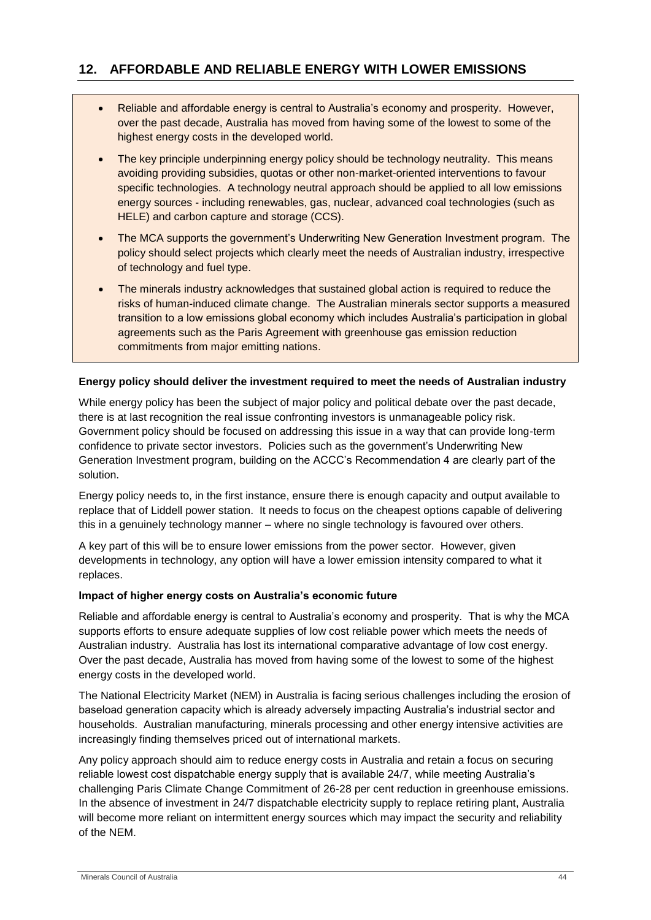- <span id="page-43-0"></span>• Reliable and affordable energy is central to Australia's economy and prosperity. However, over the past decade, Australia has moved from having some of the lowest to some of the highest energy costs in the developed world.
- The key principle underpinning energy policy should be technology neutrality. This means avoiding providing subsidies, quotas or other non-market-oriented interventions to favour specific technologies. A technology neutral approach should be applied to all low emissions energy sources - including renewables, gas, nuclear, advanced coal technologies (such as HELE) and carbon capture and storage (CCS).
- The MCA supports the government's Underwriting New Generation Investment program. The policy should select projects which clearly meet the needs of Australian industry, irrespective of technology and fuel type.
- The minerals industry acknowledges that sustained global action is required to reduce the risks of human-induced climate change. The Australian minerals sector supports a measured transition to a low emissions global economy which includes Australia's participation in global agreements such as the Paris Agreement with greenhouse gas emission reduction commitments from major emitting nations.

# **Energy policy should deliver the investment required to meet the needs of Australian industry**

While energy policy has been the subject of major policy and political debate over the past decade, there is at last recognition the real issue confronting investors is unmanageable policy risk. Government policy should be focused on addressing this issue in a way that can provide long-term confidence to private sector investors. Policies such as the government's Underwriting New Generation Investment program, building on the ACCC's Recommendation 4 are clearly part of the solution.

Energy policy needs to, in the first instance, ensure there is enough capacity and output available to replace that of Liddell power station. It needs to focus on the cheapest options capable of delivering this in a genuinely technology manner – where no single technology is favoured over others.

A key part of this will be to ensure lower emissions from the power sector. However, given developments in technology, any option will have a lower emission intensity compared to what it replaces.

#### **Impact of higher energy costs on Australia's economic future**

Reliable and affordable energy is central to Australia's economy and prosperity. That is why the MCA supports efforts to ensure adequate supplies of low cost reliable power which meets the needs of Australian industry. Australia has lost its international comparative advantage of low cost energy. Over the past decade, Australia has moved from having some of the lowest to some of the highest energy costs in the developed world.

The National Electricity Market (NEM) in Australia is facing serious challenges including the erosion of baseload generation capacity which is already adversely impacting Australia's industrial sector and households. Australian manufacturing, minerals processing and other energy intensive activities are increasingly finding themselves priced out of international markets.

Any policy approach should aim to reduce energy costs in Australia and retain a focus on securing reliable lowest cost dispatchable energy supply that is available 24/7, while meeting Australia's challenging Paris Climate Change Commitment of 26-28 per cent reduction in greenhouse emissions. In the absence of investment in 24/7 dispatchable electricity supply to replace retiring plant, Australia will become more reliant on intermittent energy sources which may impact the security and reliability of the NEM.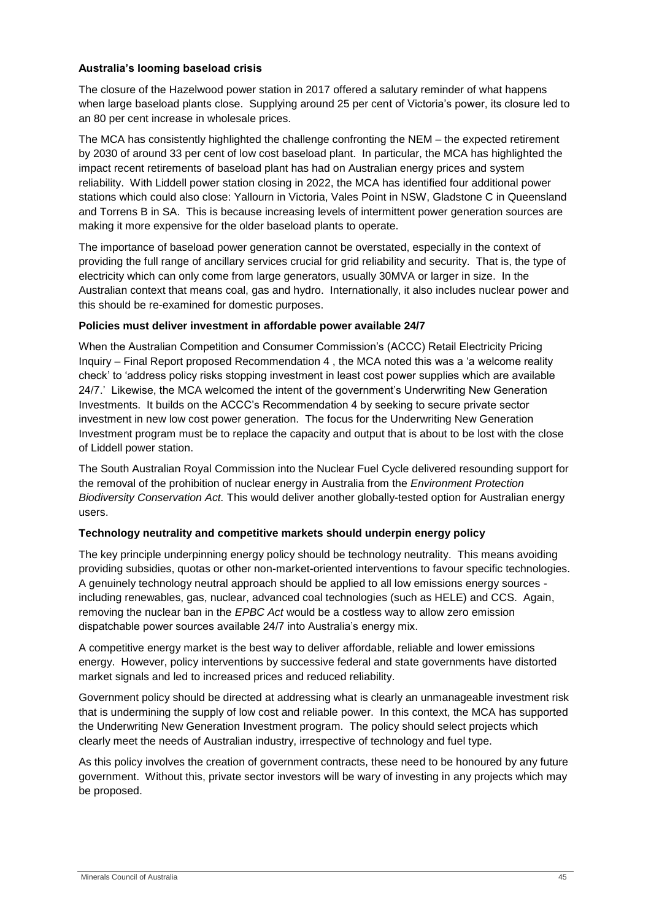## **Australia's looming baseload crisis**

The closure of the Hazelwood power station in 2017 offered a salutary reminder of what happens when large baseload plants close. Supplying around 25 per cent of Victoria's power, its closure led to an 80 per cent increase in wholesale prices.

The MCA has consistently highlighted the challenge confronting the NEM – the expected retirement by 2030 of around 33 per cent of low cost baseload plant. In particular, the MCA has highlighted the impact recent retirements of baseload plant has had on Australian energy prices and system reliability. With Liddell power station closing in 2022, the MCA has identified four additional power stations which could also close: Yallourn in Victoria, Vales Point in NSW, Gladstone C in Queensland and Torrens B in SA. This is because increasing levels of intermittent power generation sources are making it more expensive for the older baseload plants to operate.

The importance of baseload power generation cannot be overstated, especially in the context of providing the full range of ancillary services crucial for grid reliability and security. That is, the type of electricity which can only come from large generators, usually 30MVA or larger in size. In the Australian context that means coal, gas and hydro. Internationally, it also includes nuclear power and this should be re-examined for domestic purposes.

# **Policies must deliver investment in affordable power available 24/7**

When the Australian Competition and Consumer Commission's (ACCC) Retail Electricity Pricing Inquiry – Final Report proposed Recommendation 4 , the MCA noted this was a 'a welcome reality check' to 'address policy risks stopping investment in least cost power supplies which are available 24/7.' Likewise, the MCA welcomed the intent of the government's Underwriting New Generation Investments. It builds on the ACCC's Recommendation 4 by seeking to secure private sector investment in new low cost power generation. The focus for the Underwriting New Generation Investment program must be to replace the capacity and output that is about to be lost with the close of Liddell power station.

The South Australian Royal Commission into the Nuclear Fuel Cycle delivered resounding support for the removal of the prohibition of nuclear energy in Australia from the *Environment Protection Biodiversity Conservation Act.* This would deliver another globally-tested option for Australian energy users.

# **Technology neutrality and competitive markets should underpin energy policy**

The key principle underpinning energy policy should be technology neutrality. This means avoiding providing subsidies, quotas or other non-market-oriented interventions to favour specific technologies. A genuinely technology neutral approach should be applied to all low emissions energy sources including renewables, gas, nuclear, advanced coal technologies (such as HELE) and CCS. Again, removing the nuclear ban in the *EPBC Act* would be a costless way to allow zero emission dispatchable power sources available 24/7 into Australia's energy mix.

A competitive energy market is the best way to deliver affordable, reliable and lower emissions energy. However, policy interventions by successive federal and state governments have distorted market signals and led to increased prices and reduced reliability.

Government policy should be directed at addressing what is clearly an unmanageable investment risk that is undermining the supply of low cost and reliable power. In this context, the MCA has supported the Underwriting New Generation Investment program. The policy should select projects which clearly meet the needs of Australian industry, irrespective of technology and fuel type.

As this policy involves the creation of government contracts, these need to be honoured by any future government. Without this, private sector investors will be wary of investing in any projects which may be proposed.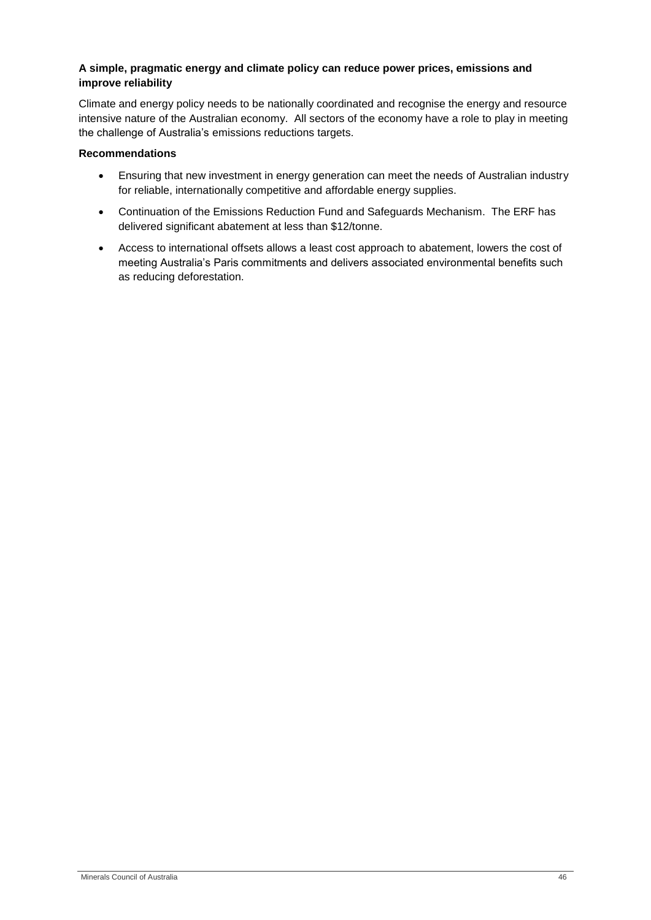# **A simple, pragmatic energy and climate policy can reduce power prices, emissions and improve reliability**

Climate and energy policy needs to be nationally coordinated and recognise the energy and resource intensive nature of the Australian economy. All sectors of the economy have a role to play in meeting the challenge of Australia's emissions reductions targets.

## **Recommendations**

- Ensuring that new investment in energy generation can meet the needs of Australian industry for reliable, internationally competitive and affordable energy supplies.
- Continuation of the Emissions Reduction Fund and Safeguards Mechanism. The ERF has delivered significant abatement at less than \$12/tonne.
- Access to international offsets allows a least cost approach to abatement, lowers the cost of meeting Australia's Paris commitments and delivers associated environmental benefits such as reducing deforestation.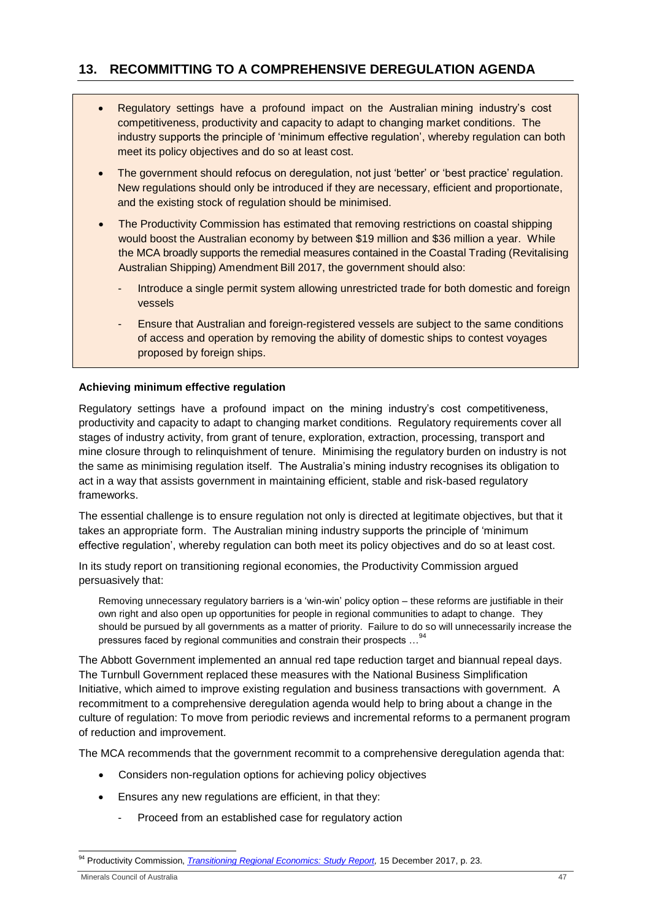# <span id="page-46-0"></span>**13. RECOMMITTING TO A COMPREHENSIVE DEREGULATION AGENDA**

- Regulatory settings have a profound impact on the Australian mining industry's cost competitiveness, productivity and capacity to adapt to changing market conditions. The industry supports the principle of 'minimum effective regulation', whereby regulation can both meet its policy objectives and do so at least cost.
- The government should refocus on deregulation, not just 'better' or 'best practice' regulation. New regulations should only be introduced if they are necessary, efficient and proportionate, and the existing stock of regulation should be minimised.
- The Productivity Commission has estimated that removing restrictions on coastal shipping would boost the Australian economy by between \$19 million and \$36 million a year. While the MCA broadly supports the remedial measures contained in the Coastal Trading (Revitalising Australian Shipping) Amendment Bill 2017, the government should also:
	- Introduce a single permit system allowing unrestricted trade for both domestic and foreign vessels
	- Ensure that Australian and foreign-registered vessels are subject to the same conditions of access and operation by removing the ability of domestic ships to contest voyages proposed by foreign ships.

# **Achieving minimum effective regulation**

Regulatory settings have a profound impact on the mining industry's cost competitiveness, productivity and capacity to adapt to changing market conditions. Regulatory requirements cover all stages of industry activity, from grant of tenure, exploration, extraction, processing, transport and mine closure through to relinquishment of tenure. Minimising the regulatory burden on industry is not the same as minimising regulation itself. The Australia's mining industry recognises its obligation to act in a way that assists government in maintaining efficient, stable and risk-based regulatory frameworks.

The essential challenge is to ensure regulation not only is directed at legitimate objectives, but that it takes an appropriate form. The Australian mining industry supports the principle of 'minimum effective regulation', whereby regulation can both meet its policy objectives and do so at least cost.

In its study report on transitioning regional economies, the Productivity Commission argued persuasively that:

Removing unnecessary regulatory barriers is a 'win-win' policy option – these reforms are justifiable in their own right and also open up opportunities for people in regional communities to adapt to change. They should be pursued by all governments as a matter of priority. Failure to do so will unnecessarily increase the pressures faced by regional communities and constrain their prospects …<sup>94</sup>

The Abbott Government implemented an annual red tape reduction target and biannual repeal days. The Turnbull Government replaced these measures with the National Business Simplification Initiative, which aimed to improve existing regulation and business transactions with government. A recommitment to a comprehensive deregulation agenda would help to bring about a change in the culture of regulation: To move from periodic reviews and incremental reforms to a permanent program of reduction and improvement.

The MCA recommends that the government recommit to a comprehensive deregulation agenda that:

- Considers non-regulation options for achieving policy objectives
- Ensures any new regulations are efficient, in that they:
	- Proceed from an established case for regulatory action

<sup>1</sup> <sup>94</sup> Productivity Commission, *Transitioning Regional [Economics: Study](https://www.pc.gov.au/inquiries/completed/transitioning-regions/report/transitioning-regions-report.pdf) Report,* 15 December 2017, p. 23.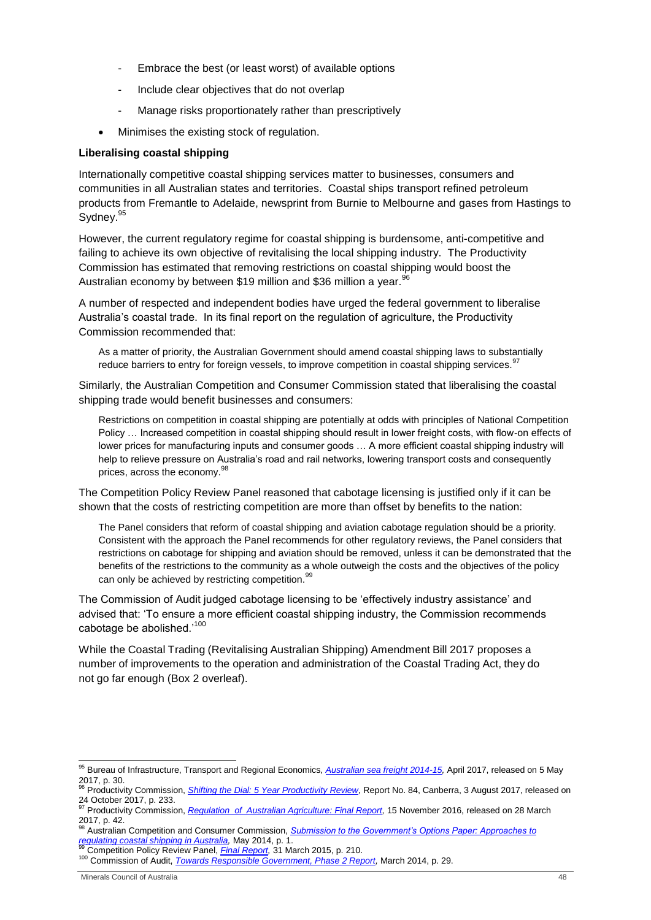- Embrace the best (or least worst) of available options
- Include clear objectives that do not overlap
- Manage risks proportionately rather than prescriptively
- Minimises the existing stock of regulation.

#### **Liberalising coastal shipping**

Internationally competitive coastal shipping services matter to businesses, consumers and communities in all Australian states and territories. Coastal ships transport refined petroleum products from Fremantle to Adelaide, newsprint from Burnie to Melbourne and gases from Hastings to Sydney.<sup>95</sup>

However, the current regulatory regime for coastal shipping is burdensome, anti-competitive and failing to achieve its own objective of revitalising the local shipping industry. The Productivity Commission has estimated that removing restrictions on coastal shipping would boost the Australian economy by between \$19 million and \$36 million a year.<sup>96</sup>

A number of respected and independent bodies have urged the federal government to liberalise Australia's coastal trade. In its final report on the regulation of agriculture, the Productivity Commission recommended that:

As a matter of priority, the Australian Government should amend coastal shipping laws to substantially reduce barriers to entry for foreign vessels, to improve competition in coastal shipping services.<sup>97</sup>

Similarly, the Australian Competition and Consumer Commission stated that liberalising the coastal shipping trade would benefit businesses and consumers:

Restrictions on competition in coastal shipping are potentially at odds with principles of National Competition Policy … Increased competition in coastal shipping should result in lower freight costs, with flow-on effects of lower prices for manufacturing inputs and consumer goods ... A more efficient coastal shipping industry will help to relieve pressure on Australia's road and rail networks, lowering transport costs and consequently prices, across the economy.<sup>98</sup>

The Competition Policy Review Panel reasoned that cabotage licensing is justified only if it can be shown that the costs of restricting competition are more than offset by benefits to the nation:

The Panel considers that reform of coastal shipping and aviation cabotage regulation should be a priority. Consistent with the approach the Panel recommends for other regulatory reviews, the Panel considers that restrictions on cabotage for shipping and aviation should be removed, unless it can be demonstrated that the benefits of the restrictions to the community as a whole outweigh the costs and the objectives of the policy can only be achieved by restricting competition.<sup>99</sup>

The Commission of Audit judged cabotage licensing to be 'effectively industry assistance' and advised that: 'To ensure a more efficient coastal shipping industry, the Commission recommends cabotage be abolished.<sup>'100</sup>

While the Coastal Trading (Revitalising Australian Shipping) Amendment Bill 2017 proposes a number of improvements to the operation and administration of the Coastal Trading Act, they do not go far enough (Box 2 overleaf).

1

<sup>95</sup> Bureau of Infrastructure, Transport and Regional Economics, *[Australian sea freight 2014-15,](https://bitre.gov.au/publications/2017/files/asf_2014_15.pdf)* April 2017, released on 5 May  $2017, p. 30.$ 

<sup>96</sup> Productivity Commission, *[Shifting the Dial: 5 Year Productivity Review,](https://www.pc.gov.au/inquiries/completed/productivity-review/report/productivity-review.pdf)* Report No. 84, Canberra, 3 August 2017, released on 24 October 2017, p. 233.<br><sup>97</sup> Productivity Commission, <u>Regulation of Australian Agriculture: *Final Report,* 15 November 2016, released on 28 March</u>

<sup>2017,</sup> p. 42.

<sup>98</sup> Australian Competition and Consumer Commission, *[Submission to the Government's Options Paper: Approaches to](https://www.accc.gov.au/system/files/ACCC%20submission%20to%20the%20Government%20s%20Options%20Paper%20Approaches%20to%20regulati....pdf)  [regulating coastal shipping in Australia,](https://www.accc.gov.au/system/files/ACCC%20submission%20to%20the%20Government%20s%20Options%20Paper%20Approaches%20to%20regulati....pdf)* May 2014, p. 1. <sup>99</sup> Competition Policy Review Panel, *[Final Report,](http://competitionpolicyreview.gov.au/files/2015/03/Competition-policy-review-report_online.pdf)* 31 March 2015, p. 210.

<sup>100</sup> Commission of Audit, *[Towards Responsible Government, Phase 2 Report,](https://www.ncoa.gov.au/report/phase-two)* March 2014, p. 29.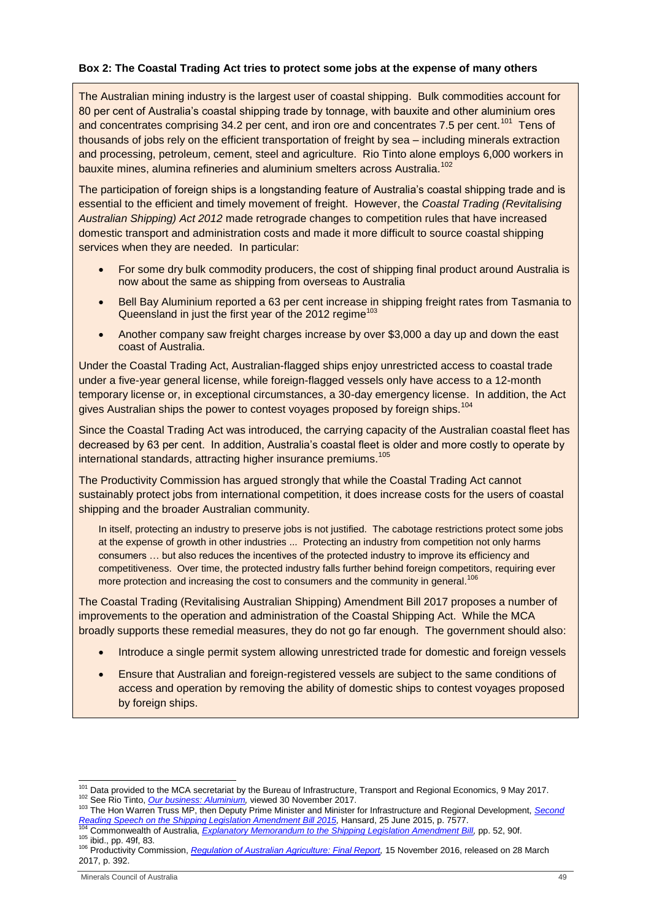#### **Box 2: The Coastal Trading Act tries to protect some jobs at the expense of many others**

The Australian mining industry is the largest user of coastal shipping. Bulk commodities account for 80 per cent of Australia's coastal shipping trade by tonnage, with bauxite and other aluminium ores and concentrates comprising 34.2 per cent, and iron ore and concentrates 7.5 per cent.<sup>101</sup> Tens of thousands of jobs rely on the efficient transportation of freight by sea – including minerals extraction and processing, petroleum, cement, steel and agriculture. Rio Tinto alone employs 6,000 workers in bauxite mines, alumina refineries and aluminium smelters across Australia.<sup>102</sup>

The participation of foreign ships is a longstanding feature of Australia's coastal shipping trade and is essential to the efficient and timely movement of freight. However, the *Coastal Trading (Revitalising Australian Shipping) Act 2012* made retrograde changes to competition rules that have increased domestic transport and administration costs and made it more difficult to source coastal shipping services when they are needed. In particular:

- For some dry bulk commodity producers, the cost of shipping final product around Australia is now about the same as shipping from overseas to Australia
- Bell Bay Aluminium reported a 63 per cent increase in shipping freight rates from Tasmania to Queensland in just the first year of the 2012 regime $103$
- Another company saw freight charges increase by over \$3,000 a day up and down the east coast of Australia.

Under the Coastal Trading Act, Australian-flagged ships enjoy unrestricted access to coastal trade under a five-year general license, while foreign-flagged vessels only have access to a 12-month temporary license or, in exceptional circumstances, a 30-day emergency license. In addition, the Act gives Australian ships the power to contest voyages proposed by foreign ships.<sup>104</sup>

Since the Coastal Trading Act was introduced, the carrying capacity of the Australian coastal fleet has decreased by 63 per cent. In addition, Australia's coastal fleet is older and more costly to operate by international standards, attracting higher insurance premiums.<sup>105</sup>

The Productivity Commission has argued strongly that while the Coastal Trading Act cannot sustainably protect jobs from international competition, it does increase costs for the users of coastal shipping and the broader Australian community.

In itself, protecting an industry to preserve jobs is not justified. The cabotage restrictions protect some jobs at the expense of growth in other industries ... Protecting an industry from competition not only harms consumers … but also reduces the incentives of the protected industry to improve its efficiency and competitiveness. Over time, the protected industry falls further behind foreign competitors, requiring ever more protection and increasing the cost to consumers and the community in general.<sup>106</sup>

The Coastal Trading (Revitalising Australian Shipping) Amendment Bill 2017 proposes a number of improvements to the operation and administration of the Coastal Shipping Act. While the MCA broadly supports these remedial measures, they do not go far enough. The government should also:

- Introduce a single permit system allowing unrestricted trade for domestic and foreign vessels
- Ensure that Australian and foreign-registered vessels are subject to the same conditions of access and operation by removing the ability of domestic ships to contest voyages proposed by foreign ships.

1

<sup>&</sup>lt;sup>101</sup> Data provided to the MCA secretariat by the Bureau of Infrastructure, Transport and Regional Economics, 9 May 2017. <sup>102</sup> See Rio Tinto, *[Our business: Aluminium,](http://www.riotinto.com/aluminium-83.aspx)* viewed 30 November 2017.

<sup>103</sup> The Hon Warren Truss MP, then Deputy Prime Minister and Minister for Infrastructure and Regional Development, *[Second](http://parlinfo.aph.gov.au/parlInfo/genpdf/chamber/hansardr/bcc6cf79-e37b-4f70-9a20-0ddc17522ca5/0026/hansard_frag.pdf;fileType=application%2Fpdf)  [Reading Speech on the Shipping Legislation Amendment Bill 2015,](http://parlinfo.aph.gov.au/parlInfo/genpdf/chamber/hansardr/bcc6cf79-e37b-4f70-9a20-0ddc17522ca5/0026/hansard_frag.pdf;fileType=application%2Fpdf)* Hansard, 25 June 2015, p. 7577. <sup>104</sup> Commonwealth of Australia, *[Explanatory Memorandum to the Shipping Legislation Amendment Bill,](http://parlinfo.aph.gov.au/parlInfo/download/legislation/ems/r5495_ems_d26159f7-ed95-407e-ab4c-3ea6eebedde0/upload_pdf/503083.pdf;fileType=application%2Fpdf)* pp. 52, 90f.

<sup>105</sup> ibid., pp. 49f, 83.

<sup>106</sup> Productivity Commission, *[Regulation of Australian Agriculture: Final Report,](http://www.pc.gov.au/inquiries/completed/agriculture/report/agriculture.pdf)* 15 November 2016, released on 28 March 2017, p. 392.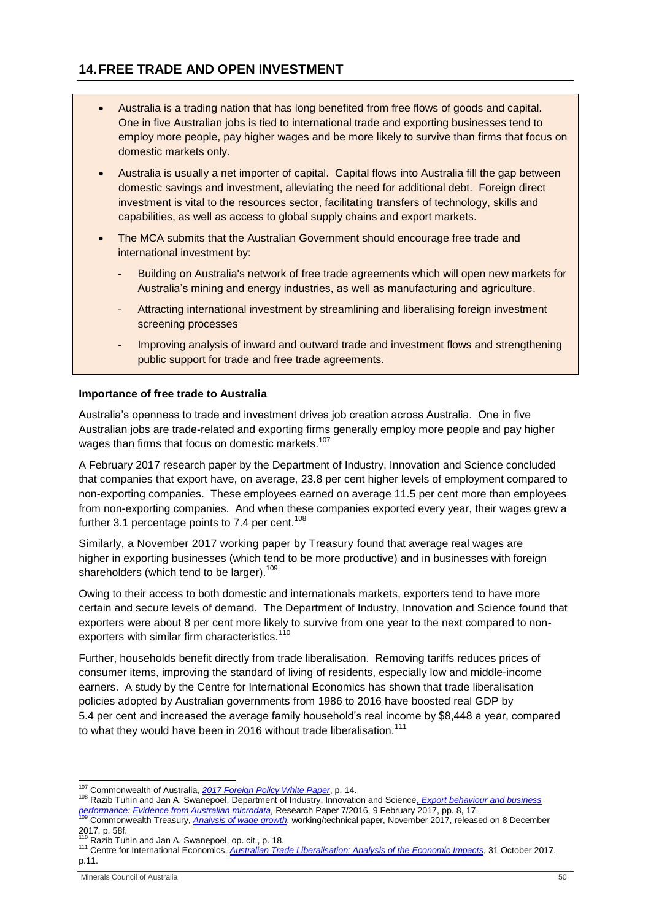- <span id="page-49-0"></span> Australia is a trading nation that has long benefited from free flows of goods and capital. One in five Australian jobs is tied to international trade and exporting businesses tend to employ more people, pay higher wages and be more likely to survive than firms that focus on domestic markets only.
- Australia is usually a net importer of capital. Capital flows into Australia fill the gap between domestic savings and investment, alleviating the need for additional debt. Foreign direct investment is vital to the resources sector, facilitating transfers of technology, skills and capabilities, as well as access to global supply chains and export markets.
- The MCA submits that the Australian Government should encourage free trade and international investment by:
	- Building on Australia's network of free trade agreements which will open new markets for Australia's mining and energy industries, as well as manufacturing and agriculture.
	- Attracting international investment by streamlining and liberalising foreign investment screening processes
	- Improving analysis of inward and outward trade and investment flows and strengthening public support for trade and free trade agreements.

# **Importance of free trade to Australia**

Australia's openness to trade and investment drives job creation across Australia. One in five Australian jobs are trade-related and exporting firms generally employ more people and pay higher wages than firms that focus on domestic markets.<sup>107</sup>

A February 2017 research paper by the Department of Industry, Innovation and Science concluded that companies that export have, on average, 23.8 per cent higher levels of employment compared to non-exporting companies. These employees earned on average 11.5 per cent more than employees from non-exporting companies. And when these companies exported every year, their wages grew a further 3.1 percentage points to 7.4 per cent.<sup>108</sup>

Similarly, a November 2017 working paper by Treasury found that average real wages are higher in exporting businesses (which tend to be more productive) and in businesses with foreign shareholders (which tend to be larger).<sup>109</sup>

Owing to their access to both domestic and internationals markets, exporters tend to have more certain and secure levels of demand. The Department of Industry, Innovation and Science found that exporters were about 8 per cent more likely to survive from one year to the next compared to nonexporters with similar firm characteristics.<sup>110</sup>

Further, households benefit directly from trade liberalisation. Removing tariffs reduces prices of consumer items, improving the standard of living of residents, especially low and middle-income earners. A study by the Centre for International Economics has shown that trade liberalisation policies adopted by Australian governments from 1986 to 2016 have boosted real GDP by 5.4 per cent and increased the average family household's real income by \$8,448 a year, compared to what they would have been in 2016 without trade liberalisation.<sup>111</sup>

<sup>1</sup> <sup>107</sup> Commonwealth of Australia, *[2017 Foreign Policy White Paper](https://www.fpwhitepaper.gov.au/file/2651/download?token=Q5CYuX29)*, p. 14.

<sup>108</sup> Razib Tuhin and Jan A. Swanepoel, Department of Industry, Innovation and Science, *[Export behaviour and business](https://www.industry.gov.au/data-and-publications/staff-research-papers/export-behaviour-and-business-performance-evidence-from-australian-microdata-research)*  <u>performance: *Evidence from Australian microdata,* Research Paper 7/2016, 9 February 2017, pp. 8, 17.<br><sup>109</sup> Commonwealth Treasury, *[Analysis of](https://static.treasury.gov.au/uploads/sites/1/2017/11/p2017-t237966.pdf) wage growth*, working/technical paper, November 2017, released on 8 December</u>

<sup>2017,</sup> p. 58f.

<sup>&</sup>lt;sup>110</sup> Razib Tuhin and Jan A. Swanepoel, op. cit., p. 18.

<sup>111</sup> Centre for International Economics, *[Australian Trade Liberalisation: Analysis of the Economic Impacts](https://dfat.gov.au/about-us/publications/trade-investment/Documents/cie-report-trade-liberalisation.pdf)*, 31 October 2017, p.11.